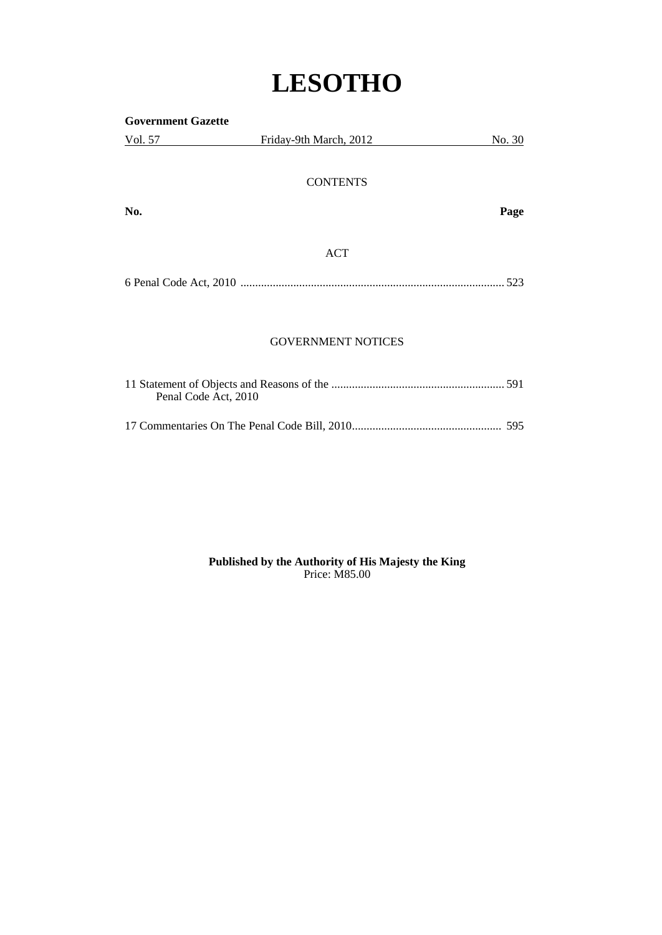# **LESOTHO**

| <b>Government Gazette</b> |                        |        |
|---------------------------|------------------------|--------|
| <u>Vol.</u> 57            | Friday-9th March, 2012 | No. 30 |
|                           |                        |        |
|                           | <b>CONTENTS</b>        |        |
| No.                       |                        | Page   |
|                           | ACT                    |        |
|                           |                        |        |
| <b>GOVERNMENT NOTICES</b> |                        |        |
| Penal Code Act, 2010      |                        |        |

17 Commentaries On The Penal Code Bill, 2010................................................... 595

**Published by the Authority of His Majesty the King** Price: M85.00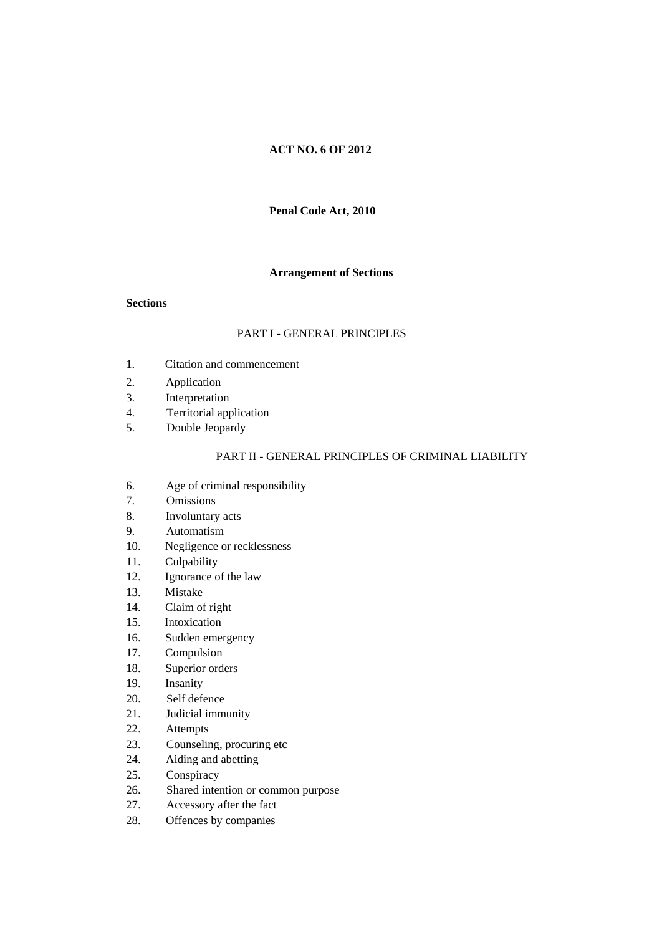# **ACT NO. 6 OF 2012**

#### **Penal Code Act, 2010**

# **Arrangement of Sections**

#### **Sections**

# PART I - GENERAL PRINCIPLES

- 1. Citation and commencement
- 2. Application
- 3. Interpretation
- 4. Territorial application
- 5. Double Jeopardy

# PART II - GENERAL PRINCIPLES OF CRIMINAL LIABILITY

- 6. Age of criminal responsibility
- 7. Omissions
- 8. Involuntary acts
- 9. Automatism
- 10. Negligence or recklessness
- 11. Culpability
- 12. Ignorance of the law
- 13. Mistake
- 14. Claim of right
- 15. Intoxication
- 16. Sudden emergency
- 17. Compulsion
- 18. Superior orders
- 19. Insanity
- 20. Self defence
- 21. Judicial immunity
- 22. Attempts
- 23. Counseling, procuring etc
- 24. Aiding and abetting
- 25. Conspiracy
- 26. Shared intention or common purpose
- 27. Accessory after the fact
- 28. Offences by companies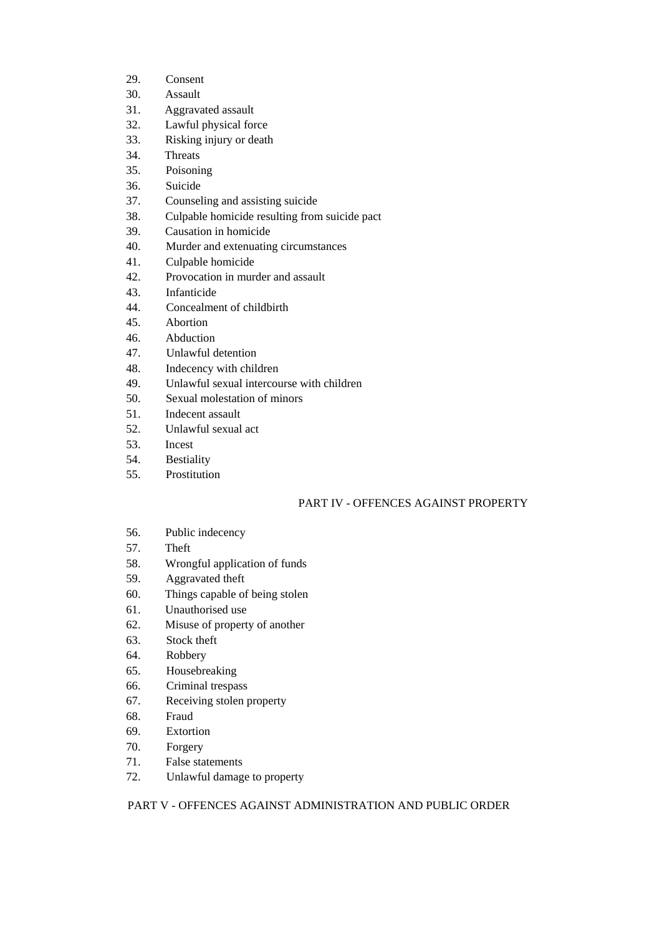- 29. Consent
- 30. Assault
- 31. Aggravated assault
- 32. Lawful physical force
- 33. Risking injury or death
- 34. Threats
- 35. Poisoning
- 36. Suicide
- 37. Counseling and assisting suicide
- 38. Culpable homicide resulting from suicide pact
- 39. Causation in homicide
- 40. Murder and extenuating circumstances
- 41. Culpable homicide
- 42. Provocation in murder and assault
- 43. Infanticide
- 44. Concealment of childbirth
- 45. Abortion
- 46. Abduction
- 47. Unlawful detention
- 48. Indecency with children
- 49. Unlawful sexual intercourse with children
- 50. Sexual molestation of minors
- 51. Indecent assault
- 52. Unlawful sexual act
- 53. Incest
- 54. Bestiality
- 55. Prostitution

# PART IV - OFFENCES AGAINST PROPERTY

- 56. Public indecency
- 57. Theft
- 58. Wrongful application of funds
- 59. Aggravated theft
- 60. Things capable of being stolen
- 61. Unauthorised use
- 62. Misuse of property of another
- 63. Stock theft
- 64. Robbery
- 65. Housebreaking
- 66. Criminal trespass
- 67. Receiving stolen property
- 68. Fraud
- 69. Extortion
- 70. Forgery
- 71. False statements
- 72. Unlawful damage to property

PART V - OFFENCES AGAINST ADMINISTRATION AND PUBLIC ORDER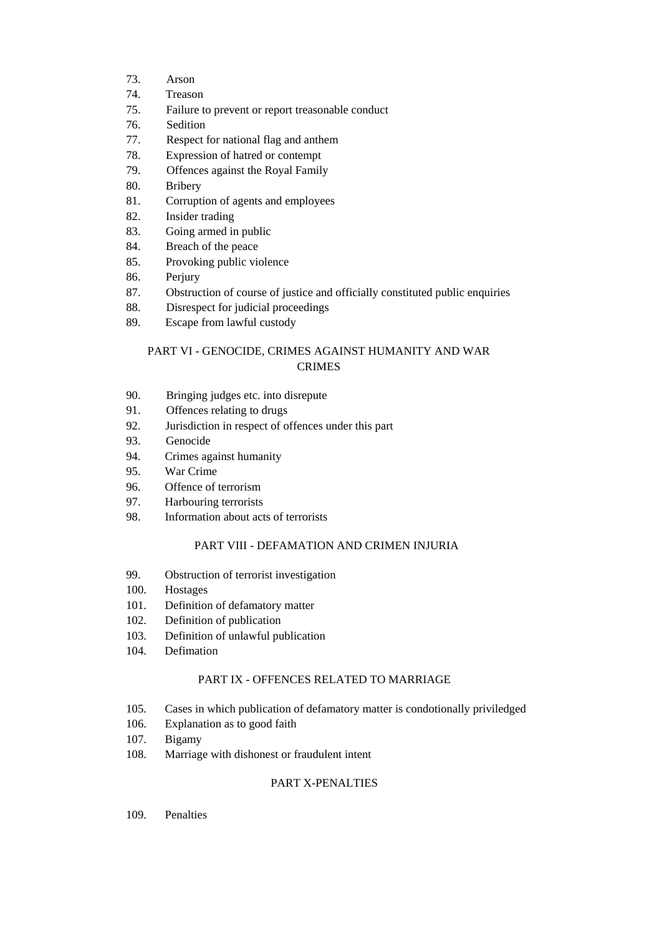- 73. Arson
- 74. Treason
- 75. Failure to prevent or report treasonable conduct
- 76. Sedition
- 77. Respect for national flag and anthem
- 78. Expression of hatred or contempt
- 79. Offences against the Royal Family
- 80. Bribery
- 81. Corruption of agents and employees
- 82. Insider trading
- 83. Going armed in public
- 84. Breach of the peace
- 85. Provoking public violence
- 86. Periury
- 87. Obstruction of course of justice and officially constituted public enquiries
- 88. Disrespect for judicial proceedings
- 89. Escape from lawful custody

# PART VI - GENOCIDE, CRIMES AGAINST HUMANITY AND WAR **CRIMES**

- 90. Bringing judges etc. into disrepute
- 91. Offences relating to drugs
- 92. Jurisdiction in respect of offences under this part
- 93. Genocide
- 94. Crimes against humanity
- 95. War Crime
- 96. Offence of terrorism
- 97. Harbouring terrorists
- 98. Information about acts of terrorists

# PART VIII - DEFAMATION AND CRIMEN INJURIA

- 99. Obstruction of terrorist investigation
- 100. Hostages
- 101. Definition of defamatory matter
- 102. Definition of publication
- 103. Definition of unlawful publication
- 104. Defimation

# PART IX - OFFENCES RELATED TO MARRIAGE

- 105. Cases in which publication of defamatory matter is condotionally priviledged
- 106. Explanation as to good faith
- 107. Bigamy
- 108. Marriage with dishonest or fraudulent intent

# PART X-PENALTIES

109. Penalties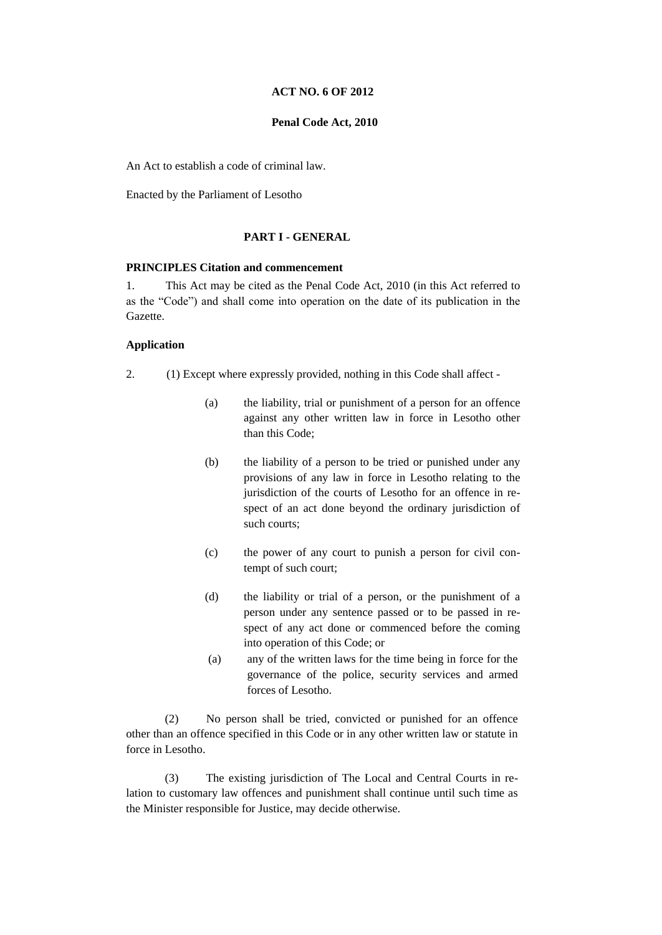# **ACT NO. 6 OF 2012**

#### **Penal Code Act, 2010**

An Act to establish a code of criminal law.

Enacted by the Parliament of Lesotho

# **PART I - GENERAL**

#### **PRINCIPLES Citation and commencement**

1. This Act may be cited as the Penal Code Act, 2010 (in this Act referred to as the "Code") and shall come into operation on the date of its publication in the Gazette.

#### **Application**

- 2. (1) Except where expressly provided, nothing in this Code shall affect
	- (a) the liability, trial or punishment of a person for an offence against any other written law in force in Lesotho other than this Code;
	- (b) the liability of a person to be tried or punished under any provisions of any law in force in Lesotho relating to the jurisdiction of the courts of Lesotho for an offence in respect of an act done beyond the ordinary jurisdiction of such courts;
	- (c) the power of any court to punish a person for civil contempt of such court;
	- (d) the liability or trial of a person, or the punishment of a person under any sentence passed or to be passed in respect of any act done or commenced before the coming into operation of this Code; or
	- (a) any of the written laws for the time being in force for the governance of the police, security services and armed forces of Lesotho.

(2) No person shall be tried, convicted or punished for an offence other than an offence specified in this Code or in any other written law or statute in force in Lesotho.

(3) The existing jurisdiction of The Local and Central Courts in relation to customary law offences and punishment shall continue until such time as the Minister responsible for Justice, may decide otherwise.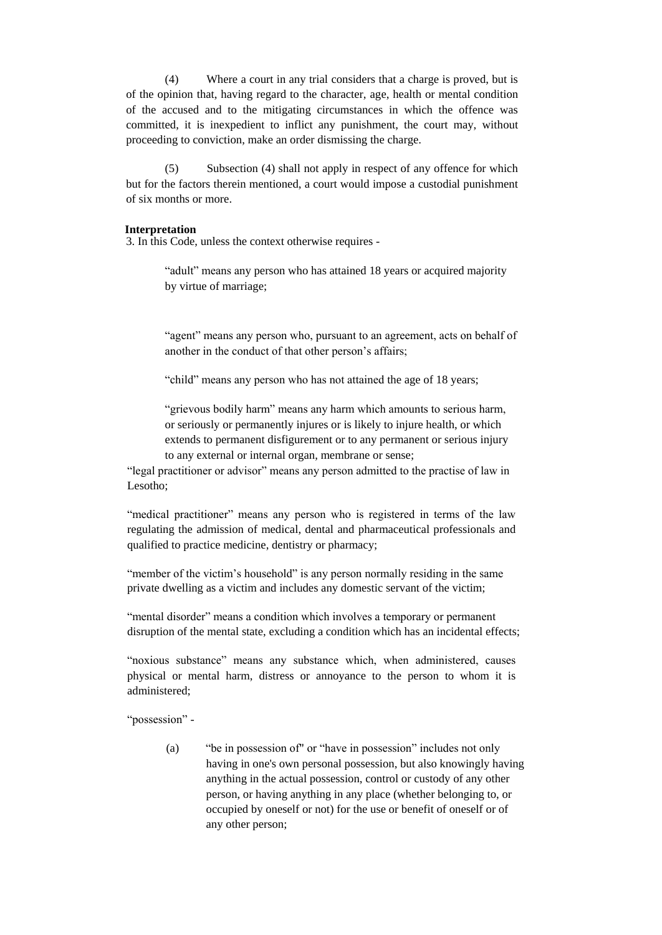(4) Where a court in any trial considers that a charge is proved, but is of the opinion that, having regard to the character, age, health or mental condition of the accused and to the mitigating circumstances in which the offence was committed, it is inexpedient to inflict any punishment, the court may, without proceeding to conviction, make an order dismissing the charge.

(5) Subsection (4) shall not apply in respect of any offence for which but for the factors therein mentioned, a court would impose a custodial punishment of six months or more.

#### **Interpretation**

3. In this Code, unless the context otherwise requires -

"adult" means any person who has attained 18 years or acquired majority by virtue of marriage;

"agent" means any person who, pursuant to an agreement, acts on behalf of another in the conduct of that other person's affairs;

"child" means any person who has not attained the age of 18 years;

"grievous bodily harm" means any harm which amounts to serious harm, or seriously or permanently injures or is likely to injure health, or which extends to permanent disfigurement or to any permanent or serious injury to any external or internal organ, membrane or sense;

"legal practitioner or advisor" means any person admitted to the practise of law in Lesotho;

"medical practitioner" means any person who is registered in terms of the law regulating the admission of medical, dental and pharmaceutical professionals and qualified to practice medicine, dentistry or pharmacy;

"member of the victim's household" is any person normally residing in the same private dwelling as a victim and includes any domestic servant of the victim;

"mental disorder" means a condition which involves a temporary or permanent disruption of the mental state, excluding a condition which has an incidental effects;

"noxious substance" means any substance which, when administered, causes physical or mental harm, distress or annoyance to the person to whom it is administered;

"possession" -

(a) "be in possession of" or "have in possession" includes not only having in one's own personal possession, but also knowingly having anything in the actual possession, control or custody of any other person, or having anything in any place (whether belonging to, or occupied by oneself or not) for the use or benefit of oneself or of any other person;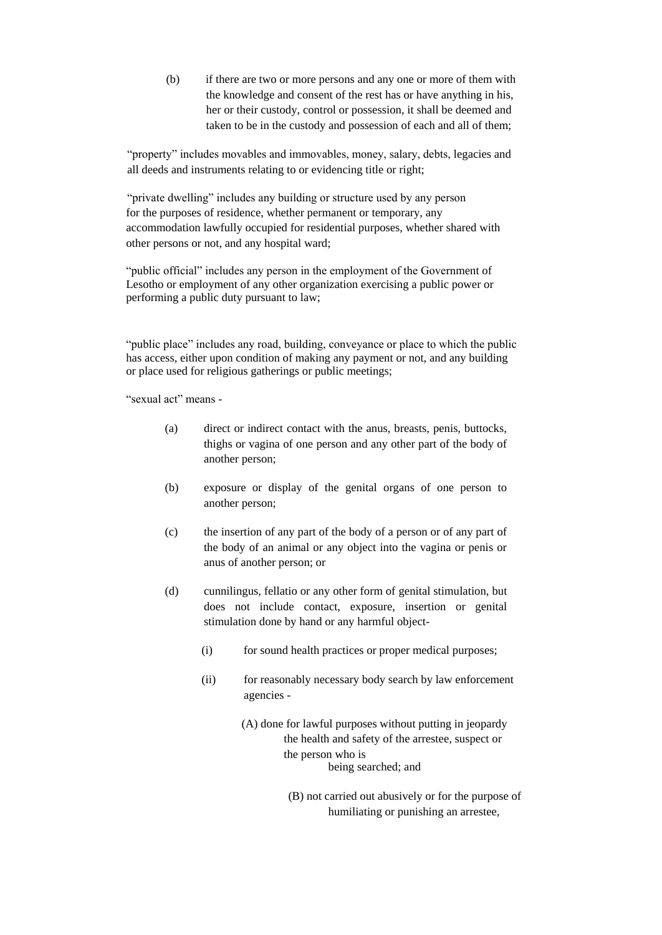(b) if there are two or more persons and any one or more of them with the knowledge and consent of the rest has or have anything in his, her or their custody, control or possession, it shall be deemed and taken to be in the custody and possession of each and all of them;

"property" includes movables and immovables, money, salary, debts, legacies and all deeds and instruments relating to or evidencing title or right;

"private dwelling" includes any building or structure used by any person for the purposes of residence, whether permanent or temporary, any accommodation lawfully occupied for residential purposes, whether shared with other persons or not, and any hospital ward;

"public official" includes any person in the employment of the Government of Lesotho or employment of any other organization exercising a public power or performing a public duty pursuant to law;

"public place" includes any road, building, conveyance or place to which the public has access, either upon condition of making any payment or not, and any building or place used for religious gatherings or public meetings;

"sexual act" means -

- (a) direct or indirect contact with the anus, breasts, penis, buttocks, thighs or vagina of one person and any other part of the body of another person;
- (b) exposure or display of the genital organs of one person to another person;
- (c) the insertion of any part of the body of a person or of any part of the body of an animal or any object into the vagina or penis or anus of another person; or
- (d) cunnilingus, fellatio or any other form of genital stimulation, but does not include contact, exposure, insertion or genital stimulation done by hand or any harmful object-
	- (i) for sound health practices or proper medical purposes;
	- (ii) for reasonably necessary body search by law enforcement agencies -

(A) done for lawful purposes without putting in jeopardy the health and safety of the arrestee, suspect or the person who is being searched; and

> (B) not carried out abusively or for the purpose of humiliating or punishing an arrestee,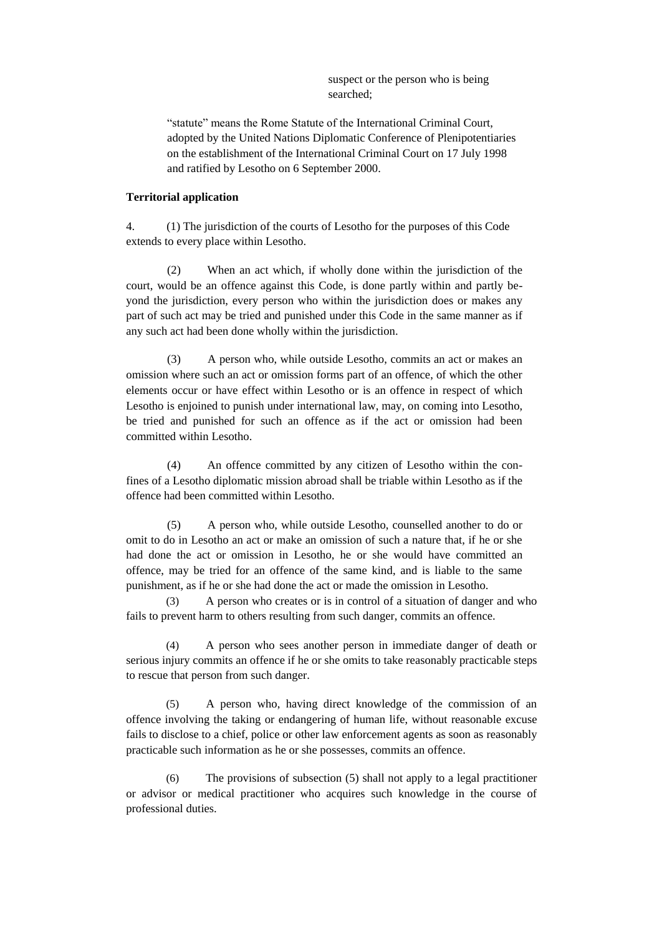suspect or the person who is being searched;

"statute" means the Rome Statute of the International Criminal Court, adopted by the United Nations Diplomatic Conference of Plenipotentiaries on the establishment of the International Criminal Court on 17 July 1998 and ratified by Lesotho on 6 September 2000.

#### **Territorial application**

4. (1) The jurisdiction of the courts of Lesotho for the purposes of this Code extends to every place within Lesotho.

(2) When an act which, if wholly done within the jurisdiction of the court, would be an offence against this Code, is done partly within and partly beyond the jurisdiction, every person who within the jurisdiction does or makes any part of such act may be tried and punished under this Code in the same manner as if any such act had been done wholly within the jurisdiction.

(3) A person who, while outside Lesotho, commits an act or makes an omission where such an act or omission forms part of an offence, of which the other elements occur or have effect within Lesotho or is an offence in respect of which Lesotho is enjoined to punish under international law, may, on coming into Lesotho, be tried and punished for such an offence as if the act or omission had been committed within Lesotho.

(4) An offence committed by any citizen of Lesotho within the confines of a Lesotho diplomatic mission abroad shall be triable within Lesotho as if the offence had been committed within Lesotho.

(5) A person who, while outside Lesotho, counselled another to do or omit to do in Lesotho an act or make an omission of such a nature that, if he or she had done the act or omission in Lesotho, he or she would have committed an offence, may be tried for an offence of the same kind, and is liable to the same punishment, as if he or she had done the act or made the omission in Lesotho.

(3) A person who creates or is in control of a situation of danger and who fails to prevent harm to others resulting from such danger, commits an offence.

(4) A person who sees another person in immediate danger of death or serious injury commits an offence if he or she omits to take reasonably practicable steps to rescue that person from such danger.

(5) A person who, having direct knowledge of the commission of an offence involving the taking or endangering of human life, without reasonable excuse fails to disclose to a chief, police or other law enforcement agents as soon as reasonably practicable such information as he or she possesses, commits an offence.

(6) The provisions of subsection (5) shall not apply to a legal practitioner or advisor or medical practitioner who acquires such knowledge in the course of professional duties.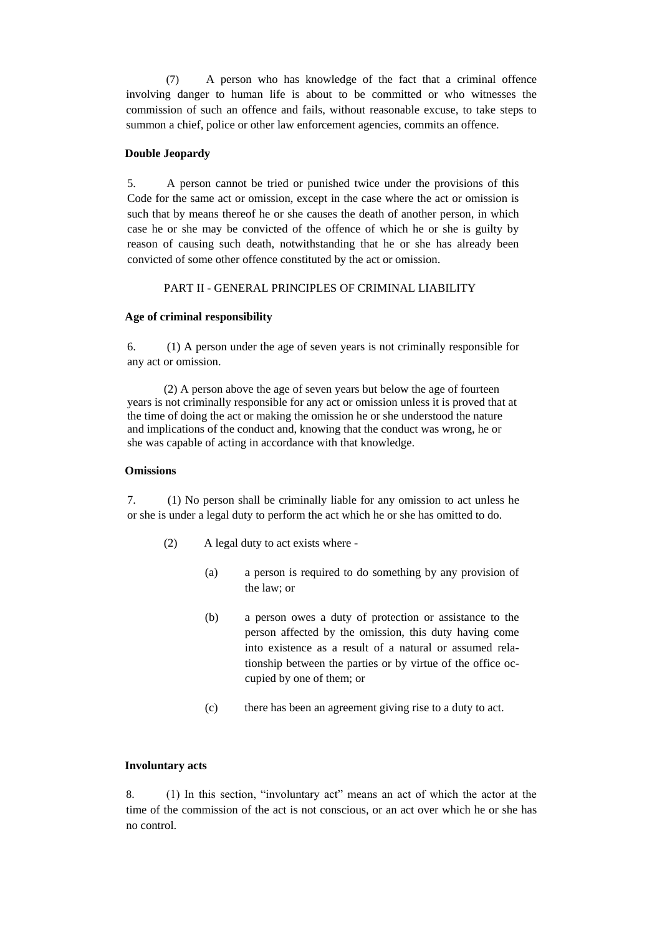(7) A person who has knowledge of the fact that a criminal offence involving danger to human life is about to be committed or who witnesses the commission of such an offence and fails, without reasonable excuse, to take steps to summon a chief, police or other law enforcement agencies, commits an offence.

# **Double Jeopardy**

5. A person cannot be tried or punished twice under the provisions of this Code for the same act or omission, except in the case where the act or omission is such that by means thereof he or she causes the death of another person, in which case he or she may be convicted of the offence of which he or she is guilty by reason of causing such death, notwithstanding that he or she has already been convicted of some other offence constituted by the act or omission.

# PART II - GENERAL PRINCIPLES OF CRIMINAL LIABILITY

# **Age of criminal responsibility**

6. (1) A person under the age of seven years is not criminally responsible for any act or omission.

(2) A person above the age of seven years but below the age of fourteen years is not criminally responsible for any act or omission unless it is proved that at the time of doing the act or making the omission he or she understood the nature and implications of the conduct and, knowing that the conduct was wrong, he or she was capable of acting in accordance with that knowledge.

#### **Omissions**

7. (1) No person shall be criminally liable for any omission to act unless he or she is under a legal duty to perform the act which he or she has omitted to do.

- (2) A legal duty to act exists where
	- (a) a person is required to do something by any provision of the law; or
	- (b) a person owes a duty of protection or assistance to the person affected by the omission, this duty having come into existence as a result of a natural or assumed relationship between the parties or by virtue of the office occupied by one of them; or
	- (c) there has been an agreement giving rise to a duty to act.

# **Involuntary acts**

8. (1) In this section, "involuntary act" means an act of which the actor at the time of the commission of the act is not conscious, or an act over which he or she has no control.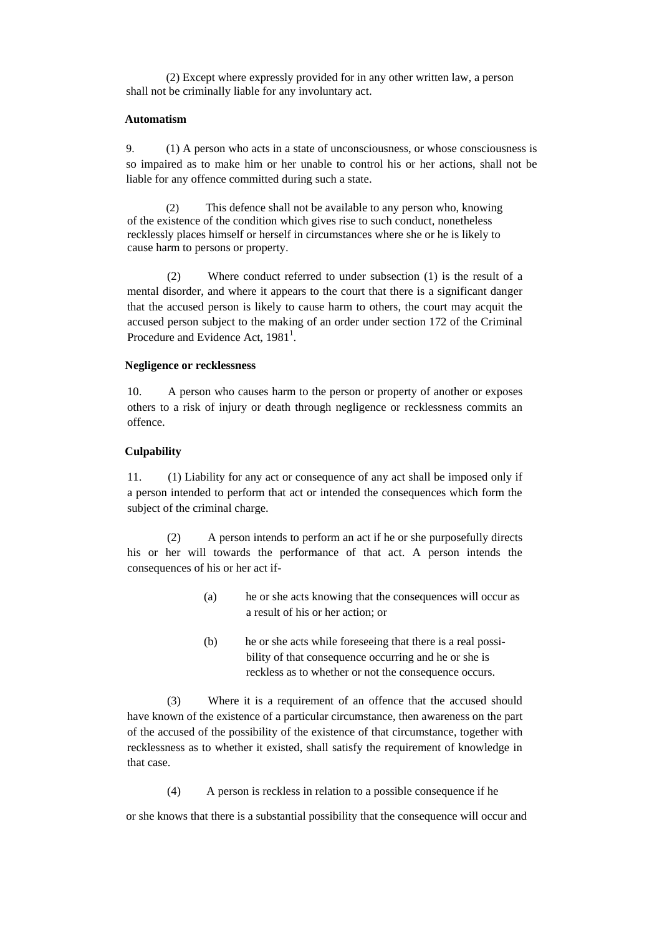(2) Except where expressly provided for in any other written law, a person shall not be criminally liable for any involuntary act.

#### **Automatism**

9. (1) A person who acts in a state of unconsciousness, or whose consciousness is so impaired as to make him or her unable to control his or her actions, shall not be liable for any offence committed during such a state.

(2) This defence shall not be available to any person who, knowing of the existence of the condition which gives rise to such conduct, nonetheless recklessly places himself or herself in circumstances where she or he is likely to cause harm to persons or property.

(2) Where conduct referred to under subsection (1) is the result of a mental disorder, and where it appears to the court that there is a significant danger that the accused person is likely to cause harm to others, the court may acquit the accused person subject to the making of an order under section 172 of the Criminal Procedure and Evidence Act,  $1981<sup>1</sup>$ .

#### **Negligence or recklessness**

10. A person who causes harm to the person or property of another or exposes others to a risk of injury or death through negligence or recklessness commits an offence.

#### **Culpability**

11. (1) Liability for any act or consequence of any act shall be imposed only if a person intended to perform that act or intended the consequences which form the subject of the criminal charge.

(2) A person intends to perform an act if he or she purposefully directs his or her will towards the performance of that act. A person intends the consequences of his or her act if-

- (a) he or she acts knowing that the consequences will occur as a result of his or her action; or
- (b) he or she acts while foreseeing that there is a real possibility of that consequence occurring and he or she is reckless as to whether or not the consequence occurs.

(3) Where it is a requirement of an offence that the accused should have known of the existence of a particular circumstance, then awareness on the part of the accused of the possibility of the existence of that circumstance, together with recklessness as to whether it existed, shall satisfy the requirement of knowledge in that case.

(4) A person is reckless in relation to a possible consequence if he

or she knows that there is a substantial possibility that the consequence will occur and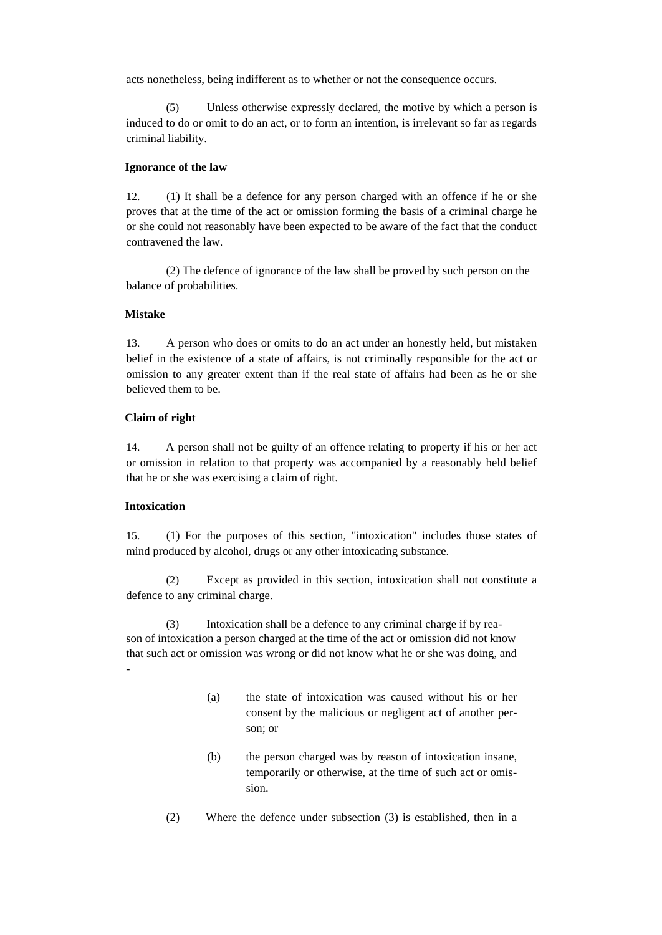acts nonetheless, being indifferent as to whether or not the consequence occurs.

(5) Unless otherwise expressly declared, the motive by which a person is induced to do or omit to do an act, or to form an intention, is irrelevant so far as regards criminal liability.

#### **Ignorance of the law**

12. (1) It shall be a defence for any person charged with an offence if he or she proves that at the time of the act or omission forming the basis of a criminal charge he or she could not reasonably have been expected to be aware of the fact that the conduct contravened the law.

(2) The defence of ignorance of the law shall be proved by such person on the balance of probabilities.

#### **Mistake**

13. A person who does or omits to do an act under an honestly held, but mistaken belief in the existence of a state of affairs, is not criminally responsible for the act or omission to any greater extent than if the real state of affairs had been as he or she believed them to be.

# **Claim of right**

14. A person shall not be guilty of an offence relating to property if his or her act or omission in relation to that property was accompanied by a reasonably held belief that he or she was exercising a claim of right.

# **Intoxication**

15. (1) For the purposes of this section, "intoxication" includes those states of mind produced by alcohol, drugs or any other intoxicating substance.

(2) Except as provided in this section, intoxication shall not constitute a defence to any criminal charge.

(3) Intoxication shall be a defence to any criminal charge if by reason of intoxication a person charged at the time of the act or omission did not know that such act or omission was wrong or did not know what he or she was doing, and -

- (a) the state of intoxication was caused without his or her consent by the malicious or negligent act of another person; or
- (b) the person charged was by reason of intoxication insane, temporarily or otherwise, at the time of such act or omission.
- (2) Where the defence under subsection (3) is established, then in a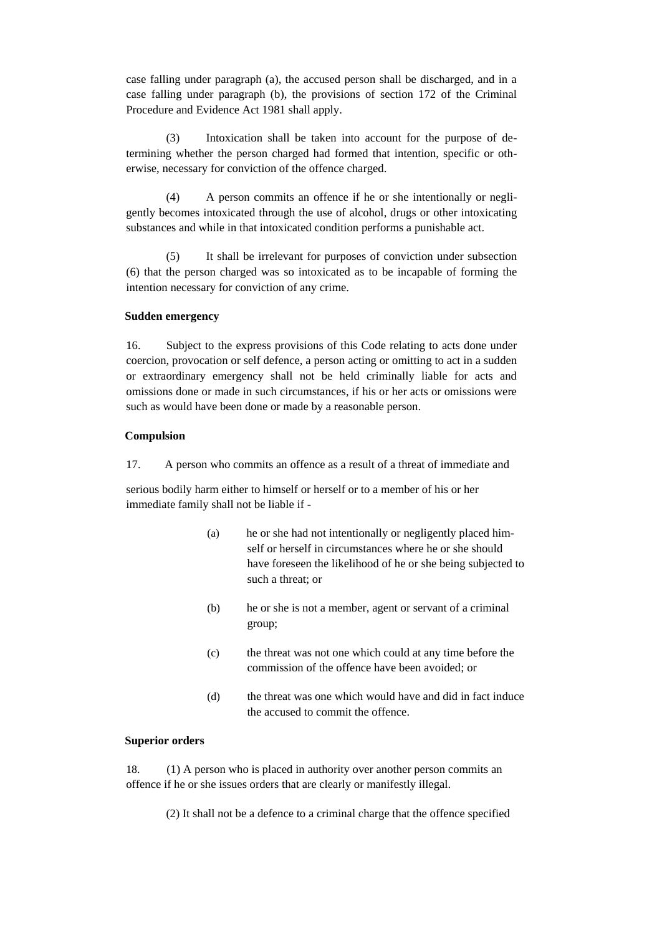case falling under paragraph (a), the accused person shall be discharged, and in a case falling under paragraph (b), the provisions of section 172 of the Criminal Procedure and Evidence Act 1981 shall apply.

(3) Intoxication shall be taken into account for the purpose of determining whether the person charged had formed that intention, specific or otherwise, necessary for conviction of the offence charged.

(4) A person commits an offence if he or she intentionally or negligently becomes intoxicated through the use of alcohol, drugs or other intoxicating substances and while in that intoxicated condition performs a punishable act.

(5) It shall be irrelevant for purposes of conviction under subsection (6) that the person charged was so intoxicated as to be incapable of forming the intention necessary for conviction of any crime.

#### **Sudden emergency**

16. Subject to the express provisions of this Code relating to acts done under coercion, provocation or self defence, a person acting or omitting to act in a sudden or extraordinary emergency shall not be held criminally liable for acts and omissions done or made in such circumstances, if his or her acts or omissions were such as would have been done or made by a reasonable person.

#### **Compulsion**

17. A person who commits an offence as a result of a threat of immediate and

serious bodily harm either to himself or herself or to a member of his or her immediate family shall not be liable if -

- (a) he or she had not intentionally or negligently placed himself or herself in circumstances where he or she should have foreseen the likelihood of he or she being subjected to such a threat; or
- (b) he or she is not a member, agent or servant of a criminal group;
- (c) the threat was not one which could at any time before the commission of the offence have been avoided; or
- (d) the threat was one which would have and did in fact induce the accused to commit the offence.

#### **Superior orders**

18. (1) A person who is placed in authority over another person commits an offence if he or she issues orders that are clearly or manifestly illegal.

(2) It shall not be a defence to a criminal charge that the offence specified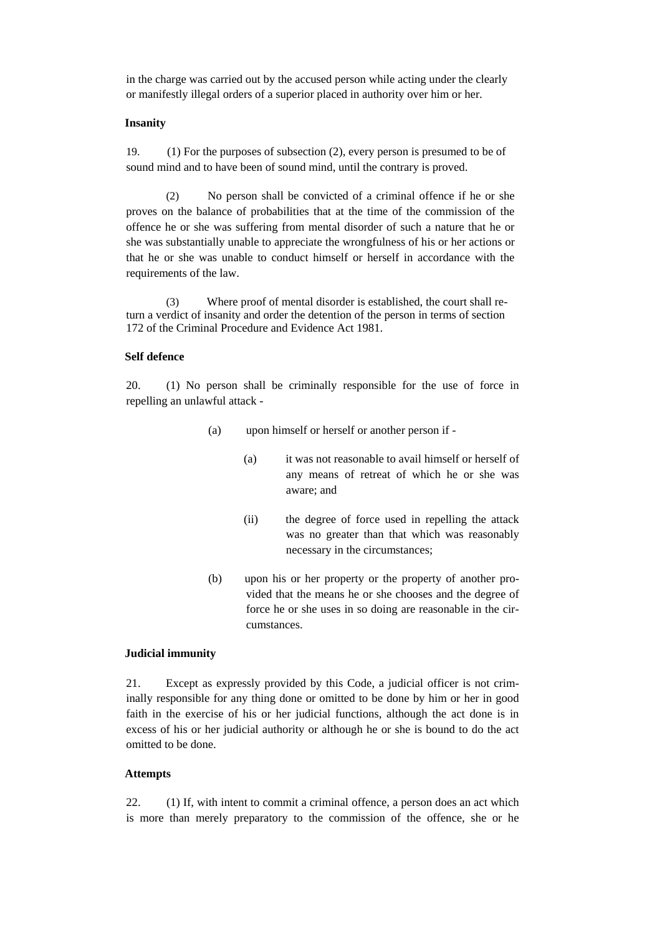in the charge was carried out by the accused person while acting under the clearly or manifestly illegal orders of a superior placed in authority over him or her.

#### **Insanity**

19. (1) For the purposes of subsection (2), every person is presumed to be of sound mind and to have been of sound mind, until the contrary is proved.

(2) No person shall be convicted of a criminal offence if he or she proves on the balance of probabilities that at the time of the commission of the offence he or she was suffering from mental disorder of such a nature that he or she was substantially unable to appreciate the wrongfulness of his or her actions or that he or she was unable to conduct himself or herself in accordance with the requirements of the law.

(3) Where proof of mental disorder is established, the court shall return a verdict of insanity and order the detention of the person in terms of section 172 of the Criminal Procedure and Evidence Act 1981.

#### **Self defence**

20. (1) No person shall be criminally responsible for the use of force in repelling an unlawful attack -

- (a) upon himself or herself or another person if
	- (a) it was not reasonable to avail himself or herself of any means of retreat of which he or she was aware; and
	- (ii) the degree of force used in repelling the attack was no greater than that which was reasonably necessary in the circumstances;
- (b) upon his or her property or the property of another provided that the means he or she chooses and the degree of force he or she uses in so doing are reasonable in the circumstances.

#### **Judicial immunity**

21. Except as expressly provided by this Code, a judicial officer is not criminally responsible for any thing done or omitted to be done by him or her in good faith in the exercise of his or her judicial functions, although the act done is in excess of his or her judicial authority or although he or she is bound to do the act omitted to be done.

# **Attempts**

22. (1) If, with intent to commit a criminal offence, a person does an act which is more than merely preparatory to the commission of the offence, she or he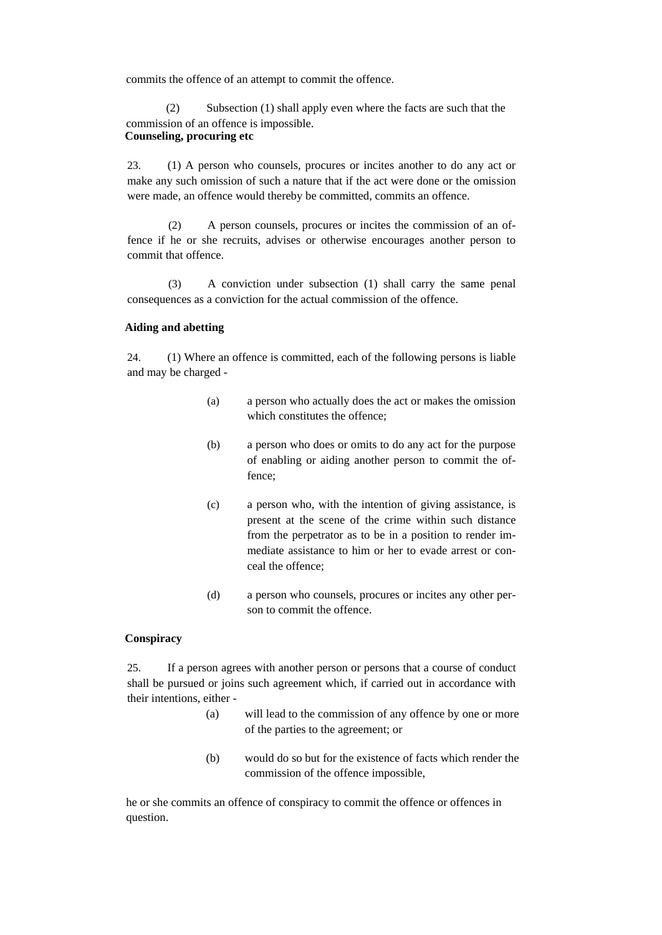commits the offence of an attempt to commit the offence.

(2) Subsection (1) shall apply even where the facts are such that the commission of an offence is impossible. **Counseling, procuring etc**

23. (1) A person who counsels, procures or incites another to do any act or make any such omission of such a nature that if the act were done or the omission were made, an offence would thereby be committed, commits an offence.

(2) A person counsels, procures or incites the commission of an offence if he or she recruits, advises or otherwise encourages another person to commit that offence.

(3) A conviction under subsection (1) shall carry the same penal consequences as a conviction for the actual commission of the offence.

#### **Aiding and abetting**

24. (1) Where an offence is committed, each of the following persons is liable and may be charged -

- (a) a person who actually does the act or makes the omission which constitutes the offence;
- (b) a person who does or omits to do any act for the purpose of enabling or aiding another person to commit the offence;
- (c) a person who, with the intention of giving assistance, is present at the scene of the crime within such distance from the perpetrator as to be in a position to render immediate assistance to him or her to evade arrest or conceal the offence;
- (d) a person who counsels, procures or incites any other person to commit the offence.

#### **Conspiracy**

25. If a person agrees with another person or persons that a course of conduct shall be pursued or joins such agreement which, if carried out in accordance with their intentions, either -

- (a) will lead to the commission of any offence by one or more of the parties to the agreement; or
- (b) would do so but for the existence of facts which render the commission of the offence impossible,

he or she commits an offence of conspiracy to commit the offence or offences in question.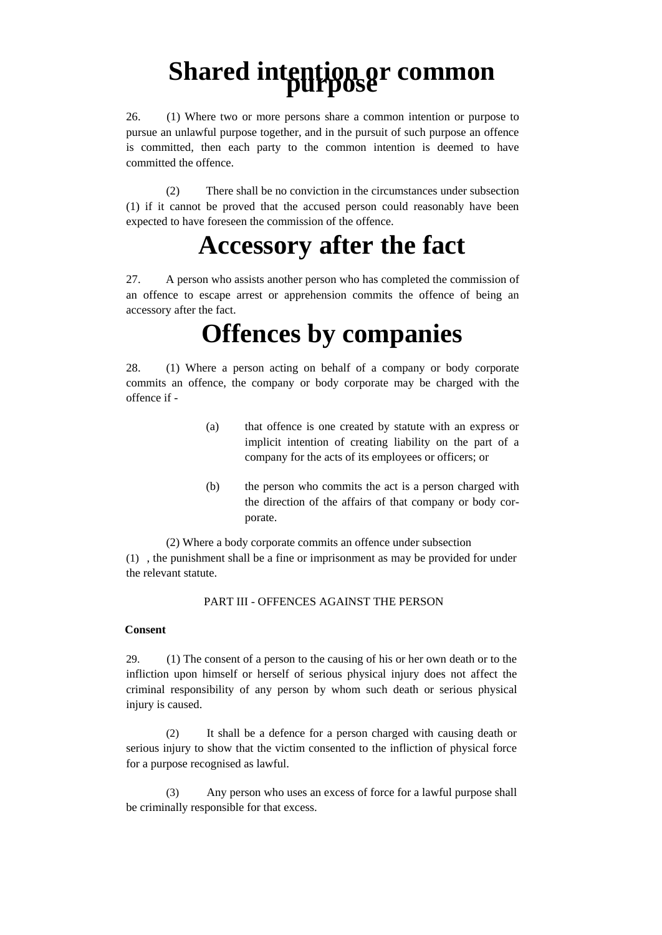# **Shared intention or common purpose**

26. (1) Where two or more persons share a common intention or purpose to pursue an unlawful purpose together, and in the pursuit of such purpose an offence is committed, then each party to the common intention is deemed to have committed the offence.

(2) There shall be no conviction in the circumstances under subsection (1) if it cannot be proved that the accused person could reasonably have been expected to have foreseen the commission of the offence.

# **Accessory after the fact**

27. A person who assists another person who has completed the commission of an offence to escape arrest or apprehension commits the offence of being an accessory after the fact.

# **Offences by companies**

28. (1) Where a person acting on behalf of a company or body corporate commits an offence, the company or body corporate may be charged with the offence if -

- (a) that offence is one created by statute with an express or implicit intention of creating liability on the part of a company for the acts of its employees or officers; or
- (b) the person who commits the act is a person charged with the direction of the affairs of that company or body corporate.

(2) Where a body corporate commits an offence under subsection (1) , the punishment shall be a fine or imprisonment as may be provided for under the relevant statute.

# PART III - OFFENCES AGAINST THE PERSON

#### **Consent**

29. (1) The consent of a person to the causing of his or her own death or to the infliction upon himself or herself of serious physical injury does not affect the criminal responsibility of any person by whom such death or serious physical injury is caused.

(2) It shall be a defence for a person charged with causing death or serious injury to show that the victim consented to the infliction of physical force for a purpose recognised as lawful.

(3) Any person who uses an excess of force for a lawful purpose shall be criminally responsible for that excess.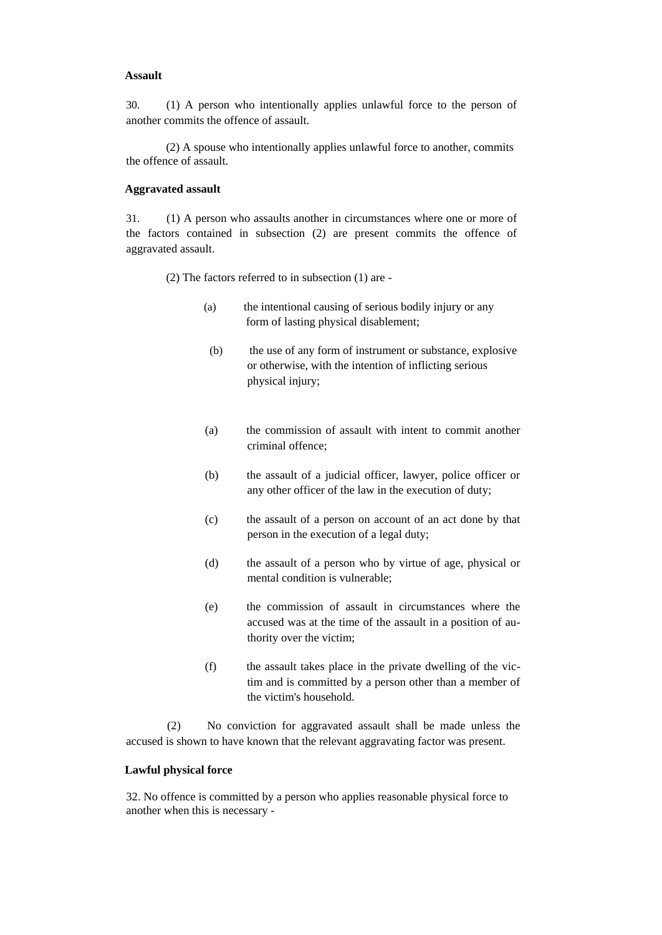#### **Assault**

30. (1) A person who intentionally applies unlawful force to the person of another commits the offence of assault.

(2) A spouse who intentionally applies unlawful force to another, commits the offence of assault.

#### **Aggravated assault**

31. (1) A person who assaults another in circumstances where one or more of the factors contained in subsection (2) are present commits the offence of aggravated assault.

(2) The factors referred to in subsection (1) are -

- (a) the intentional causing of serious bodily injury or any form of lasting physical disablement;
- (b) the use of any form of instrument or substance, explosive or otherwise, with the intention of inflicting serious physical injury;
- (a) the commission of assault with intent to commit another criminal offence;
- (b) the assault of a judicial officer, lawyer, police officer or any other officer of the law in the execution of duty;
- (c) the assault of a person on account of an act done by that person in the execution of a legal duty;
- (d) the assault of a person who by virtue of age, physical or mental condition is vulnerable;
- (e) the commission of assault in circumstances where the accused was at the time of the assault in a position of authority over the victim;
- (f) the assault takes place in the private dwelling of the victim and is committed by a person other than a member of the victim's household.

(2) No conviction for aggravated assault shall be made unless the accused is shown to have known that the relevant aggravating factor was present.

#### **Lawful physical force**

32. No offence is committed by a person who applies reasonable physical force to another when this is necessary -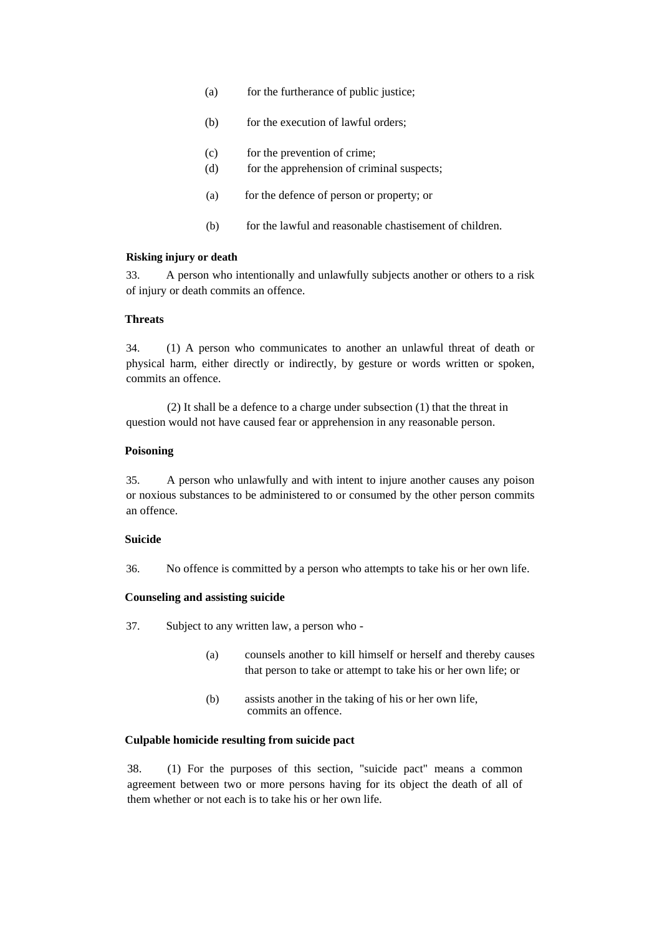- (a) for the furtherance of public justice;
- (b) for the execution of lawful orders:
- (c) for the prevention of crime;
- (d) for the apprehension of criminal suspects;
- (a) for the defence of person or property; or
- (b) for the lawful and reasonable chastisement of children.

#### **Risking injury or death**

33. A person who intentionally and unlawfully subjects another or others to a risk of injury or death commits an offence.

#### **Threats**

34. (1) A person who communicates to another an unlawful threat of death or physical harm, either directly or indirectly, by gesture or words written or spoken, commits an offence.

(2) It shall be a defence to a charge under subsection (1) that the threat in question would not have caused fear or apprehension in any reasonable person.

#### **Poisoning**

35. A person who unlawfully and with intent to injure another causes any poison or noxious substances to be administered to or consumed by the other person commits an offence.

# **Suicide**

36. No offence is committed by a person who attempts to take his or her own life.

#### **Counseling and assisting suicide**

37. Subject to any written law, a person who -

- (a) counsels another to kill himself or herself and thereby causes that person to take or attempt to take his or her own life; or
- (b) assists another in the taking of his or her own life, commits an offence.

# **Culpable homicide resulting from suicide pact**

38. (1) For the purposes of this section, "suicide pact" means a common agreement between two or more persons having for its object the death of all of them whether or not each is to take his or her own life.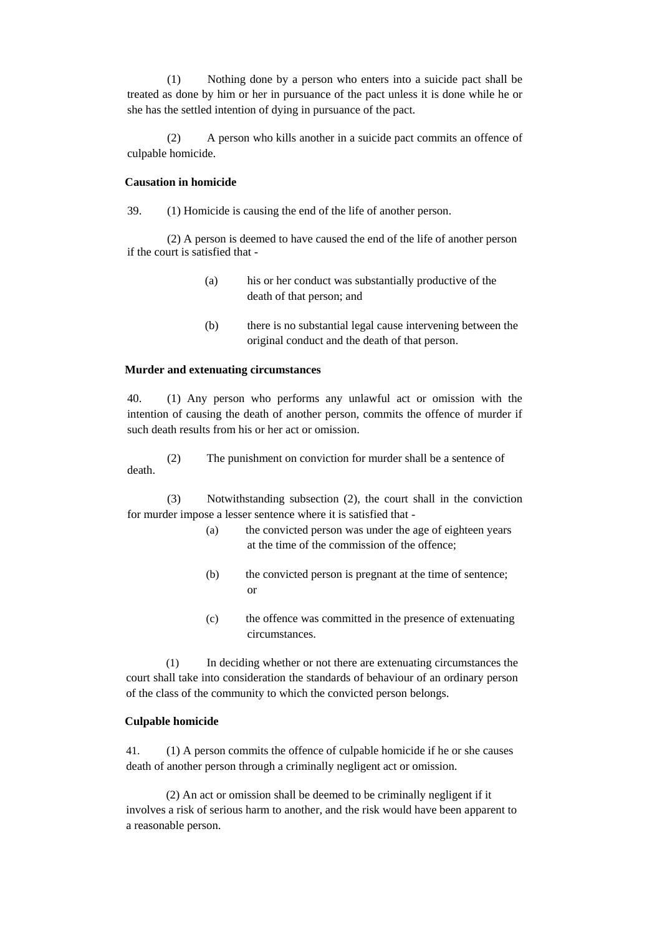(1) Nothing done by a person who enters into a suicide pact shall be treated as done by him or her in pursuance of the pact unless it is done while he or she has the settled intention of dying in pursuance of the pact.

(2) A person who kills another in a suicide pact commits an offence of culpable homicide.

# **Causation in homicide**

39. (1) Homicide is causing the end of the life of another person.

(2) A person is deemed to have caused the end of the life of another person if the court is satisfied that -

- (a) his or her conduct was substantially productive of the death of that person; and
- (b) there is no substantial legal cause intervening between the original conduct and the death of that person.

#### **Murder and extenuating circumstances**

40. (1) Any person who performs any unlawful act or omission with the intention of causing the death of another person, commits the offence of murder if such death results from his or her act or omission.

(2) The punishment on conviction for murder shall be a sentence of death.

(3) Notwithstanding subsection (2), the court shall in the conviction for murder impose a lesser sentence where it is satisfied that -

- (a) the convicted person was under the age of eighteen years at the time of the commission of the offence;
- (b) the convicted person is pregnant at the time of sentence; or
- (c) the offence was committed in the presence of extenuating circumstances.

(1) In deciding whether or not there are extenuating circumstances the court shall take into consideration the standards of behaviour of an ordinary person of the class of the community to which the convicted person belongs.

#### **Culpable homicide**

41. (1) A person commits the offence of culpable homicide if he or she causes death of another person through a criminally negligent act or omission.

(2) An act or omission shall be deemed to be criminally negligent if it involves a risk of serious harm to another, and the risk would have been apparent to a reasonable person.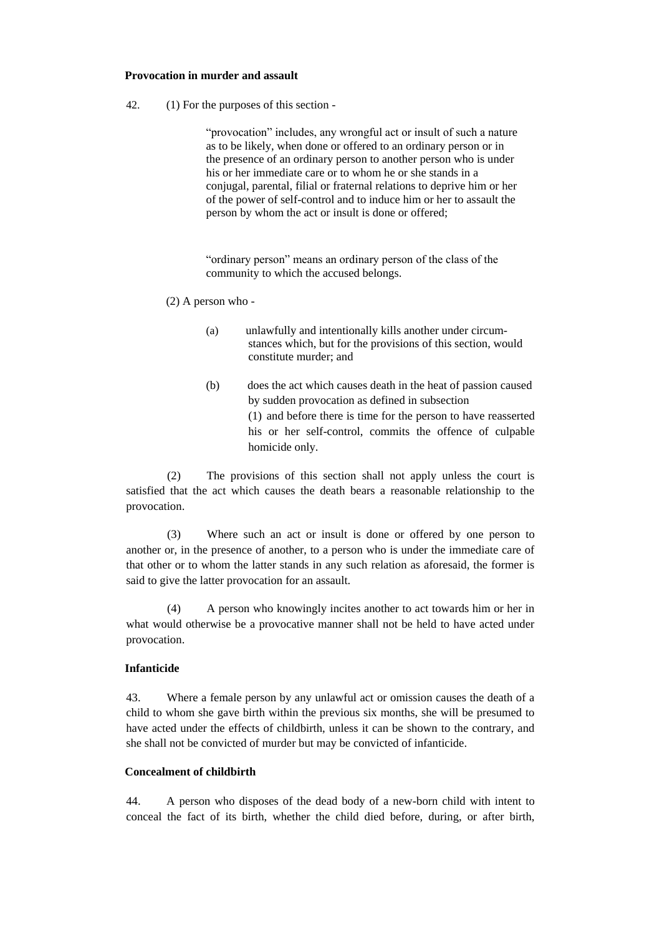#### **Provocation in murder and assault**

42. (1) For the purposes of this section -

"provocation" includes, any wrongful act or insult of such a nature as to be likely, when done or offered to an ordinary person or in the presence of an ordinary person to another person who is under his or her immediate care or to whom he or she stands in a conjugal, parental, filial or fraternal relations to deprive him or her of the power of self-control and to induce him or her to assault the person by whom the act or insult is done or offered;

"ordinary person" means an ordinary person of the class of the community to which the accused belongs.

(2) A person who -

- (a) unlawfully and intentionally kills another under circumstances which, but for the provisions of this section, would constitute murder; and
- (b) does the act which causes death in the heat of passion caused by sudden provocation as defined in subsection (1) and before there is time for the person to have reasserted his or her self-control, commits the offence of culpable homicide only.

(2) The provisions of this section shall not apply unless the court is satisfied that the act which causes the death bears a reasonable relationship to the provocation.

(3) Where such an act or insult is done or offered by one person to another or, in the presence of another, to a person who is under the immediate care of that other or to whom the latter stands in any such relation as aforesaid, the former is said to give the latter provocation for an assault.

(4) A person who knowingly incites another to act towards him or her in what would otherwise be a provocative manner shall not be held to have acted under provocation.

#### **Infanticide**

43. Where a female person by any unlawful act or omission causes the death of a child to whom she gave birth within the previous six months, she will be presumed to have acted under the effects of childbirth, unless it can be shown to the contrary, and she shall not be convicted of murder but may be convicted of infanticide.

# **Concealment of childbirth**

44. A person who disposes of the dead body of a new-born child with intent to conceal the fact of its birth, whether the child died before, during, or after birth,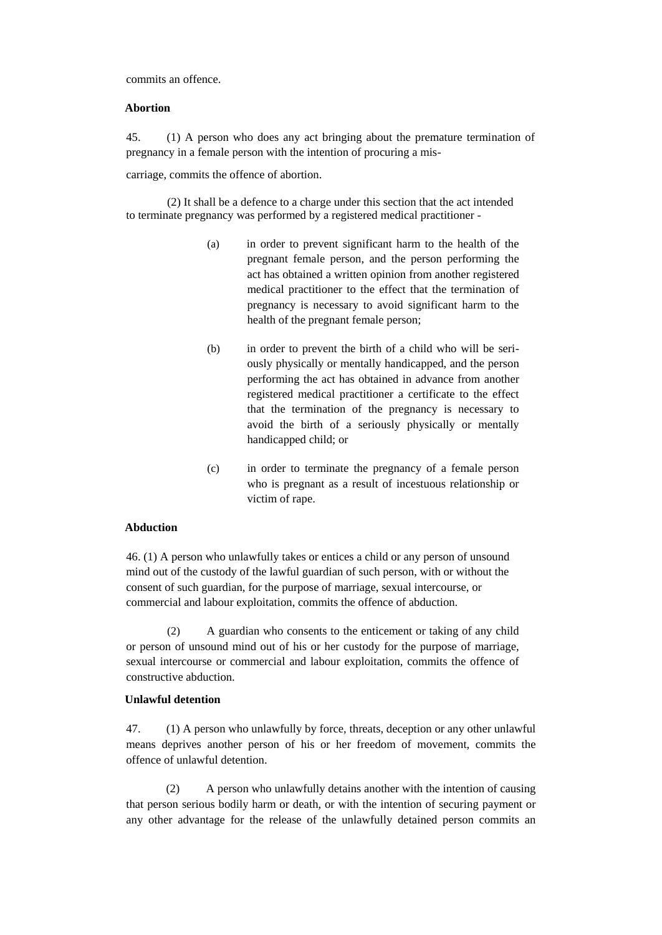commits an offence.

# **Abortion**

45. (1) A person who does any act bringing about the premature termination of pregnancy in a female person with the intention of procuring a mis-

carriage, commits the offence of abortion.

(2) It shall be a defence to a charge under this section that the act intended to terminate pregnancy was performed by a registered medical practitioner -

- (a) in order to prevent significant harm to the health of the pregnant female person, and the person performing the act has obtained a written opinion from another registered medical practitioner to the effect that the termination of pregnancy is necessary to avoid significant harm to the health of the pregnant female person;
- (b) in order to prevent the birth of a child who will be seriously physically or mentally handicapped, and the person performing the act has obtained in advance from another registered medical practitioner a certificate to the effect that the termination of the pregnancy is necessary to avoid the birth of a seriously physically or mentally handicapped child; or
- (c) in order to terminate the pregnancy of a female person who is pregnant as a result of incestuous relationship or victim of rape.

#### **Abduction**

46. (1) A person who unlawfully takes or entices a child or any person of unsound mind out of the custody of the lawful guardian of such person, with or without the consent of such guardian, for the purpose of marriage, sexual intercourse, or commercial and labour exploitation, commits the offence of abduction.

(2) A guardian who consents to the enticement or taking of any child or person of unsound mind out of his or her custody for the purpose of marriage, sexual intercourse or commercial and labour exploitation, commits the offence of constructive abduction.

# **Unlawful detention**

47. (1) A person who unlawfully by force, threats, deception or any other unlawful means deprives another person of his or her freedom of movement, commits the offence of unlawful detention.

(2) A person who unlawfully detains another with the intention of causing that person serious bodily harm or death, or with the intention of securing payment or any other advantage for the release of the unlawfully detained person commits an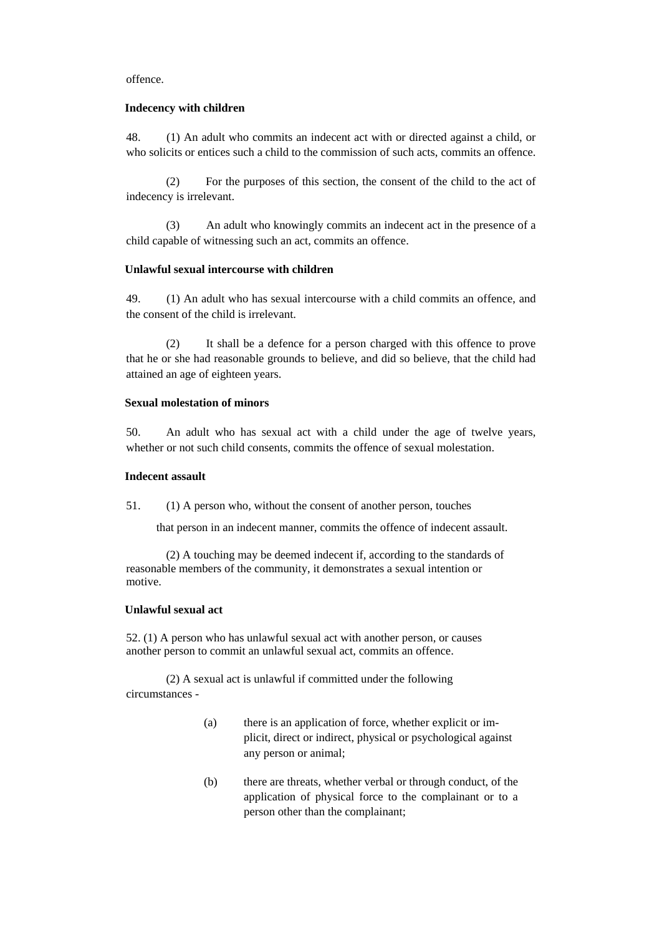offence.

#### **Indecency with children**

48. (1) An adult who commits an indecent act with or directed against a child, or who solicits or entices such a child to the commission of such acts, commits an offence.

(2) For the purposes of this section, the consent of the child to the act of indecency is irrelevant.

(3) An adult who knowingly commits an indecent act in the presence of a child capable of witnessing such an act, commits an offence.

# **Unlawful sexual intercourse with children**

49. (1) An adult who has sexual intercourse with a child commits an offence, and the consent of the child is irrelevant.

(2) It shall be a defence for a person charged with this offence to prove that he or she had reasonable grounds to believe, and did so believe, that the child had attained an age of eighteen years.

# **Sexual molestation of minors**

50. An adult who has sexual act with a child under the age of twelve years, whether or not such child consents, commits the offence of sexual molestation.

#### **Indecent assault**

51. (1) A person who, without the consent of another person, touches

that person in an indecent manner, commits the offence of indecent assault.

(2) A touching may be deemed indecent if, according to the standards of reasonable members of the community, it demonstrates a sexual intention or motive.

# **Unlawful sexual act**

52. (1) A person who has unlawful sexual act with another person, or causes another person to commit an unlawful sexual act, commits an offence.

(2) A sexual act is unlawful if committed under the following circumstances -

- (a) there is an application of force, whether explicit or implicit, direct or indirect, physical or psychological against any person or animal;
- (b) there are threats, whether verbal or through conduct, of the application of physical force to the complainant or to a person other than the complainant;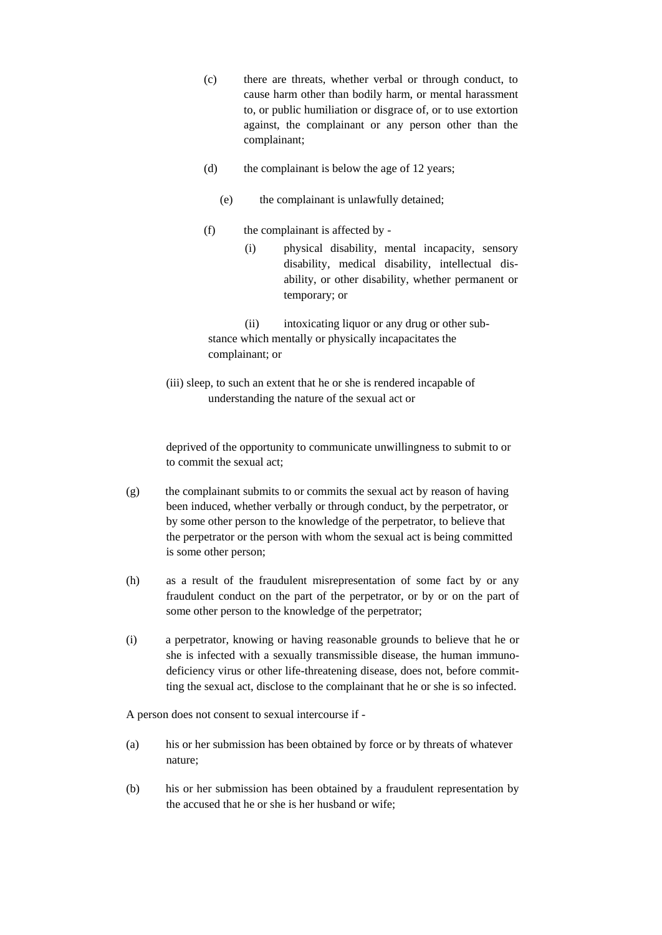- (c) there are threats, whether verbal or through conduct, to cause harm other than bodily harm, or mental harassment to, or public humiliation or disgrace of, or to use extortion against, the complainant or any person other than the complainant;
- (d) the complainant is below the age of 12 years;
	- (e) the complainant is unlawfully detained;
- (f) the complainant is affected by
	- (i) physical disability, mental incapacity, sensory disability, medical disability, intellectual disability, or other disability, whether permanent or temporary; or

(ii) intoxicating liquor or any drug or other substance which mentally or physically incapacitates the complainant; or

(iii) sleep, to such an extent that he or she is rendered incapable of understanding the nature of the sexual act or

deprived of the opportunity to communicate unwillingness to submit to or to commit the sexual act;

- (g) the complainant submits to or commits the sexual act by reason of having been induced, whether verbally or through conduct, by the perpetrator, or by some other person to the knowledge of the perpetrator, to believe that the perpetrator or the person with whom the sexual act is being committed is some other person;
- (h) as a result of the fraudulent misrepresentation of some fact by or any fraudulent conduct on the part of the perpetrator, or by or on the part of some other person to the knowledge of the perpetrator;
- (i) a perpetrator, knowing or having reasonable grounds to believe that he or she is infected with a sexually transmissible disease, the human immunodeficiency virus or other life-threatening disease, does not, before committing the sexual act, disclose to the complainant that he or she is so infected.

A person does not consent to sexual intercourse if -

- (a) his or her submission has been obtained by force or by threats of whatever nature;
- (b) his or her submission has been obtained by a fraudulent representation by the accused that he or she is her husband or wife;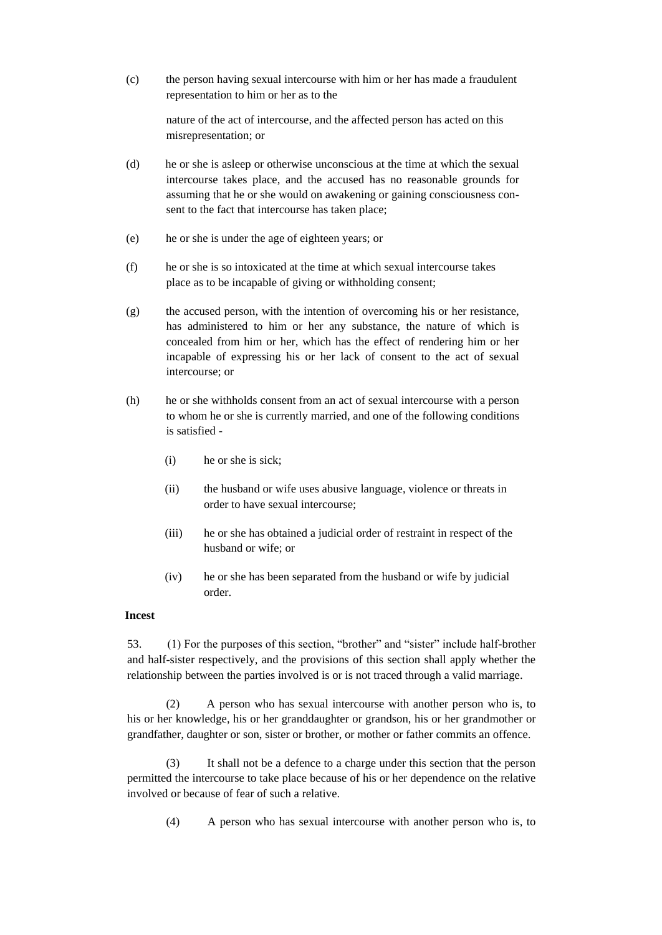(c) the person having sexual intercourse with him or her has made a fraudulent representation to him or her as to the

nature of the act of intercourse, and the affected person has acted on this misrepresentation; or

- (d) he or she is asleep or otherwise unconscious at the time at which the sexual intercourse takes place, and the accused has no reasonable grounds for assuming that he or she would on awakening or gaining consciousness consent to the fact that intercourse has taken place;
- (e) he or she is under the age of eighteen years; or
- (f) he or she is so intoxicated at the time at which sexual intercourse takes place as to be incapable of giving or withholding consent;
- (g) the accused person, with the intention of overcoming his or her resistance, has administered to him or her any substance, the nature of which is concealed from him or her, which has the effect of rendering him or her incapable of expressing his or her lack of consent to the act of sexual intercourse; or
- (h) he or she withholds consent from an act of sexual intercourse with a person to whom he or she is currently married, and one of the following conditions is satisfied -
	- (i) he or she is sick;
	- (ii) the husband or wife uses abusive language, violence or threats in order to have sexual intercourse;
	- (iii) he or she has obtained a judicial order of restraint in respect of the husband or wife; or
	- (iv) he or she has been separated from the husband or wife by judicial order.

#### **Incest**

53. (1) For the purposes of this section, "brother" and "sister" include half-brother and half-sister respectively, and the provisions of this section shall apply whether the relationship between the parties involved is or is not traced through a valid marriage.

(2) A person who has sexual intercourse with another person who is, to his or her knowledge, his or her granddaughter or grandson, his or her grandmother or grandfather, daughter or son, sister or brother, or mother or father commits an offence.

(3) It shall not be a defence to a charge under this section that the person permitted the intercourse to take place because of his or her dependence on the relative involved or because of fear of such a relative.

(4) A person who has sexual intercourse with another person who is, to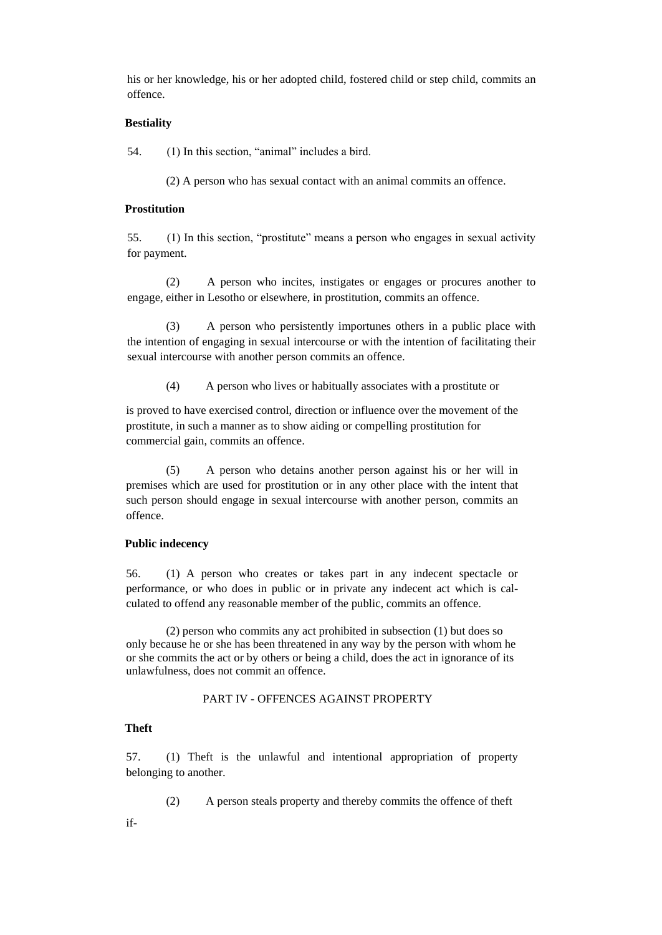his or her knowledge, his or her adopted child, fostered child or step child, commits an offence.

# **Bestiality**

54. (1) In this section, "animal" includes a bird.

(2) A person who has sexual contact with an animal commits an offence.

#### **Prostitution**

55. (1) In this section, "prostitute" means a person who engages in sexual activity for payment.

(2) A person who incites, instigates or engages or procures another to engage, either in Lesotho or elsewhere, in prostitution, commits an offence.

(3) A person who persistently importunes others in a public place with the intention of engaging in sexual intercourse or with the intention of facilitating their sexual intercourse with another person commits an offence.

(4) A person who lives or habitually associates with a prostitute or

is proved to have exercised control, direction or influence over the movement of the prostitute, in such a manner as to show aiding or compelling prostitution for commercial gain, commits an offence.

(5) A person who detains another person against his or her will in premises which are used for prostitution or in any other place with the intent that such person should engage in sexual intercourse with another person, commits an offence.

# **Public indecency**

56. (1) A person who creates or takes part in any indecent spectacle or performance, or who does in public or in private any indecent act which is calculated to offend any reasonable member of the public, commits an offence.

(2) person who commits any act prohibited in subsection (1) but does so only because he or she has been threatened in any way by the person with whom he or she commits the act or by others or being a child, does the act in ignorance of its unlawfulness, does not commit an offence.

PART IV - OFFENCES AGAINST PROPERTY

#### **Theft**

57. (1) Theft is the unlawful and intentional appropriation of property belonging to another.

(2) A person steals property and thereby commits the offence of theft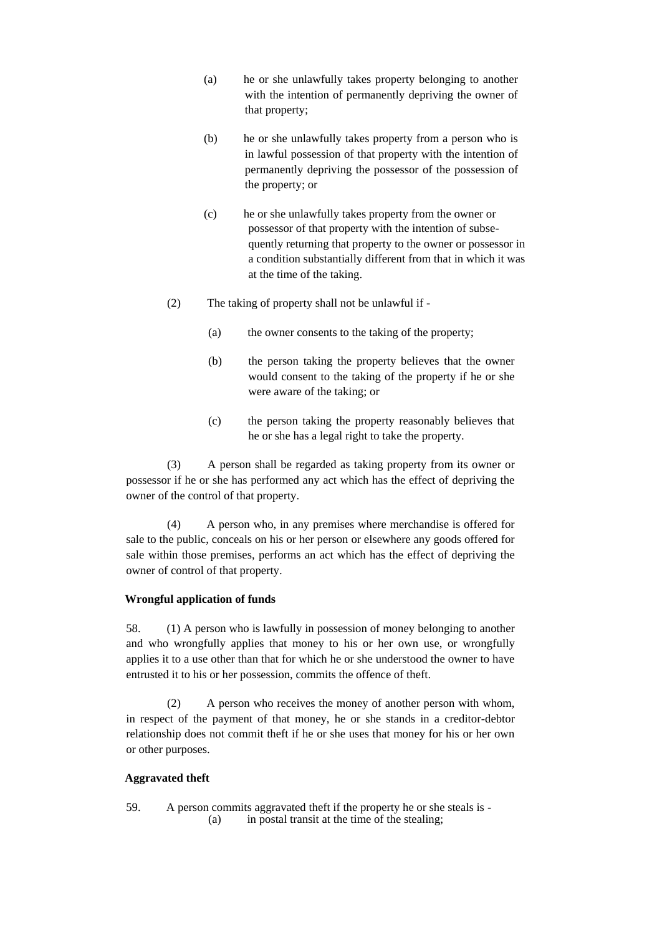- (a) he or she unlawfully takes property belonging to another with the intention of permanently depriving the owner of that property;
- (b) he or she unlawfully takes property from a person who is in lawful possession of that property with the intention of permanently depriving the possessor of the possession of the property; or
- (c) he or she unlawfully takes property from the owner or possessor of that property with the intention of subsequently returning that property to the owner or possessor in a condition substantially different from that in which it was at the time of the taking.
- (2) The taking of property shall not be unlawful if
	- (a) the owner consents to the taking of the property;
	- (b) the person taking the property believes that the owner would consent to the taking of the property if he or she were aware of the taking; or
	- (c) the person taking the property reasonably believes that he or she has a legal right to take the property.

(3) A person shall be regarded as taking property from its owner or possessor if he or she has performed any act which has the effect of depriving the owner of the control of that property.

(4) A person who, in any premises where merchandise is offered for sale to the public, conceals on his or her person or elsewhere any goods offered for sale within those premises, performs an act which has the effect of depriving the owner of control of that property.

# **Wrongful application of funds**

58. (1) A person who is lawfully in possession of money belonging to another and who wrongfully applies that money to his or her own use, or wrongfully applies it to a use other than that for which he or she understood the owner to have entrusted it to his or her possession, commits the offence of theft.

(2) A person who receives the money of another person with whom, in respect of the payment of that money, he or she stands in a creditor-debtor relationship does not commit theft if he or she uses that money for his or her own or other purposes.

# **Aggravated theft**

59. A person commits aggravated theft if the property he or she steals is - (a) in postal transit at the time of the stealing;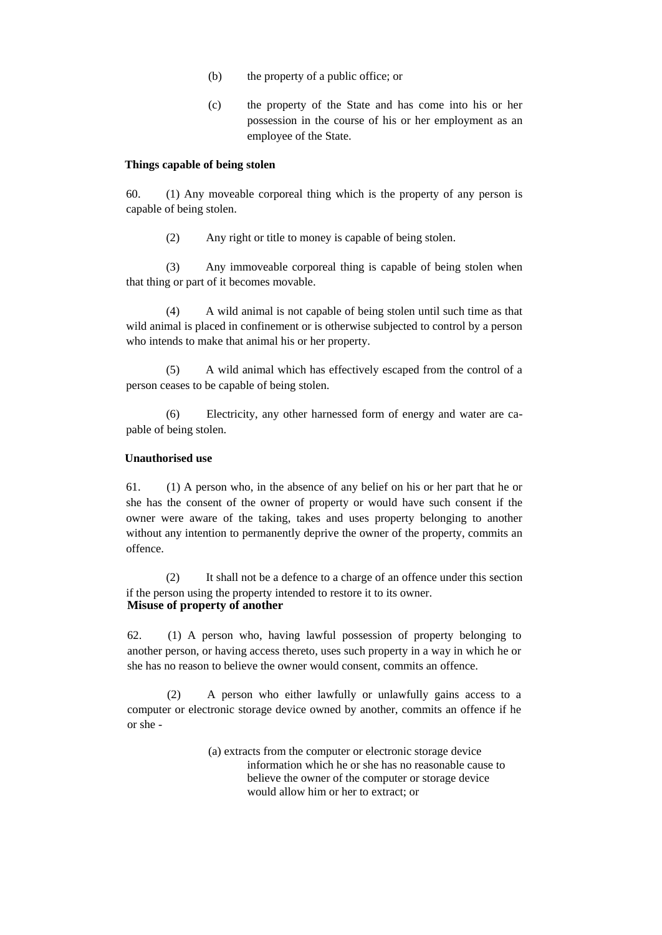- (b) the property of a public office; or
- (c) the property of the State and has come into his or her possession in the course of his or her employment as an employee of the State.

#### **Things capable of being stolen**

60. (1) Any moveable corporeal thing which is the property of any person is capable of being stolen.

(2) Any right or title to money is capable of being stolen.

(3) Any immoveable corporeal thing is capable of being stolen when that thing or part of it becomes movable.

(4) A wild animal is not capable of being stolen until such time as that wild animal is placed in confinement or is otherwise subjected to control by a person who intends to make that animal his or her property.

(5) A wild animal which has effectively escaped from the control of a person ceases to be capable of being stolen.

(6) Electricity, any other harnessed form of energy and water are capable of being stolen.

#### **Unauthorised use**

61. (1) A person who, in the absence of any belief on his or her part that he or she has the consent of the owner of property or would have such consent if the owner were aware of the taking, takes and uses property belonging to another without any intention to permanently deprive the owner of the property, commits an offence.

(2) It shall not be a defence to a charge of an offence under this section if the person using the property intended to restore it to its owner. **Misuse of property of another**

62. (1) A person who, having lawful possession of property belonging to another person, or having access thereto, uses such property in a way in which he or she has no reason to believe the owner would consent, commits an offence.

(2) A person who either lawfully or unlawfully gains access to a computer or electronic storage device owned by another, commits an offence if he or she -

> (a) extracts from the computer or electronic storage device information which he or she has no reasonable cause to believe the owner of the computer or storage device would allow him or her to extract; or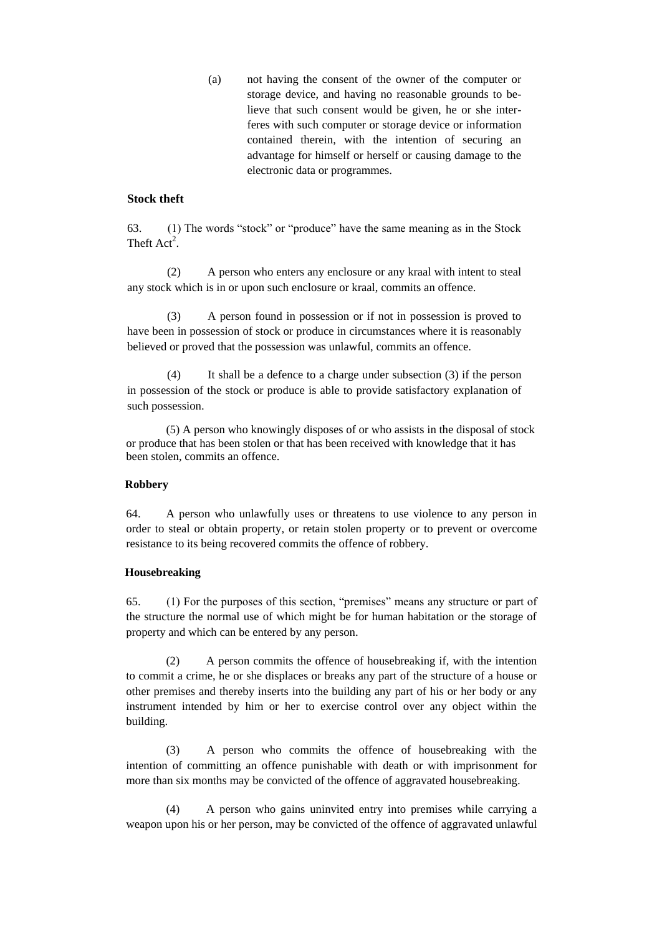(a) not having the consent of the owner of the computer or storage device, and having no reasonable grounds to believe that such consent would be given, he or she interferes with such computer or storage device or information contained therein, with the intention of securing an advantage for himself or herself or causing damage to the electronic data or programmes.

#### **Stock theft**

63. (1) The words "stock" or "produce" have the same meaning as in the Stock Theft  $Act^2$ .

(2) A person who enters any enclosure or any kraal with intent to steal any stock which is in or upon such enclosure or kraal, commits an offence.

(3) A person found in possession or if not in possession is proved to have been in possession of stock or produce in circumstances where it is reasonably believed or proved that the possession was unlawful, commits an offence.

(4) It shall be a defence to a charge under subsection (3) if the person in possession of the stock or produce is able to provide satisfactory explanation of such possession.

(5) A person who knowingly disposes of or who assists in the disposal of stock or produce that has been stolen or that has been received with knowledge that it has been stolen, commits an offence.

# **Robbery**

64. A person who unlawfully uses or threatens to use violence to any person in order to steal or obtain property, or retain stolen property or to prevent or overcome resistance to its being recovered commits the offence of robbery.

#### **Housebreaking**

65. (1) For the purposes of this section, "premises" means any structure or part of the structure the normal use of which might be for human habitation or the storage of property and which can be entered by any person.

(2) A person commits the offence of housebreaking if, with the intention to commit a crime, he or she displaces or breaks any part of the structure of a house or other premises and thereby inserts into the building any part of his or her body or any instrument intended by him or her to exercise control over any object within the building.

(3) A person who commits the offence of housebreaking with the intention of committing an offence punishable with death or with imprisonment for more than six months may be convicted of the offence of aggravated housebreaking.

(4) A person who gains uninvited entry into premises while carrying a weapon upon his or her person, may be convicted of the offence of aggravated unlawful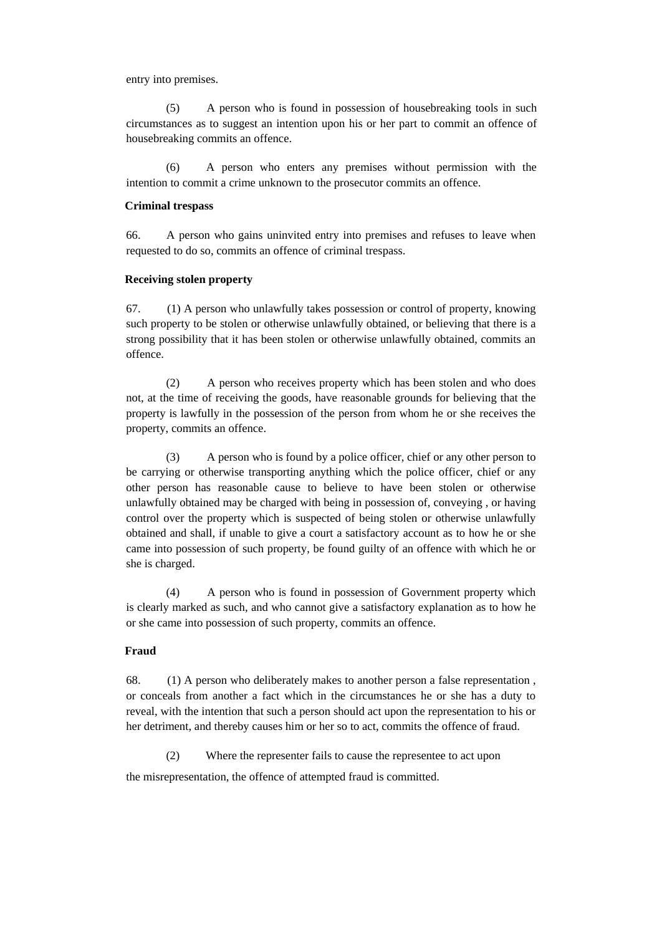entry into premises.

(5) A person who is found in possession of housebreaking tools in such circumstances as to suggest an intention upon his or her part to commit an offence of housebreaking commits an offence.

(6) A person who enters any premises without permission with the intention to commit a crime unknown to the prosecutor commits an offence.

#### **Criminal trespass**

66. A person who gains uninvited entry into premises and refuses to leave when requested to do so, commits an offence of criminal trespass.

#### **Receiving stolen property**

67. (1) A person who unlawfully takes possession or control of property, knowing such property to be stolen or otherwise unlawfully obtained, or believing that there is a strong possibility that it has been stolen or otherwise unlawfully obtained, commits an offence.

(2) A person who receives property which has been stolen and who does not, at the time of receiving the goods, have reasonable grounds for believing that the property is lawfully in the possession of the person from whom he or she receives the property, commits an offence.

(3) A person who is found by a police officer, chief or any other person to be carrying or otherwise transporting anything which the police officer, chief or any other person has reasonable cause to believe to have been stolen or otherwise unlawfully obtained may be charged with being in possession of, conveying , or having control over the property which is suspected of being stolen or otherwise unlawfully obtained and shall, if unable to give a court a satisfactory account as to how he or she came into possession of such property, be found guilty of an offence with which he or she is charged.

(4) A person who is found in possession of Government property which is clearly marked as such, and who cannot give a satisfactory explanation as to how he or she came into possession of such property, commits an offence.

#### **Fraud**

68. (1) A person who deliberately makes to another person a false representation , or conceals from another a fact which in the circumstances he or she has a duty to reveal, with the intention that such a person should act upon the representation to his or her detriment, and thereby causes him or her so to act, commits the offence of fraud.

(2) Where the representer fails to cause the representee to act upon

the misrepresentation, the offence of attempted fraud is committed.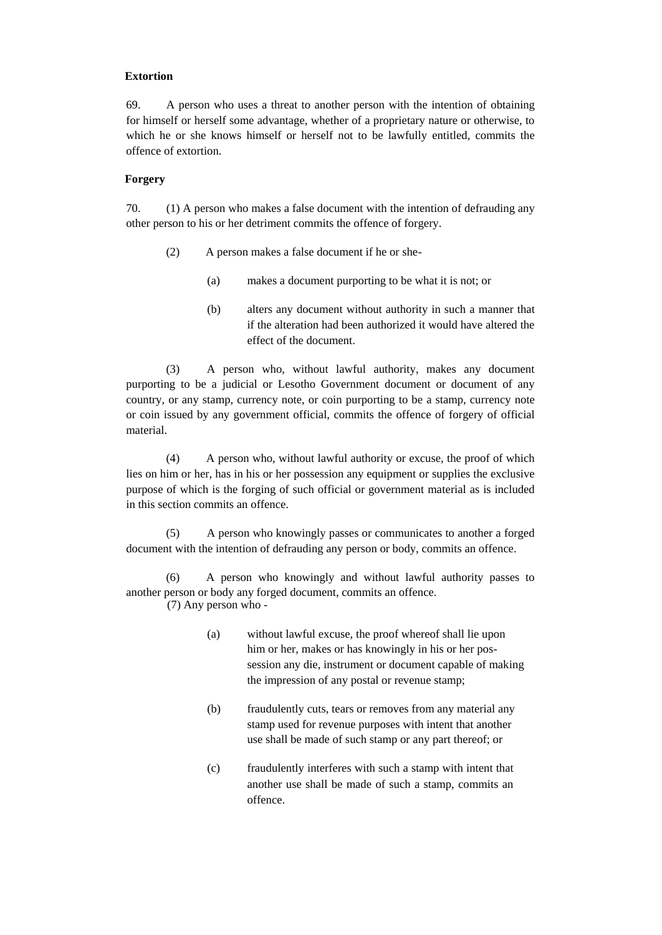#### **Extortion**

69. A person who uses a threat to another person with the intention of obtaining for himself or herself some advantage, whether of a proprietary nature or otherwise, to which he or she knows himself or herself not to be lawfully entitled, commits the offence of extortion.

# **Forgery**

70. (1) A person who makes a false document with the intention of defrauding any other person to his or her detriment commits the offence of forgery.

- (2) A person makes a false document if he or she-
	- (a) makes a document purporting to be what it is not; or
	- (b) alters any document without authority in such a manner that if the alteration had been authorized it would have altered the effect of the document.

(3) A person who, without lawful authority, makes any document purporting to be a judicial or Lesotho Government document or document of any country, or any stamp, currency note, or coin purporting to be a stamp, currency note or coin issued by any government official, commits the offence of forgery of official material.

(4) A person who, without lawful authority or excuse, the proof of which lies on him or her, has in his or her possession any equipment or supplies the exclusive purpose of which is the forging of such official or government material as is included in this section commits an offence.

(5) A person who knowingly passes or communicates to another a forged document with the intention of defrauding any person or body, commits an offence.

(6) A person who knowingly and without lawful authority passes to another person or body any forged document, commits an offence.

(7) Any person who -

- (a) without lawful excuse, the proof whereof shall lie upon him or her, makes or has knowingly in his or her possession any die, instrument or document capable of making the impression of any postal or revenue stamp;
- (b) fraudulently cuts, tears or removes from any material any stamp used for revenue purposes with intent that another use shall be made of such stamp or any part thereof; or
- (c) fraudulently interferes with such a stamp with intent that another use shall be made of such a stamp, commits an offence.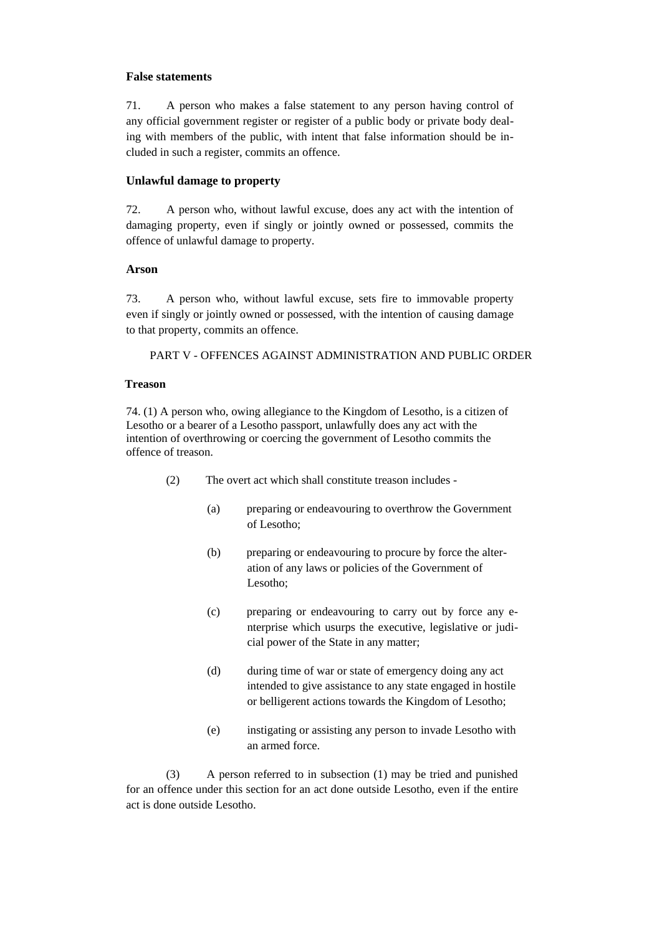# **False statements**

71. A person who makes a false statement to any person having control of any official government register or register of a public body or private body dealing with members of the public, with intent that false information should be included in such a register, commits an offence.

# **Unlawful damage to property**

72. A person who, without lawful excuse, does any act with the intention of damaging property, even if singly or jointly owned or possessed, commits the offence of unlawful damage to property.

# **Arson**

73. A person who, without lawful excuse, sets fire to immovable property even if singly or jointly owned or possessed, with the intention of causing damage to that property, commits an offence.

PART V - OFFENCES AGAINST ADMINISTRATION AND PUBLIC ORDER

# **Treason**

74. (1) A person who, owing allegiance to the Kingdom of Lesotho, is a citizen of Lesotho or a bearer of a Lesotho passport, unlawfully does any act with the intention of overthrowing or coercing the government of Lesotho commits the offence of treason.

- (2) The overt act which shall constitute treason includes
	- (a) preparing or endeavouring to overthrow the Government of Lesotho;
	- (b) preparing or endeavouring to procure by force the alteration of any laws or policies of the Government of Lesotho;
	- (c) preparing or endeavouring to carry out by force any enterprise which usurps the executive, legislative or judicial power of the State in any matter;
	- (d) during time of war or state of emergency doing any act intended to give assistance to any state engaged in hostile or belligerent actions towards the Kingdom of Lesotho;
	- (e) instigating or assisting any person to invade Lesotho with an armed force.

(3) A person referred to in subsection (1) may be tried and punished for an offence under this section for an act done outside Lesotho, even if the entire act is done outside Lesotho.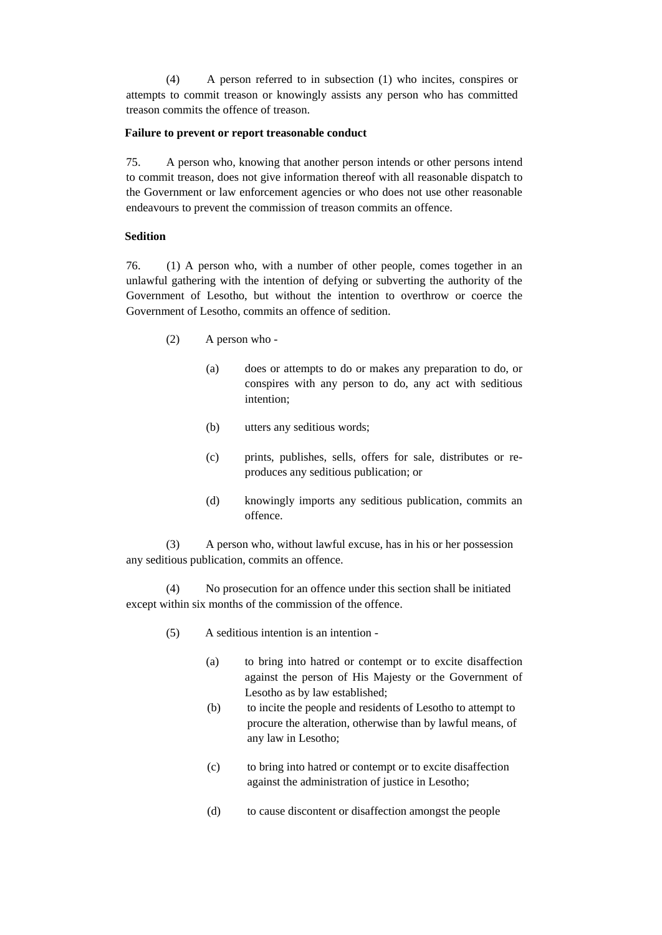(4) A person referred to in subsection (1) who incites, conspires or attempts to commit treason or knowingly assists any person who has committed treason commits the offence of treason.

#### **Failure to prevent or report treasonable conduct**

75. A person who, knowing that another person intends or other persons intend to commit treason, does not give information thereof with all reasonable dispatch to the Government or law enforcement agencies or who does not use other reasonable endeavours to prevent the commission of treason commits an offence.

# **Sedition**

76. (1) A person who, with a number of other people, comes together in an unlawful gathering with the intention of defying or subverting the authority of the Government of Lesotho, but without the intention to overthrow or coerce the Government of Lesotho, commits an offence of sedition.

- (2) A person who
	- (a) does or attempts to do or makes any preparation to do, or conspires with any person to do, any act with seditious intention;
	- (b) utters any seditious words;
	- (c) prints, publishes, sells, offers for sale, distributes or reproduces any seditious publication; or
	- (d) knowingly imports any seditious publication, commits an offence.

(3) A person who, without lawful excuse, has in his or her possession any seditious publication, commits an offence.

(4) No prosecution for an offence under this section shall be initiated except within six months of the commission of the offence.

- (5) A seditious intention is an intention
	- (a) to bring into hatred or contempt or to excite disaffection against the person of His Majesty or the Government of Lesotho as by law established;
	- (b) to incite the people and residents of Lesotho to attempt to procure the alteration, otherwise than by lawful means, of any law in Lesotho;
	- (c) to bring into hatred or contempt or to excite disaffection against the administration of justice in Lesotho;
	- (d) to cause discontent or disaffection amongst the people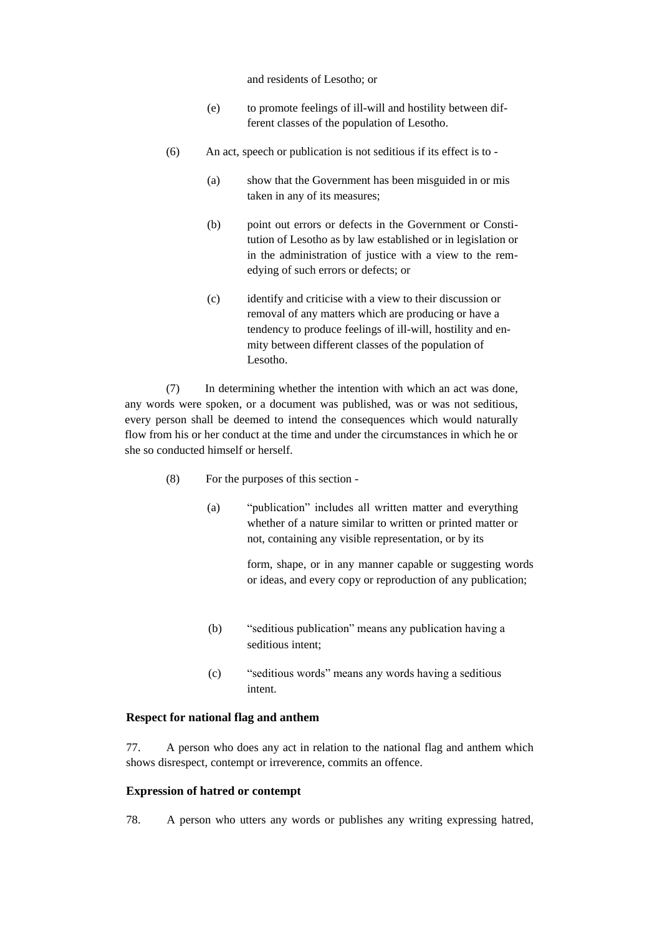and residents of Lesotho; or

- (e) to promote feelings of ill-will and hostility between different classes of the population of Lesotho.
- (6) An act, speech or publication is not seditious if its effect is to
	- (a) show that the Government has been misguided in or mis taken in any of its measures;
	- (b) point out errors or defects in the Government or Constitution of Lesotho as by law established or in legislation or in the administration of justice with a view to the remedying of such errors or defects; or
	- (c) identify and criticise with a view to their discussion or removal of any matters which are producing or have a tendency to produce feelings of ill-will, hostility and enmity between different classes of the population of Lesotho.

(7) In determining whether the intention with which an act was done, any words were spoken, or a document was published, was or was not seditious, every person shall be deemed to intend the consequences which would naturally flow from his or her conduct at the time and under the circumstances in which he or she so conducted himself or herself.

- (8) For the purposes of this section
	- (a) "publication" includes all written matter and everything whether of a nature similar to written or printed matter or not, containing any visible representation, or by its

form, shape, or in any manner capable or suggesting words or ideas, and every copy or reproduction of any publication;

- (b) "seditious publication" means any publication having a seditious intent;
- (c) "seditious words" means any words having a seditious intent.

# **Respect for national flag and anthem**

77. A person who does any act in relation to the national flag and anthem which shows disrespect, contempt or irreverence, commits an offence.

#### **Expression of hatred or contempt**

78. A person who utters any words or publishes any writing expressing hatred,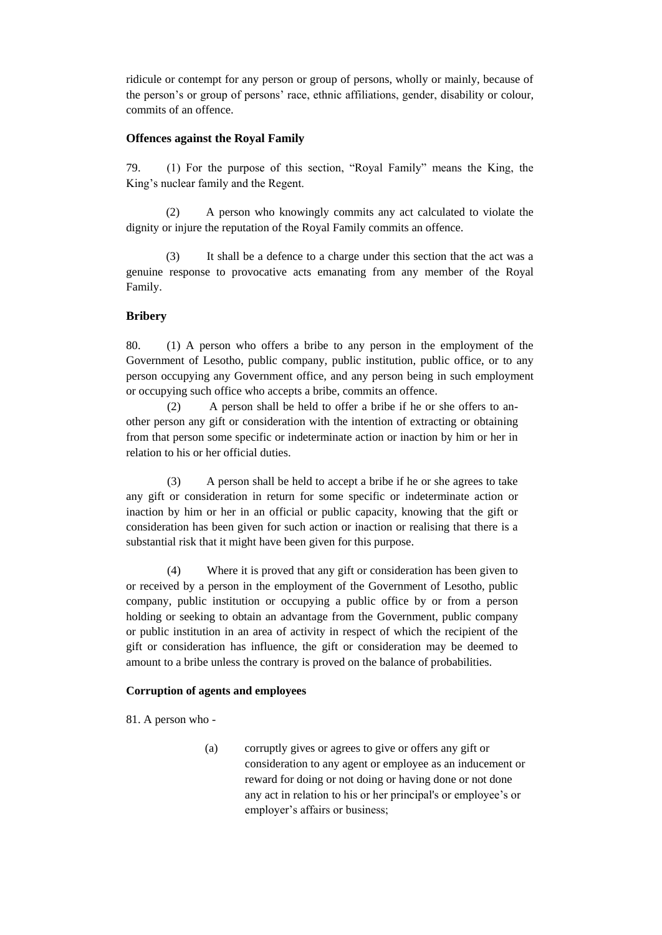ridicule or contempt for any person or group of persons, wholly or mainly, because of the person's or group of persons' race, ethnic affiliations, gender, disability or colour, commits of an offence.

# **Offences against the Royal Family**

79. (1) For the purpose of this section, "Royal Family" means the King, the King's nuclear family and the Regent.

(2) A person who knowingly commits any act calculated to violate the dignity or injure the reputation of the Royal Family commits an offence.

(3) It shall be a defence to a charge under this section that the act was a genuine response to provocative acts emanating from any member of the Royal Family.

# **Bribery**

80. (1) A person who offers a bribe to any person in the employment of the Government of Lesotho, public company, public institution, public office, or to any person occupying any Government office, and any person being in such employment or occupying such office who accepts a bribe, commits an offence.

(2) A person shall be held to offer a bribe if he or she offers to another person any gift or consideration with the intention of extracting or obtaining from that person some specific or indeterminate action or inaction by him or her in relation to his or her official duties.

(3) A person shall be held to accept a bribe if he or she agrees to take any gift or consideration in return for some specific or indeterminate action or inaction by him or her in an official or public capacity, knowing that the gift or consideration has been given for such action or inaction or realising that there is a substantial risk that it might have been given for this purpose.

(4) Where it is proved that any gift or consideration has been given to or received by a person in the employment of the Government of Lesotho, public company, public institution or occupying a public office by or from a person holding or seeking to obtain an advantage from the Government, public company or public institution in an area of activity in respect of which the recipient of the gift or consideration has influence, the gift or consideration may be deemed to amount to a bribe unless the contrary is proved on the balance of probabilities.

#### **Corruption of agents and employees**

81. A person who -

(a) corruptly gives or agrees to give or offers any gift or consideration to any agent or employee as an inducement or reward for doing or not doing or having done or not done any act in relation to his or her principal's or employee's or employer's affairs or business;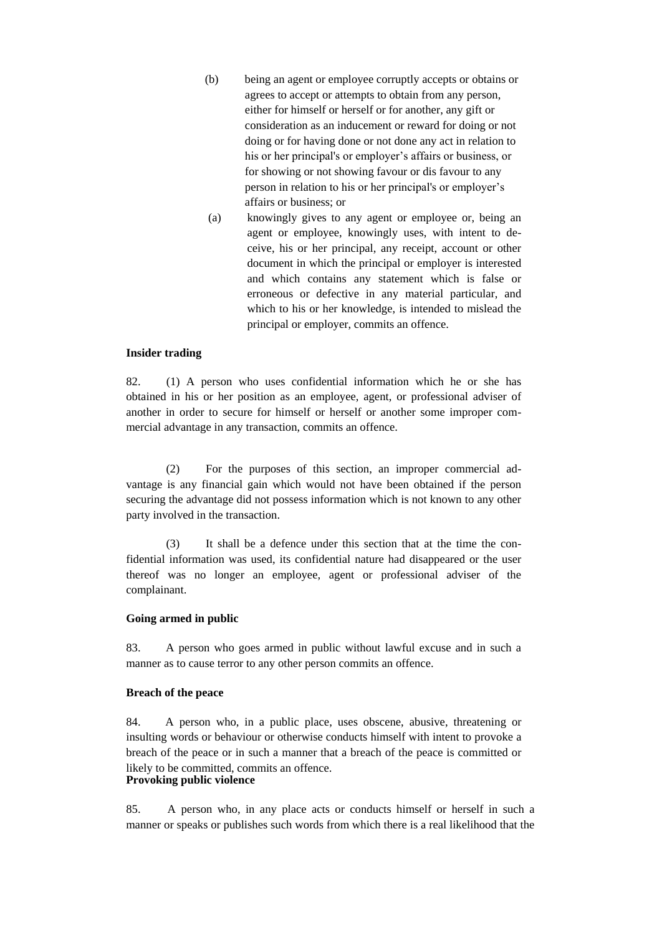- (b) being an agent or employee corruptly accepts or obtains or agrees to accept or attempts to obtain from any person, either for himself or herself or for another, any gift or consideration as an inducement or reward for doing or not doing or for having done or not done any act in relation to his or her principal's or employer's affairs or business, or for showing or not showing favour or dis favour to any person in relation to his or her principal's or employer's affairs or business; or
- (a) knowingly gives to any agent or employee or, being an agent or employee, knowingly uses, with intent to deceive, his or her principal, any receipt, account or other document in which the principal or employer is interested and which contains any statement which is false or erroneous or defective in any material particular, and which to his or her knowledge, is intended to mislead the principal or employer, commits an offence.

# **Insider trading**

82. (1) A person who uses confidential information which he or she has obtained in his or her position as an employee, agent, or professional adviser of another in order to secure for himself or herself or another some improper commercial advantage in any transaction, commits an offence.

(2) For the purposes of this section, an improper commercial advantage is any financial gain which would not have been obtained if the person securing the advantage did not possess information which is not known to any other party involved in the transaction.

(3) It shall be a defence under this section that at the time the confidential information was used, its confidential nature had disappeared or the user thereof was no longer an employee, agent or professional adviser of the complainant.

#### **Going armed in public**

83. A person who goes armed in public without lawful excuse and in such a manner as to cause terror to any other person commits an offence.

#### **Breach of the peace**

84. A person who, in a public place, uses obscene, abusive, threatening or insulting words or behaviour or otherwise conducts himself with intent to provoke a breach of the peace or in such a manner that a breach of the peace is committed or likely to be committed, commits an offence. **Provoking public violence**

85. A person who, in any place acts or conducts himself or herself in such a manner or speaks or publishes such words from which there is a real likelihood that the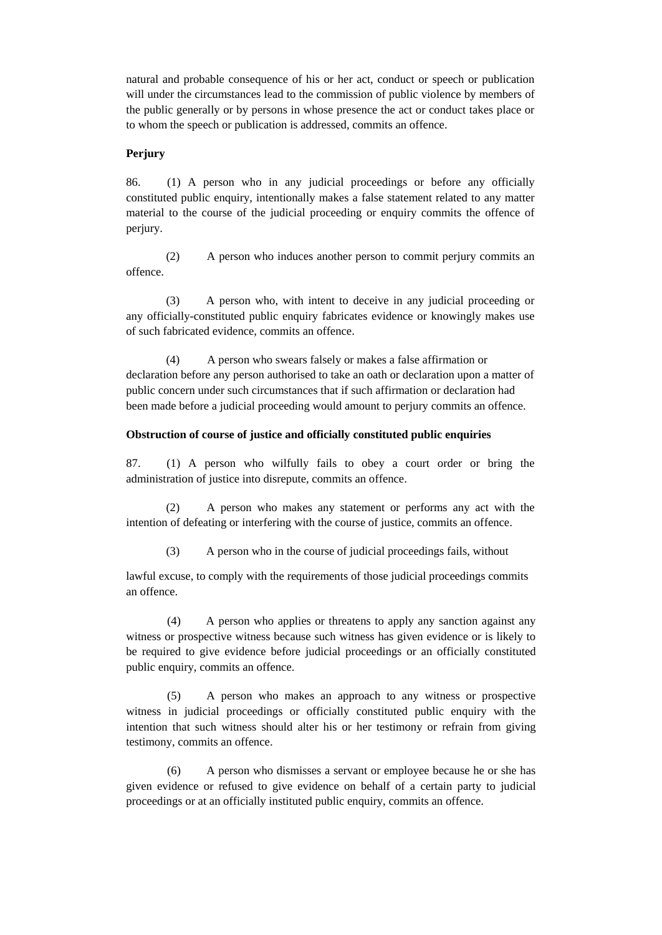natural and probable consequence of his or her act, conduct or speech or publication will under the circumstances lead to the commission of public violence by members of the public generally or by persons in whose presence the act or conduct takes place or to whom the speech or publication is addressed, commits an offence.

# **Perjury**

86. (1) A person who in any judicial proceedings or before any officially constituted public enquiry, intentionally makes a false statement related to any matter material to the course of the judicial proceeding or enquiry commits the offence of perjury.

(2) A person who induces another person to commit perjury commits an offence.

(3) A person who, with intent to deceive in any judicial proceeding or any officially-constituted public enquiry fabricates evidence or knowingly makes use of such fabricated evidence, commits an offence.

(4) A person who swears falsely or makes a false affirmation or declaration before any person authorised to take an oath or declaration upon a matter of public concern under such circumstances that if such affirmation or declaration had been made before a judicial proceeding would amount to perjury commits an offence.

#### **Obstruction of course of justice and officially constituted public enquiries**

87. (1) A person who wilfully fails to obey a court order or bring the administration of justice into disrepute, commits an offence.

(2) A person who makes any statement or performs any act with the intention of defeating or interfering with the course of justice, commits an offence.

(3) A person who in the course of judicial proceedings fails, without

lawful excuse, to comply with the requirements of those judicial proceedings commits an offence.

(4) A person who applies or threatens to apply any sanction against any witness or prospective witness because such witness has given evidence or is likely to be required to give evidence before judicial proceedings or an officially constituted public enquiry, commits an offence.

(5) A person who makes an approach to any witness or prospective witness in judicial proceedings or officially constituted public enquiry with the intention that such witness should alter his or her testimony or refrain from giving testimony, commits an offence.

(6) A person who dismisses a servant or employee because he or she has given evidence or refused to give evidence on behalf of a certain party to judicial proceedings or at an officially instituted public enquiry, commits an offence.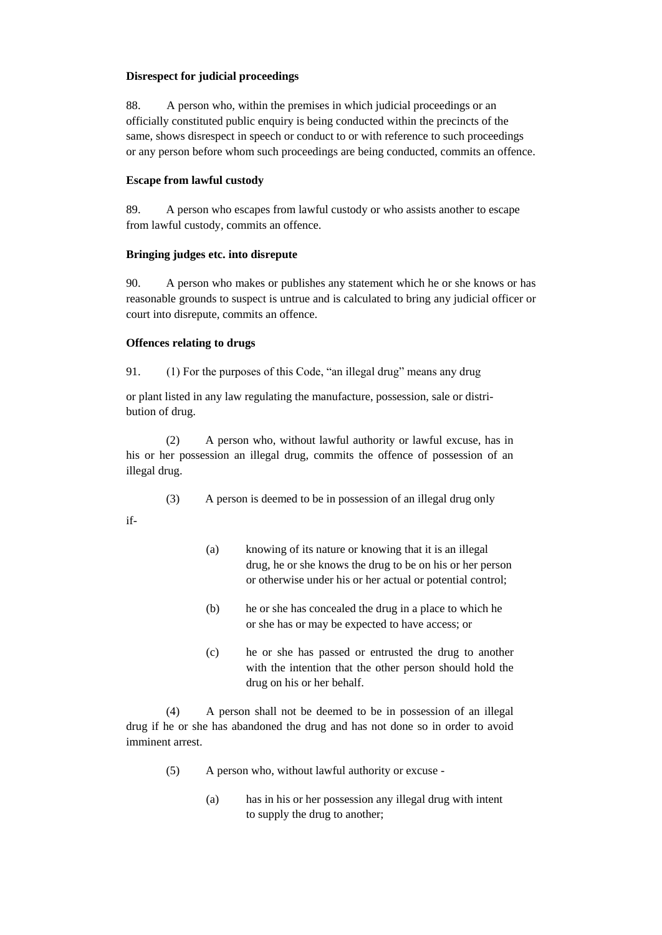# **Disrespect for judicial proceedings**

88. A person who, within the premises in which judicial proceedings or an officially constituted public enquiry is being conducted within the precincts of the same, shows disrespect in speech or conduct to or with reference to such proceedings or any person before whom such proceedings are being conducted, commits an offence.

#### **Escape from lawful custody**

89. A person who escapes from lawful custody or who assists another to escape from lawful custody, commits an offence.

# **Bringing judges etc. into disrepute**

90. A person who makes or publishes any statement which he or she knows or has reasonable grounds to suspect is untrue and is calculated to bring any judicial officer or court into disrepute, commits an offence.

# **Offences relating to drugs**

91. (1) For the purposes of this Code, "an illegal drug" means any drug

or plant listed in any law regulating the manufacture, possession, sale or distribution of drug.

(2) A person who, without lawful authority or lawful excuse, has in his or her possession an illegal drug, commits the offence of possession of an illegal drug.

(3) A person is deemed to be in possession of an illegal drug only

if-

- (a) knowing of its nature or knowing that it is an illegal drug, he or she knows the drug to be on his or her person or otherwise under his or her actual or potential control;
- (b) he or she has concealed the drug in a place to which he or she has or may be expected to have access; or
- (c) he or she has passed or entrusted the drug to another with the intention that the other person should hold the drug on his or her behalf.

(4) A person shall not be deemed to be in possession of an illegal drug if he or she has abandoned the drug and has not done so in order to avoid imminent arrest.

- (5) A person who, without lawful authority or excuse
	- (a) has in his or her possession any illegal drug with intent to supply the drug to another;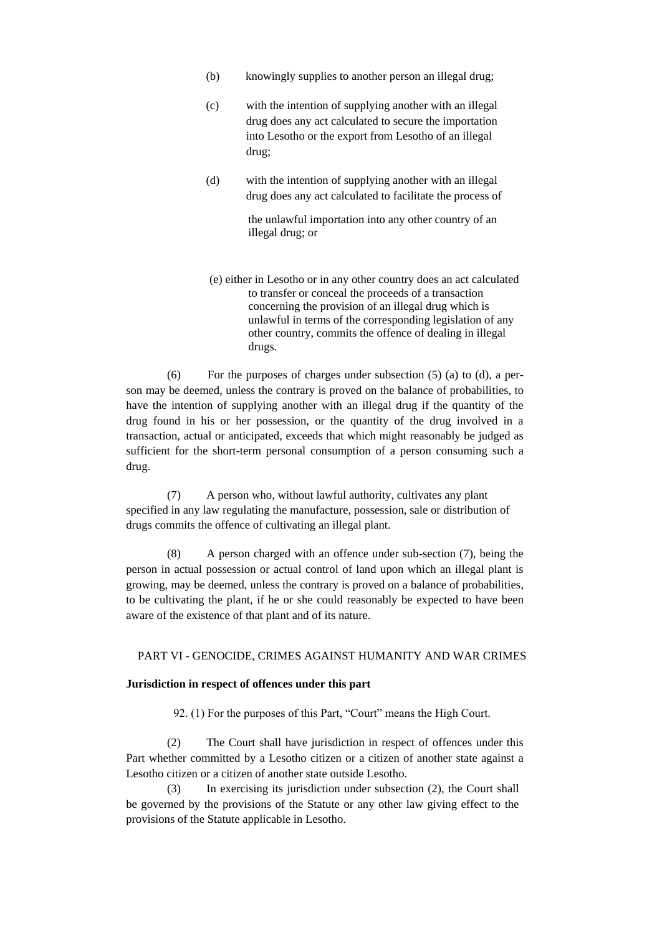- (b) knowingly supplies to another person an illegal drug;
- (c) with the intention of supplying another with an illegal drug does any act calculated to secure the importation into Lesotho or the export from Lesotho of an illegal drug;
- (d) with the intention of supplying another with an illegal drug does any act calculated to facilitate the process of

the unlawful importation into any other country of an illegal drug; or

(e) either in Lesotho or in any other country does an act calculated to transfer or conceal the proceeds of a transaction concerning the provision of an illegal drug which is unlawful in terms of the corresponding legislation of any other country, commits the offence of dealing in illegal drugs.

(6) For the purposes of charges under subsection  $(5)$  (a) to  $(d)$ , a person may be deemed, unless the contrary is proved on the balance of probabilities, to have the intention of supplying another with an illegal drug if the quantity of the drug found in his or her possession, or the quantity of the drug involved in a transaction, actual or anticipated, exceeds that which might reasonably be judged as sufficient for the short-term personal consumption of a person consuming such a drug.

(7) A person who, without lawful authority, cultivates any plant specified in any law regulating the manufacture, possession, sale or distribution of drugs commits the offence of cultivating an illegal plant.

(8) A person charged with an offence under sub-section (7), being the person in actual possession or actual control of land upon which an illegal plant is growing, may be deemed, unless the contrary is proved on a balance of probabilities, to be cultivating the plant, if he or she could reasonably be expected to have been aware of the existence of that plant and of its nature.

## PART VI - GENOCIDE, CRIMES AGAINST HUMANITY AND WAR CRIMES

#### **Jurisdiction in respect of offences under this part**

92. (1) For the purposes of this Part, "Court" means the High Court.

(2) The Court shall have jurisdiction in respect of offences under this Part whether committed by a Lesotho citizen or a citizen of another state against a Lesotho citizen or a citizen of another state outside Lesotho.

(3) In exercising its jurisdiction under subsection (2), the Court shall be governed by the provisions of the Statute or any other law giving effect to the provisions of the Statute applicable in Lesotho.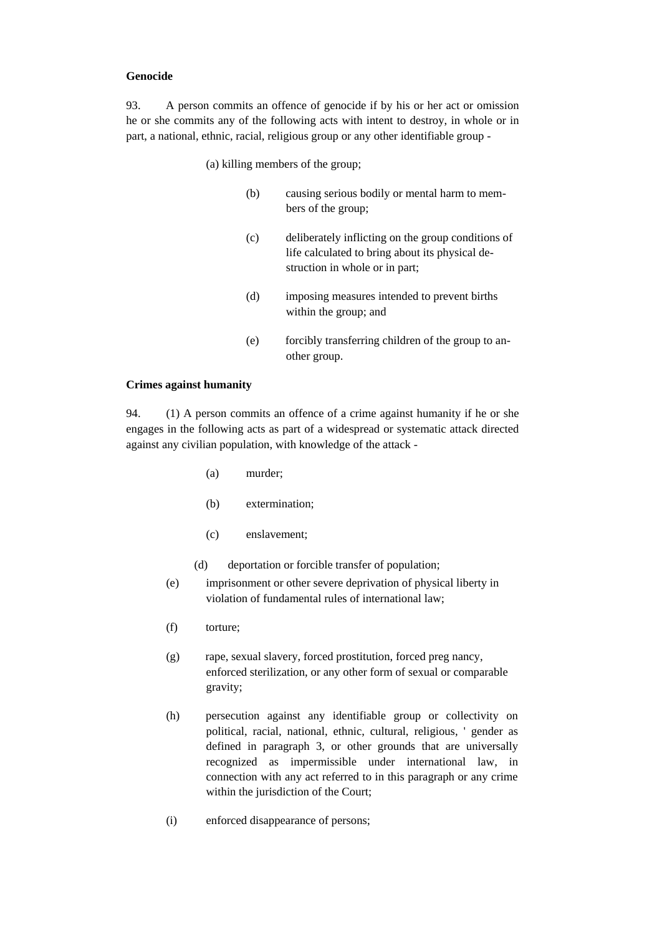## **Genocide**

93. A person commits an offence of genocide if by his or her act or omission he or she commits any of the following acts with intent to destroy, in whole or in part, a national, ethnic, racial, religious group or any other identifiable group -

(a) killing members of the group;

- (b) causing serious bodily or mental harm to members of the group;
- (c) deliberately inflicting on the group conditions of life calculated to bring about its physical destruction in whole or in part;
- (d) imposing measures intended to prevent births within the group; and
- (e) forcibly transferring children of the group to another group.

## **Crimes against humanity**

94. (1) A person commits an offence of a crime against humanity if he or she engages in the following acts as part of a widespread or systematic attack directed against any civilian population, with knowledge of the attack -

- (a) murder;
- (b) extermination;
- (c) enslavement;
- (d) deportation or forcible transfer of population;
- (e) imprisonment or other severe deprivation of physical liberty in violation of fundamental rules of international law;
- (f) torture;
- (g) rape, sexual slavery, forced prostitution, forced preg nancy, enforced sterilization, or any other form of sexual or comparable gravity;
- (h) persecution against any identifiable group or collectivity on political, racial, national, ethnic, cultural, religious, ' gender as defined in paragraph 3, or other grounds that are universally recognized as impermissible under international law, in connection with any act referred to in this paragraph or any crime within the jurisdiction of the Court;
- (i) enforced disappearance of persons;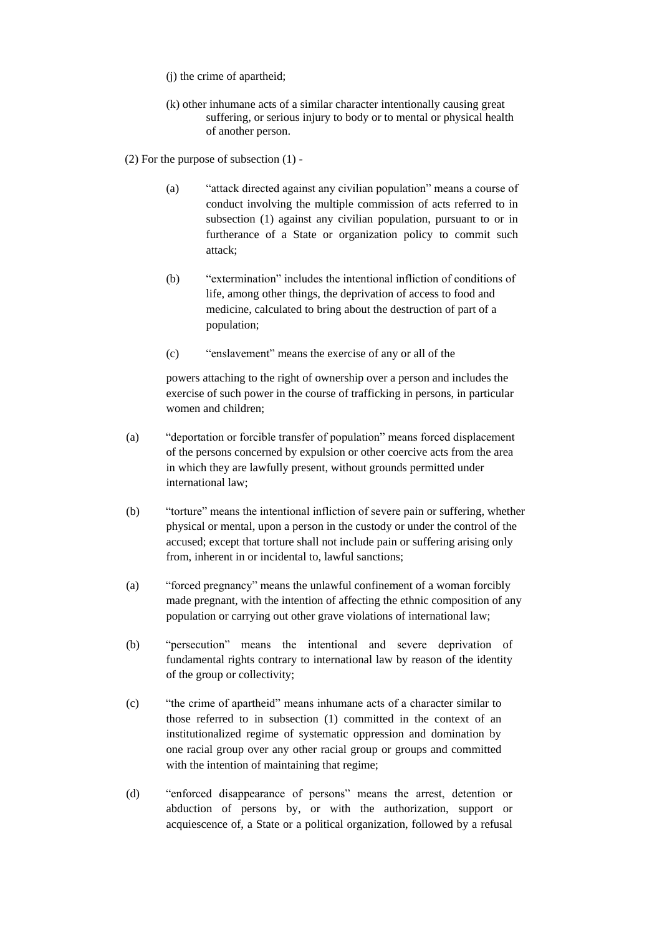- (j) the crime of apartheid;
- (k) other inhumane acts of a similar character intentionally causing great suffering, or serious injury to body or to mental or physical health of another person.
- (2) For the purpose of subsection (1)
	- (a) "attack directed against any civilian population" means a course of conduct involving the multiple commission of acts referred to in subsection (1) against any civilian population, pursuant to or in furtherance of a State or organization policy to commit such attack;
	- (b) "extermination" includes the intentional infliction of conditions of life, among other things, the deprivation of access to food and medicine, calculated to bring about the destruction of part of a population;
	- (c) "enslavement" means the exercise of any or all of the

powers attaching to the right of ownership over a person and includes the exercise of such power in the course of trafficking in persons, in particular women and children;

- (a) "deportation or forcible transfer of population" means forced displacement of the persons concerned by expulsion or other coercive acts from the area in which they are lawfully present, without grounds permitted under international law;
- (b) "torture" means the intentional infliction of severe pain or suffering, whether physical or mental, upon a person in the custody or under the control of the accused; except that torture shall not include pain or suffering arising only from, inherent in or incidental to, lawful sanctions;
- (a) "forced pregnancy" means the unlawful confinement of a woman forcibly made pregnant, with the intention of affecting the ethnic composition of any population or carrying out other grave violations of international law;
- (b) "persecution" means the intentional and severe deprivation of fundamental rights contrary to international law by reason of the identity of the group or collectivity;
- (c) "the crime of apartheid" means inhumane acts of a character similar to those referred to in subsection (1) committed in the context of an institutionalized regime of systematic oppression and domination by one racial group over any other racial group or groups and committed with the intention of maintaining that regime;
- (d) "enforced disappearance of persons" means the arrest, detention or abduction of persons by, or with the authorization, support or acquiescence of, a State or a political organization, followed by a refusal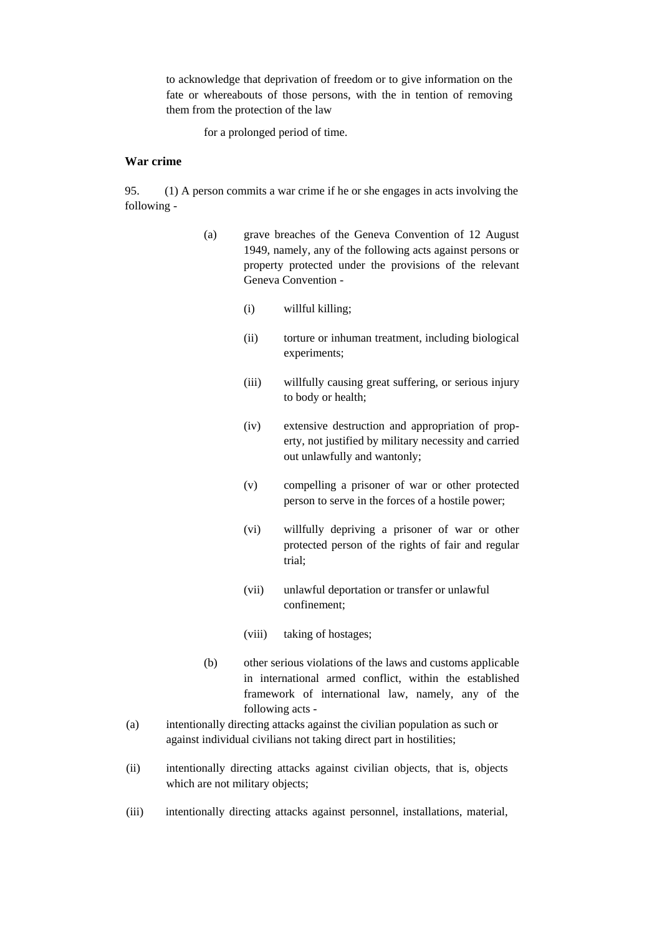to acknowledge that deprivation of freedom or to give information on the fate or whereabouts of those persons, with the in tention of removing them from the protection of the law

for a prolonged period of time.

#### **War crime**

95. (1) A person commits a war crime if he or she engages in acts involving the following -

- (a) grave breaches of the Geneva Convention of 12 August 1949, namely, any of the following acts against persons or property protected under the provisions of the relevant Geneva Convention -
	- (i) willful killing;
	- (ii) torture or inhuman treatment, including biological experiments;
	- (iii) willfully causing great suffering, or serious injury to body or health;
	- (iv) extensive destruction and appropriation of property, not justified by military necessity and carried out unlawfully and wantonly;
	- (v) compelling a prisoner of war or other protected person to serve in the forces of a hostile power;
	- (vi) willfully depriving a prisoner of war or other protected person of the rights of fair and regular trial;
	- (vii) unlawful deportation or transfer or unlawful confinement;
	- (viii) taking of hostages;
- (b) other serious violations of the laws and customs applicable in international armed conflict, within the established framework of international law, namely, any of the following acts -
- (a) intentionally directing attacks against the civilian population as such or against individual civilians not taking direct part in hostilities;
- (ii) intentionally directing attacks against civilian objects, that is, objects which are not military objects;
- (iii) intentionally directing attacks against personnel, installations, material,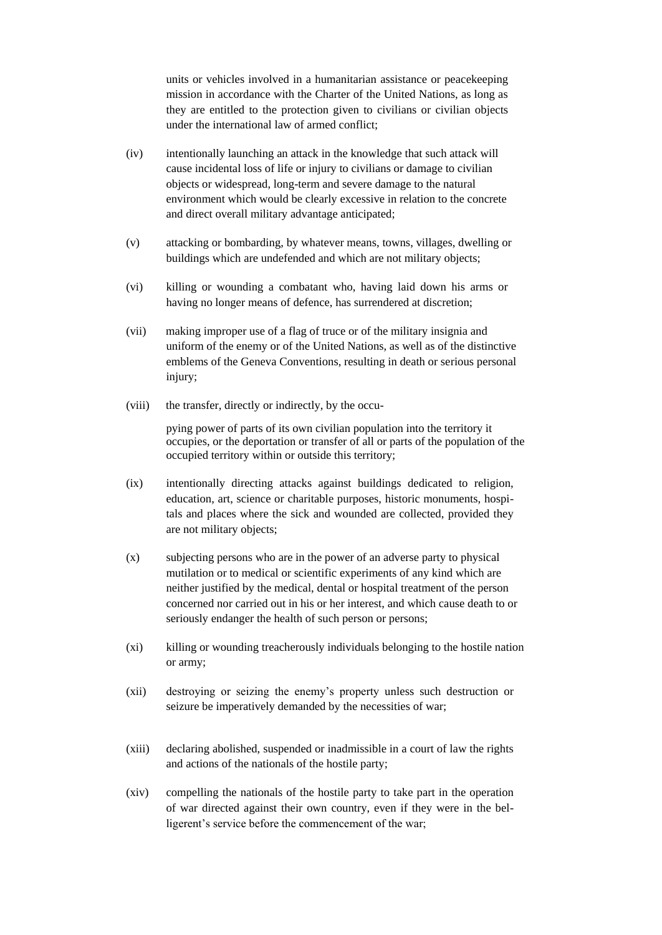units or vehicles involved in a humanitarian assistance or peacekeeping mission in accordance with the Charter of the United Nations, as long as they are entitled to the protection given to civilians or civilian objects under the international law of armed conflict;

- (iv) intentionally launching an attack in the knowledge that such attack will cause incidental loss of life or injury to civilians or damage to civilian objects or widespread, long-term and severe damage to the natural environment which would be clearly excessive in relation to the concrete and direct overall military advantage anticipated;
- (v) attacking or bombarding, by whatever means, towns, villages, dwelling or buildings which are undefended and which are not military objects;
- (vi) killing or wounding a combatant who, having laid down his arms or having no longer means of defence, has surrendered at discretion;
- (vii) making improper use of a flag of truce or of the military insignia and uniform of the enemy or of the United Nations, as well as of the distinctive emblems of the Geneva Conventions, resulting in death or serious personal injury;
- (viii) the transfer, directly or indirectly, by the occu-

pying power of parts of its own civilian population into the territory it occupies, or the deportation or transfer of all or parts of the population of the occupied territory within or outside this territory;

- (ix) intentionally directing attacks against buildings dedicated to religion, education, art, science or charitable purposes, historic monuments, hospitals and places where the sick and wounded are collected, provided they are not military objects;
- (x) subjecting persons who are in the power of an adverse party to physical mutilation or to medical or scientific experiments of any kind which are neither justified by the medical, dental or hospital treatment of the person concerned nor carried out in his or her interest, and which cause death to or seriously endanger the health of such person or persons;
- (xi) killing or wounding treacherously individuals belonging to the hostile nation or army;
- (xii) destroying or seizing the enemy's property unless such destruction or seizure be imperatively demanded by the necessities of war;
- (xiii) declaring abolished, suspended or inadmissible in a court of law the rights and actions of the nationals of the hostile party;
- (xiv) compelling the nationals of the hostile party to take part in the operation of war directed against their own country, even if they were in the belligerent's service before the commencement of the war;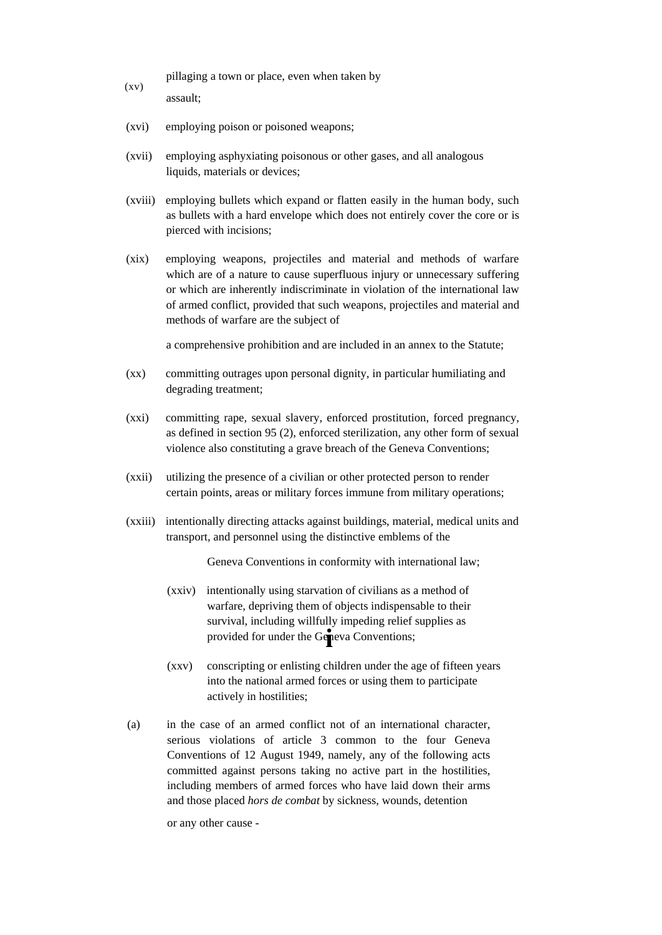- $(xv)$ pillaging a town or place, even when taken by assault;
- (xvi) employing poison or poisoned weapons;
- (xvii) employing asphyxiating poisonous or other gases, and all analogous liquids, materials or devices;
- (xviii) employing bullets which expand or flatten easily in the human body, such as bullets with a hard envelope which does not entirely cover the core or is pierced with incisions;
- (xix) employing weapons, projectiles and material and methods of warfare which are of a nature to cause superfluous injury or unnecessary suffering or which are inherently indiscriminate in violation of the international law of armed conflict, provided that such weapons, projectiles and material and methods of warfare are the subject of

a comprehensive prohibition and are included in an annex to the Statute;

- (xx) committing outrages upon personal dignity, in particular humiliating and degrading treatment;
- (xxi) committing rape, sexual slavery, enforced prostitution, forced pregnancy, as defined in section 95 (2), enforced sterilization, any other form of sexual violence also constituting a grave breach of the Geneva Conventions;
- (xxii) utilizing the presence of a civilian or other protected person to render certain points, areas or military forces immune from military operations;
- (xxiii) intentionally directing attacks against buildings, material, medical units and transport, and personnel using the distinctive emblems of the

Geneva Conventions in conformity with international law;

- (xxiv) intentionally using starvation of civilians as a method of warfare, depriving them of objects indispensable to their survival, including willfully impeding relief supplies as provided for under the Geneva Conventions; **i**
- (xxv) conscripting or enlisting children under the age of fifteen years into the national armed forces or using them to participate actively in hostilities;
- (a) in the case of an armed conflict not of an international character, serious violations of article 3 common to the four Geneva Conventions of 12 August 1949, namely, any of the following acts committed against persons taking no active part in the hostilities, including members of armed forces who have laid down their arms and those placed *hors de combat* by sickness, wounds, detention

or any other cause -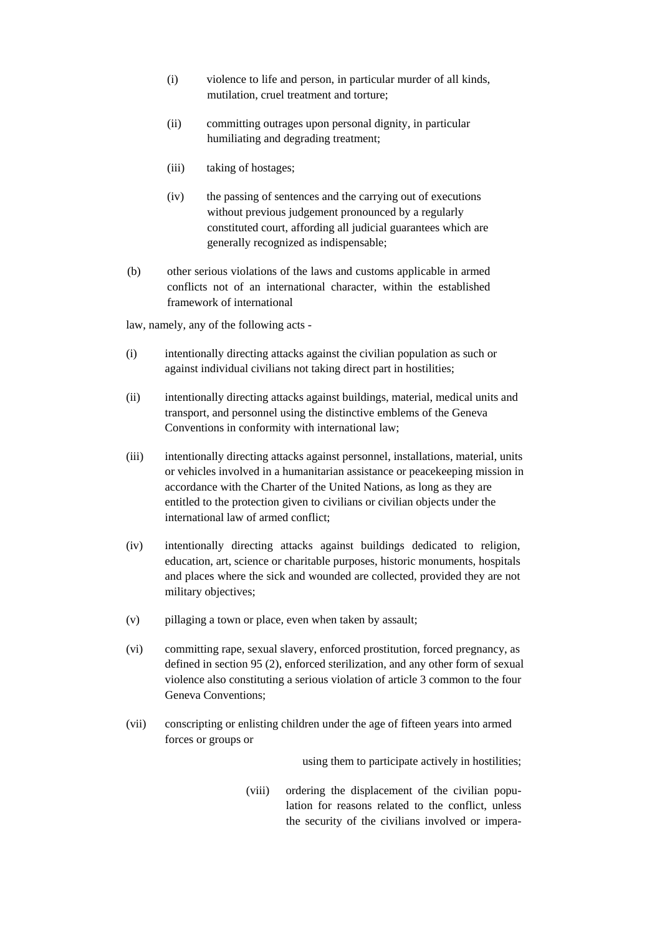- (i) violence to life and person, in particular murder of all kinds, mutilation, cruel treatment and torture;
- (ii) committing outrages upon personal dignity, in particular humiliating and degrading treatment;
- (iii) taking of hostages;
- (iv) the passing of sentences and the carrying out of executions without previous judgement pronounced by a regularly constituted court, affording all judicial guarantees which are generally recognized as indispensable;
- (b) other serious violations of the laws and customs applicable in armed conflicts not of an international character, within the established framework of international

law, namely, any of the following acts -

- (i) intentionally directing attacks against the civilian population as such or against individual civilians not taking direct part in hostilities;
- (ii) intentionally directing attacks against buildings, material, medical units and transport, and personnel using the distinctive emblems of the Geneva Conventions in conformity with international law;
- (iii) intentionally directing attacks against personnel, installations, material, units or vehicles involved in a humanitarian assistance or peacekeeping mission in accordance with the Charter of the United Nations, as long as they are entitled to the protection given to civilians or civilian objects under the international law of armed conflict;
- (iv) intentionally directing attacks against buildings dedicated to religion, education, art, science or charitable purposes, historic monuments, hospitals and places where the sick and wounded are collected, provided they are not military objectives;
- (v) pillaging a town or place, even when taken by assault;
- (vi) committing rape, sexual slavery, enforced prostitution, forced pregnancy, as defined in section 95 (2), enforced sterilization, and any other form of sexual violence also constituting a serious violation of article 3 common to the four Geneva Conventions;
- (vii) conscripting or enlisting children under the age of fifteen years into armed forces or groups or

using them to participate actively in hostilities;

(viii) ordering the displacement of the civilian population for reasons related to the conflict, unless the security of the civilians involved or impera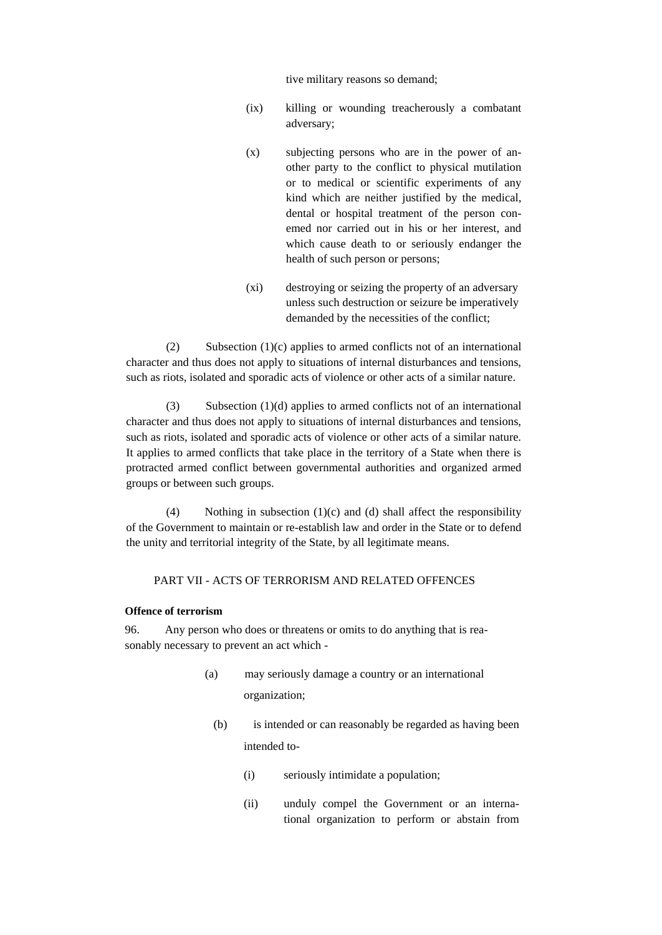tive military reasons so demand;

- (ix) killing or wounding treacherously a combatant adversary;
- (x) subjecting persons who are in the power of another party to the conflict to physical mutilation or to medical or scientific experiments of any kind which are neither justified by the medical, dental or hospital treatment of the person conemed nor carried out in his or her interest, and which cause death to or seriously endanger the health of such person or persons;
- (xi) destroying or seizing the property of an adversary unless such destruction or seizure be imperatively demanded by the necessities of the conflict;

(2) Subsection (1)(c) applies to armed conflicts not of an international character and thus does not apply to situations of internal disturbances and tensions, such as riots, isolated and sporadic acts of violence or other acts of a similar nature.

(3) Subsection (1)(d) applies to armed conflicts not of an international character and thus does not apply to situations of internal disturbances and tensions, such as riots, isolated and sporadic acts of violence or other acts of a similar nature. It applies to armed conflicts that take place in the territory of a State when there is protracted armed conflict between governmental authorities and organized armed groups or between such groups.

(4) Nothing in subsection  $(1)(c)$  and  $(d)$  shall affect the responsibility of the Government to maintain or re-establish law and order in the State or to defend the unity and territorial integrity of the State, by all legitimate means.

## PART VII - ACTS OF TERRORISM AND RELATED OFFENCES

#### **Offence of terrorism**

96. Any person who does or threatens or omits to do anything that is reasonably necessary to prevent an act which -

- (a) may seriously damage a country or an international organization;
	- (b) is intended or can reasonably be regarded as having been intended to-
		- (i) seriously intimidate a population;
		- (ii) unduly compel the Government or an international organization to perform or abstain from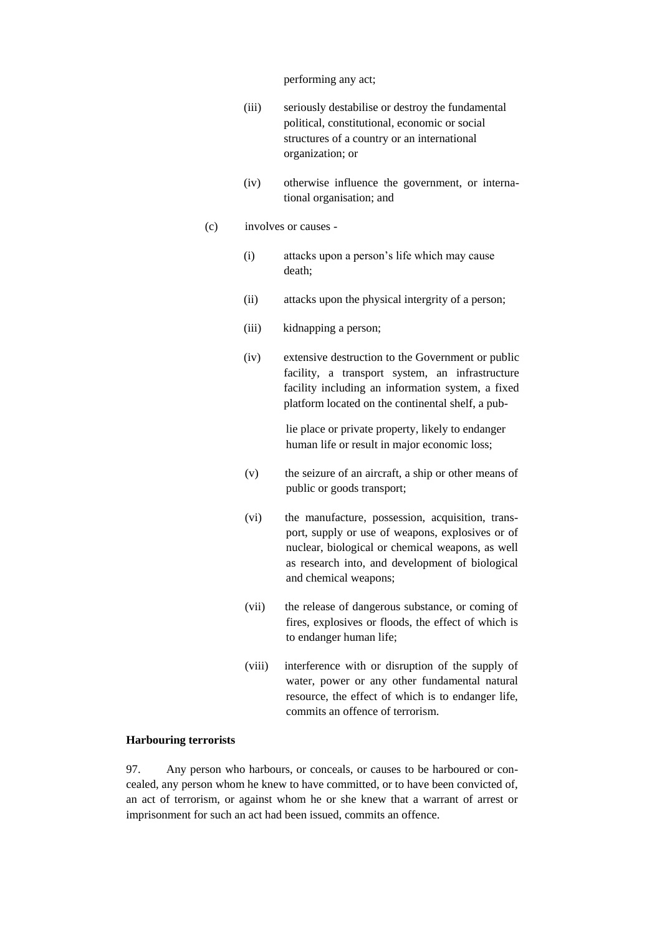#### performing any act;

- (iii) seriously destabilise or destroy the fundamental political, constitutional, economic or social structures of a country or an international organization; or
- (iv) otherwise influence the government, or international organisation; and

#### (c) involves or causes -

- (i) attacks upon a person's life which may cause death;
- (ii) attacks upon the physical intergrity of a person;
- (iii) kidnapping a person;
- (iv) extensive destruction to the Government or public facility, a transport system, an infrastructure facility including an information system, a fixed platform located on the continental shelf, a pub-

lie place or private property, likely to endanger human life or result in major economic loss;

- (v) the seizure of an aircraft, a ship or other means of public or goods transport;
- (vi) the manufacture, possession, acquisition, transport, supply or use of weapons, explosives or of nuclear, biological or chemical weapons, as well as research into, and development of biological and chemical weapons;
- (vii) the release of dangerous substance, or coming of fires, explosives or floods, the effect of which is to endanger human life;
- (viii) interference with or disruption of the supply of water, power or any other fundamental natural resource, the effect of which is to endanger life, commits an offence of terrorism.

#### **Harbouring terrorists**

97. Any person who harbours, or conceals, or causes to be harboured or concealed, any person whom he knew to have committed, or to have been convicted of, an act of terrorism, or against whom he or she knew that a warrant of arrest or imprisonment for such an act had been issued, commits an offence.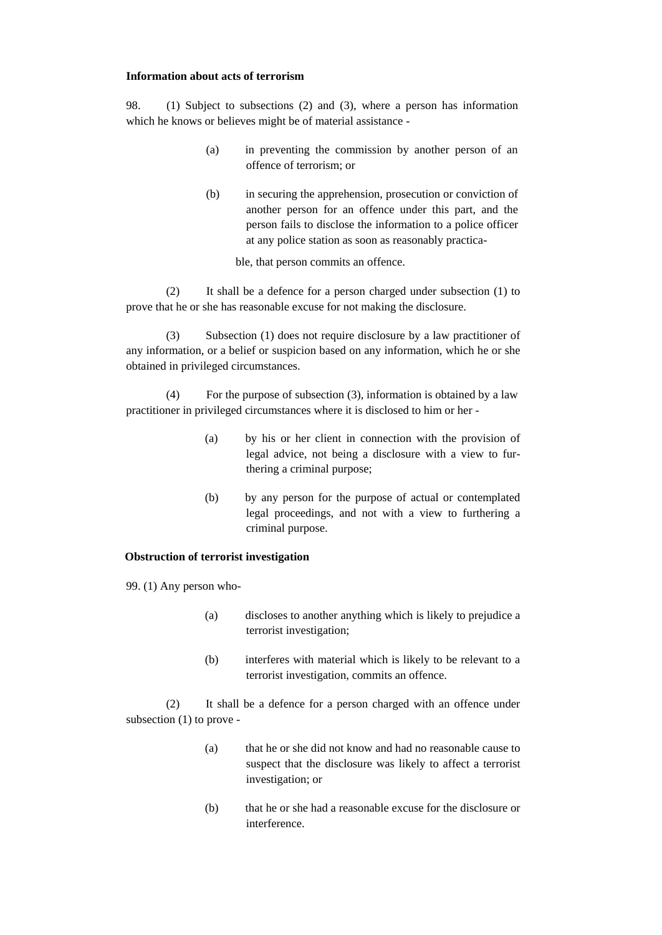#### **Information about acts of terrorism**

98. (1) Subject to subsections (2) and (3), where a person has information which he knows or believes might be of material assistance -

- (a) in preventing the commission by another person of an offence of terrorism; or
- (b) in securing the apprehension, prosecution or conviction of another person for an offence under this part, and the person fails to disclose the information to a police officer at any police station as soon as reasonably practica-

ble, that person commits an offence.

(2) It shall be a defence for a person charged under subsection (1) to prove that he or she has reasonable excuse for not making the disclosure.

(3) Subsection (1) does not require disclosure by a law practitioner of any information, or a belief or suspicion based on any information, which he or she obtained in privileged circumstances.

(4) For the purpose of subsection (3), information is obtained by a law practitioner in privileged circumstances where it is disclosed to him or her -

- (a) by his or her client in connection with the provision of legal advice, not being a disclosure with a view to furthering a criminal purpose;
- (b) by any person for the purpose of actual or contemplated legal proceedings, and not with a view to furthering a criminal purpose.

#### **Obstruction of terrorist investigation**

99. (1) Any person who-

- (a) discloses to another anything which is likely to prejudice a terrorist investigation;
- (b) interferes with material which is likely to be relevant to a terrorist investigation, commits an offence.

(2) It shall be a defence for a person charged with an offence under subsection (1) to prove -

- (a) that he or she did not know and had no reasonable cause to suspect that the disclosure was likely to affect a terrorist investigation; or
- (b) that he or she had a reasonable excuse for the disclosure or interference.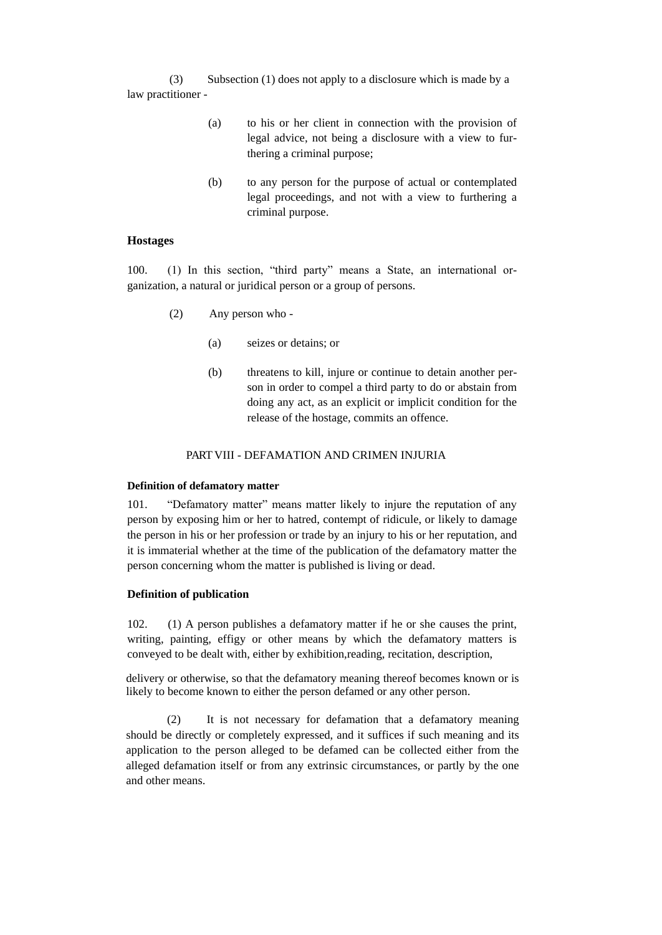(3) Subsection (1) does not apply to a disclosure which is made by a law practitioner -

- (a) to his or her client in connection with the provision of legal advice, not being a disclosure with a view to furthering a criminal purpose;
- (b) to any person for the purpose of actual or contemplated legal proceedings, and not with a view to furthering a criminal purpose.

## **Hostages**

100. (1) In this section, "third party" means a State, an international organization, a natural or juridical person or a group of persons.

- (2) Any person who
	- (a) seizes or detains; or
	- (b) threatens to kill, injure or continue to detain another person in order to compel a third party to do or abstain from doing any act, as an explicit or implicit condition for the release of the hostage, commits an offence.

## PART VIII - DEFAMATION AND CRIMEN INJURIA

#### **Definition of defamatory matter**

101. "Defamatory matter" means matter likely to injure the reputation of any person by exposing him or her to hatred, contempt of ridicule, or likely to damage the person in his or her profession or trade by an injury to his or her reputation, and it is immaterial whether at the time of the publication of the defamatory matter the person concerning whom the matter is published is living or dead.

#### **Definition of publication**

102. (1) A person publishes a defamatory matter if he or she causes the print, writing, painting, effigy or other means by which the defamatory matters is conveyed to be dealt with, either by exhibition,reading, recitation, description,

delivery or otherwise, so that the defamatory meaning thereof becomes known or is likely to become known to either the person defamed or any other person.

(2) It is not necessary for defamation that a defamatory meaning should be directly or completely expressed, and it suffices if such meaning and its application to the person alleged to be defamed can be collected either from the alleged defamation itself or from any extrinsic circumstances, or partly by the one and other means.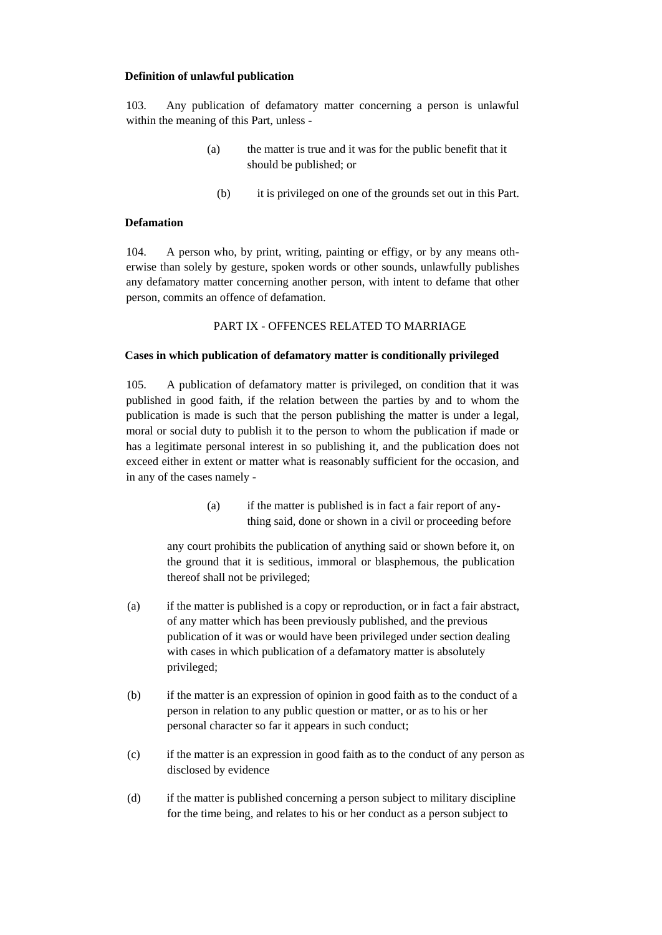## **Definition of unlawful publication**

103. Any publication of defamatory matter concerning a person is unlawful within the meaning of this Part, unless -

- (a) the matter is true and it was for the public benefit that it should be published; or
	- (b) it is privileged on one of the grounds set out in this Part.

#### **Defamation**

104. A person who, by print, writing, painting or effigy, or by any means otherwise than solely by gesture, spoken words or other sounds, unlawfully publishes any defamatory matter concerning another person, with intent to defame that other person, commits an offence of defamation.

## PART IX - OFFENCES RELATED TO MARRIAGE

#### **Cases in which publication of defamatory matter is conditionally privileged**

105. A publication of defamatory matter is privileged, on condition that it was published in good faith, if the relation between the parties by and to whom the publication is made is such that the person publishing the matter is under a legal, moral or social duty to publish it to the person to whom the publication if made or has a legitimate personal interest in so publishing it, and the publication does not exceed either in extent or matter what is reasonably sufficient for the occasion, and in any of the cases namely -

> (a) if the matter is published is in fact a fair report of anything said, done or shown in a civil or proceeding before

any court prohibits the publication of anything said or shown before it, on the ground that it is seditious, immoral or blasphemous, the publication thereof shall not be privileged;

- (a) if the matter is published is a copy or reproduction, or in fact a fair abstract, of any matter which has been previously published, and the previous publication of it was or would have been privileged under section dealing with cases in which publication of a defamatory matter is absolutely privileged;
- (b) if the matter is an expression of opinion in good faith as to the conduct of a person in relation to any public question or matter, or as to his or her personal character so far it appears in such conduct;
- (c) if the matter is an expression in good faith as to the conduct of any person as disclosed by evidence
- (d) if the matter is published concerning a person subject to military discipline for the time being, and relates to his or her conduct as a person subject to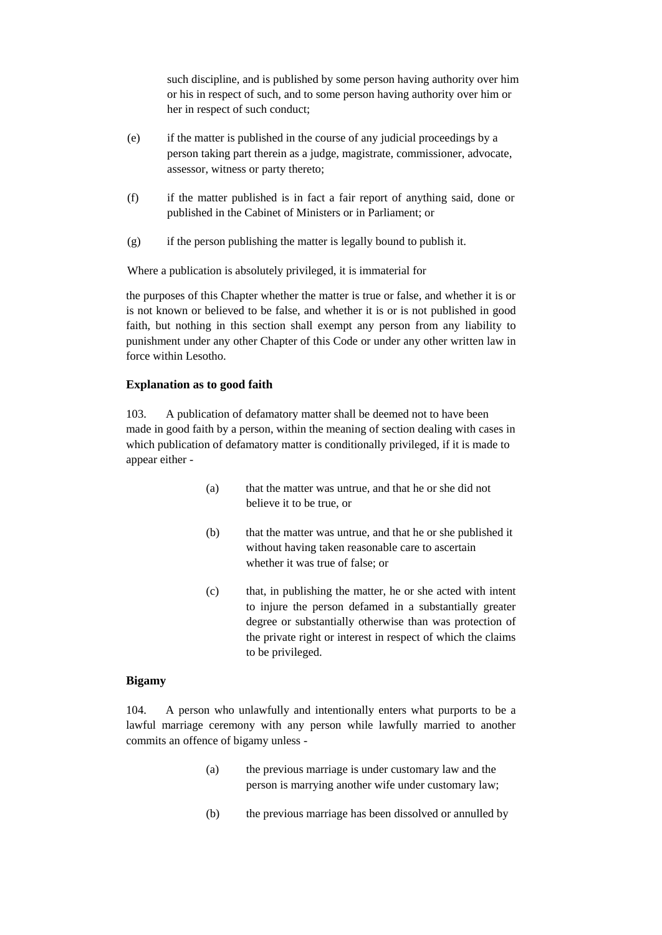such discipline, and is published by some person having authority over him or his in respect of such, and to some person having authority over him or her in respect of such conduct;

- (e) if the matter is published in the course of any judicial proceedings by a person taking part therein as a judge, magistrate, commissioner, advocate, assessor, witness or party thereto;
- (f) if the matter published is in fact a fair report of anything said, done or published in the Cabinet of Ministers or in Parliament; or
- (g) if the person publishing the matter is legally bound to publish it.

Where a publication is absolutely privileged, it is immaterial for

the purposes of this Chapter whether the matter is true or false, and whether it is or is not known or believed to be false, and whether it is or is not published in good faith, but nothing in this section shall exempt any person from any liability to punishment under any other Chapter of this Code or under any other written law in force within Lesotho.

## **Explanation as to good faith**

103. A publication of defamatory matter shall be deemed not to have been made in good faith by a person, within the meaning of section dealing with cases in which publication of defamatory matter is conditionally privileged, if it is made to appear either -

- (a) that the matter was untrue, and that he or she did not believe it to be true, or
- (b) that the matter was untrue, and that he or she published it without having taken reasonable care to ascertain whether it was true of false; or
- (c) that, in publishing the matter, he or she acted with intent to injure the person defamed in a substantially greater degree or substantially otherwise than was protection of the private right or interest in respect of which the claims to be privileged.

## **Bigamy**

104. A person who unlawfully and intentionally enters what purports to be a lawful marriage ceremony with any person while lawfully married to another commits an offence of bigamy unless -

- (a) the previous marriage is under customary law and the person is marrying another wife under customary law;
- (b) the previous marriage has been dissolved or annulled by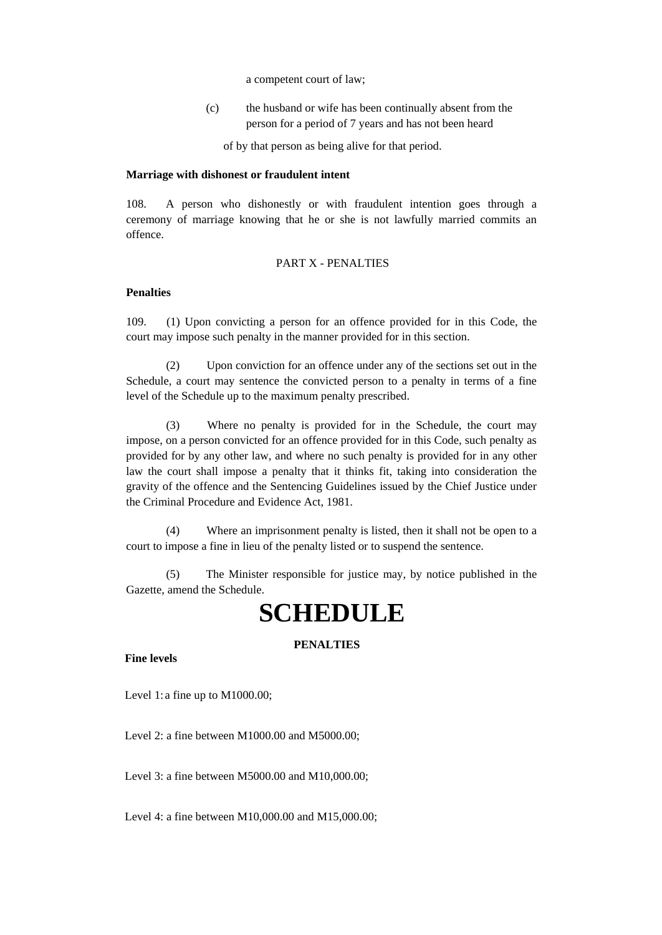a competent court of law;

(c) the husband or wife has been continually absent from the person for a period of 7 years and has not been heard

of by that person as being alive for that period.

#### **Marriage with dishonest or fraudulent intent**

108. A person who dishonestly or with fraudulent intention goes through a ceremony of marriage knowing that he or she is not lawfully married commits an offence.

## PART X - PENALTIES

#### **Penalties**

109. (1) Upon convicting a person for an offence provided for in this Code, the court may impose such penalty in the manner provided for in this section.

(2) Upon conviction for an offence under any of the sections set out in the Schedule, a court may sentence the convicted person to a penalty in terms of a fine level of the Schedule up to the maximum penalty prescribed.

(3) Where no penalty is provided for in the Schedule, the court may impose, on a person convicted for an offence provided for in this Code, such penalty as provided for by any other law, and where no such penalty is provided for in any other law the court shall impose a penalty that it thinks fit, taking into consideration the gravity of the offence and the Sentencing Guidelines issued by the Chief Justice under the Criminal Procedure and Evidence Act, 1981.

(4) Where an imprisonment penalty is listed, then it shall not be open to a court to impose a fine in lieu of the penalty listed or to suspend the sentence.

(5) The Minister responsible for justice may, by notice published in the Gazette, amend the Schedule.

## **SCHEDULE**

## **PENALTIES**

#### **Fine levels**

Level 1: a fine up to M1000.00;

Level 2: a fine between M1000.00 and M5000.00;

Level 3: a fine between M5000.00 and M10,000.00;

Level 4: a fine between M10,000.00 and M15,000.00;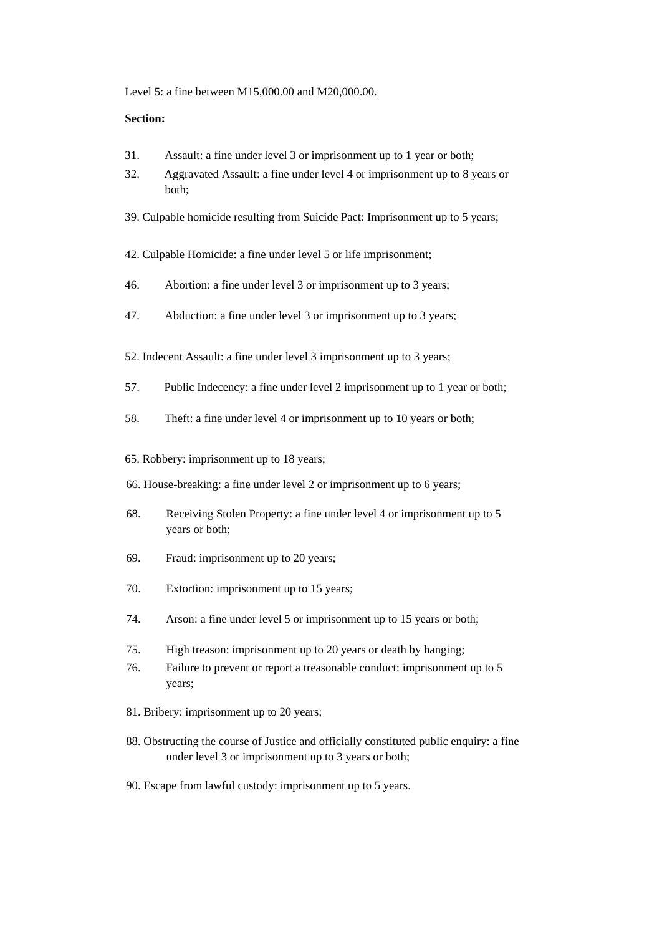Level 5: a fine between M15,000.00 and M20,000.00.

## **Section:**

- 31. Assault: a fine under level 3 or imprisonment up to 1 year or both;
- 32. Aggravated Assault: a fine under level 4 or imprisonment up to 8 years or both;
- 39. Culpable homicide resulting from Suicide Pact: Imprisonment up to 5 years;
- 42. Culpable Homicide: a fine under level 5 or life imprisonment;
- 46. Abortion: a fine under level 3 or imprisonment up to 3 years;
- 47. Abduction: a fine under level 3 or imprisonment up to 3 years;
- 52. Indecent Assault: a fine under level 3 imprisonment up to 3 years;
- 57. Public Indecency: a fine under level 2 imprisonment up to 1 year or both;
- 58. Theft: a fine under level 4 or imprisonment up to 10 years or both;
- 65. Robbery: imprisonment up to 18 years;
- 66. House-breaking: a fine under level 2 or imprisonment up to 6 years;
- 68. Receiving Stolen Property: a fine under level 4 or imprisonment up to 5 years or both;
- 69. Fraud: imprisonment up to 20 years;
- 70. Extortion: imprisonment up to 15 years;
- 74. Arson: a fine under level 5 or imprisonment up to 15 years or both;
- 75. High treason: imprisonment up to 20 years or death by hanging;
- 76. Failure to prevent or report a treasonable conduct: imprisonment up to 5 years;
- 81. Bribery: imprisonment up to 20 years;
- 88. Obstructing the course of Justice and officially constituted public enquiry: a fine under level 3 or imprisonment up to 3 years or both;
- 90. Escape from lawful custody: imprisonment up to 5 years.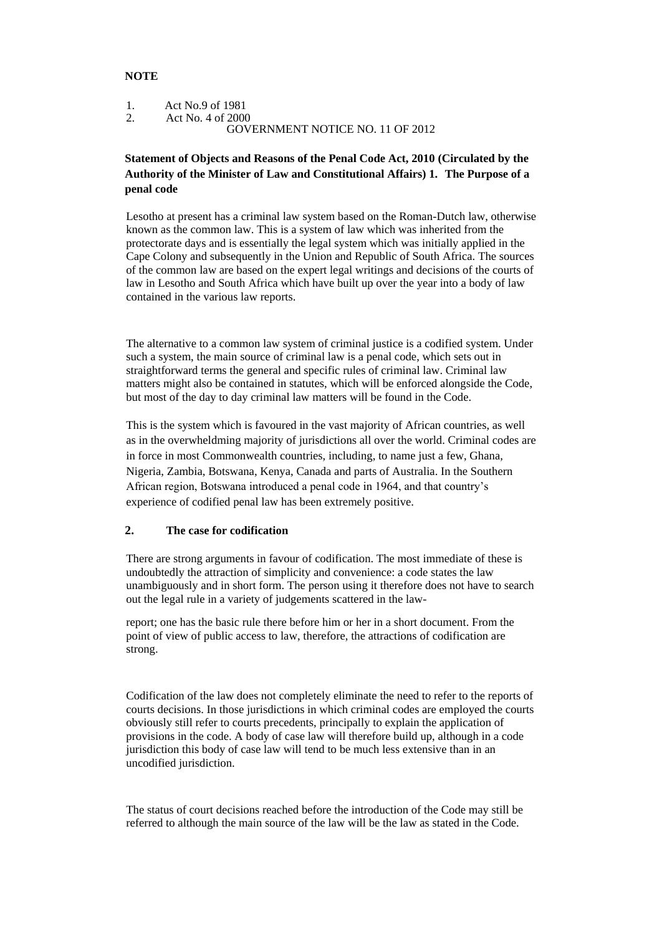## **NOTE**

- 1. Act No.9 of 1981<br>2. Act No. 4 of 2000
- 2. Act No. 4 of 2000

## GOVERNMENT NOTICE NO. 11 OF 2012

## **Statement of Objects and Reasons of the Penal Code Act, 2010 (Circulated by the Authority of the Minister of Law and Constitutional Affairs) 1. The Purpose of a penal code**

Lesotho at present has a criminal law system based on the Roman-Dutch law, otherwise known as the common law. This is a system of law which was inherited from the protectorate days and is essentially the legal system which was initially applied in the Cape Colony and subsequently in the Union and Republic of South Africa. The sources of the common law are based on the expert legal writings and decisions of the courts of law in Lesotho and South Africa which have built up over the year into a body of law contained in the various law reports.

The alternative to a common law system of criminal justice is a codified system. Under such a system, the main source of criminal law is a penal code, which sets out in straightforward terms the general and specific rules of criminal law. Criminal law matters might also be contained in statutes, which will be enforced alongside the Code, but most of the day to day criminal law matters will be found in the Code.

This is the system which is favoured in the vast majority of African countries, as well as in the overwheldming majority of jurisdictions all over the world. Criminal codes are in force in most Commonwealth countries, including, to name just a few, Ghana, Nigeria, Zambia, Botswana, Kenya, Canada and parts of Australia. In the Southern African region, Botswana introduced a penal code in 1964, and that country's experience of codified penal law has been extremely positive.

## **2. The case for codification**

There are strong arguments in favour of codification. The most immediate of these is undoubtedly the attraction of simplicity and convenience: a code states the law unambiguously and in short form. The person using it therefore does not have to search out the legal rule in a variety of judgements scattered in the law-

report; one has the basic rule there before him or her in a short document. From the point of view of public access to law, therefore, the attractions of codification are strong.

Codification of the law does not completely eliminate the need to refer to the reports of courts decisions. In those jurisdictions in which criminal codes are employed the courts obviously still refer to courts precedents, principally to explain the application of provisions in the code. A body of case law will therefore build up, although in a code jurisdiction this body of case law will tend to be much less extensive than in an uncodified jurisdiction.

The status of court decisions reached before the introduction of the Code may still be referred to although the main source of the law will be the law as stated in the Code.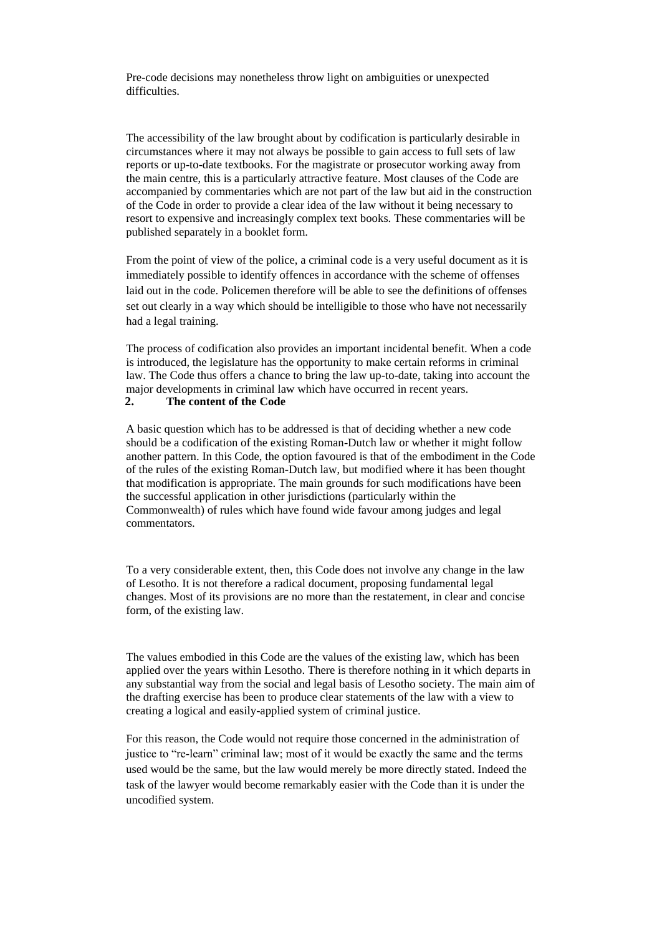Pre-code decisions may nonetheless throw light on ambiguities or unexpected difficulties.

The accessibility of the law brought about by codification is particularly desirable in circumstances where it may not always be possible to gain access to full sets of law reports or up-to-date textbooks. For the magistrate or prosecutor working away from the main centre, this is a particularly attractive feature. Most clauses of the Code are accompanied by commentaries which are not part of the law but aid in the construction of the Code in order to provide a clear idea of the law without it being necessary to resort to expensive and increasingly complex text books. These commentaries will be published separately in a booklet form.

From the point of view of the police, a criminal code is a very useful document as it is immediately possible to identify offences in accordance with the scheme of offenses laid out in the code. Policemen therefore will be able to see the definitions of offenses set out clearly in a way which should be intelligible to those who have not necessarily had a legal training.

The process of codification also provides an important incidental benefit. When a code is introduced, the legislature has the opportunity to make certain reforms in criminal law. The Code thus offers a chance to bring the law up-to-date, taking into account the major developments in criminal law which have occurred in recent years. **2. The content of the Code**

A basic question which has to be addressed is that of deciding whether a new code should be a codification of the existing Roman-Dutch law or whether it might follow another pattern. In this Code, the option favoured is that of the embodiment in the Code of the rules of the existing Roman-Dutch law, but modified where it has been thought that modification is appropriate. The main grounds for such modifications have been the successful application in other jurisdictions (particularly within the Commonwealth) of rules which have found wide favour among judges and legal commentators.

To a very considerable extent, then, this Code does not involve any change in the law of Lesotho. It is not therefore a radical document, proposing fundamental legal changes. Most of its provisions are no more than the restatement, in clear and concise form, of the existing law.

The values embodied in this Code are the values of the existing law, which has been applied over the years within Lesotho. There is therefore nothing in it which departs in any substantial way from the social and legal basis of Lesotho society. The main aim of the drafting exercise has been to produce clear statements of the law with a view to creating a logical and easily-applied system of criminal justice.

For this reason, the Code would not require those concerned in the administration of justice to "re-learn" criminal law; most of it would be exactly the same and the terms used would be the same, but the law would merely be more directly stated. Indeed the task of the lawyer would become remarkably easier with the Code than it is under the uncodified system.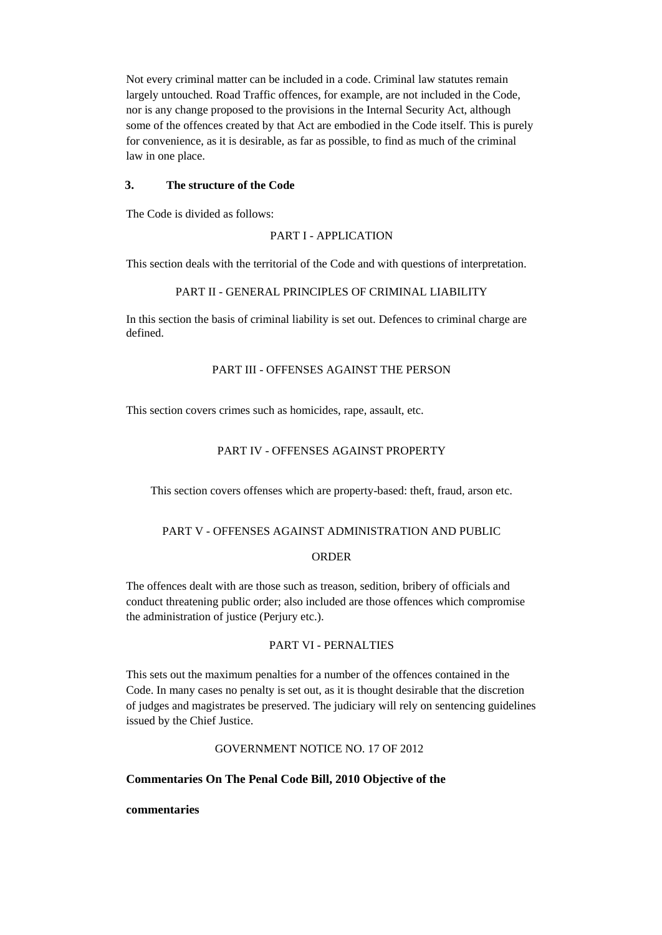Not every criminal matter can be included in a code. Criminal law statutes remain largely untouched. Road Traffic offences, for example, are not included in the Code, nor is any change proposed to the provisions in the Internal Security Act, although some of the offences created by that Act are embodied in the Code itself. This is purely for convenience, as it is desirable, as far as possible, to find as much of the criminal law in one place.

## **3. The structure of the Code**

The Code is divided as follows:

## PART I - APPLICATION

This section deals with the territorial of the Code and with questions of interpretation.

## PART II - GENERAL PRINCIPLES OF CRIMINAL LIABILITY

In this section the basis of criminal liability is set out. Defences to criminal charge are defined.

## PART III - OFFENSES AGAINST THE PERSON

This section covers crimes such as homicides, rape, assault, etc.

## PART IV - OFFENSES AGAINST PROPERTY

This section covers offenses which are property-based: theft, fraud, arson etc.

## PART V - OFFENSES AGAINST ADMINISTRATION AND PUBLIC

## ORDER

The offences dealt with are those such as treason, sedition, bribery of officials and conduct threatening public order; also included are those offences which compromise the administration of justice (Perjury etc.).

## PART VI - PERNALTIES

This sets out the maximum penalties for a number of the offences contained in the Code. In many cases no penalty is set out, as it is thought desirable that the discretion of judges and magistrates be preserved. The judiciary will rely on sentencing guidelines issued by the Chief Justice.

## GOVERNMENT NOTICE NO. 17 OF 2012

## **Commentaries On The Penal Code Bill, 2010 Objective of the**

## **commentaries**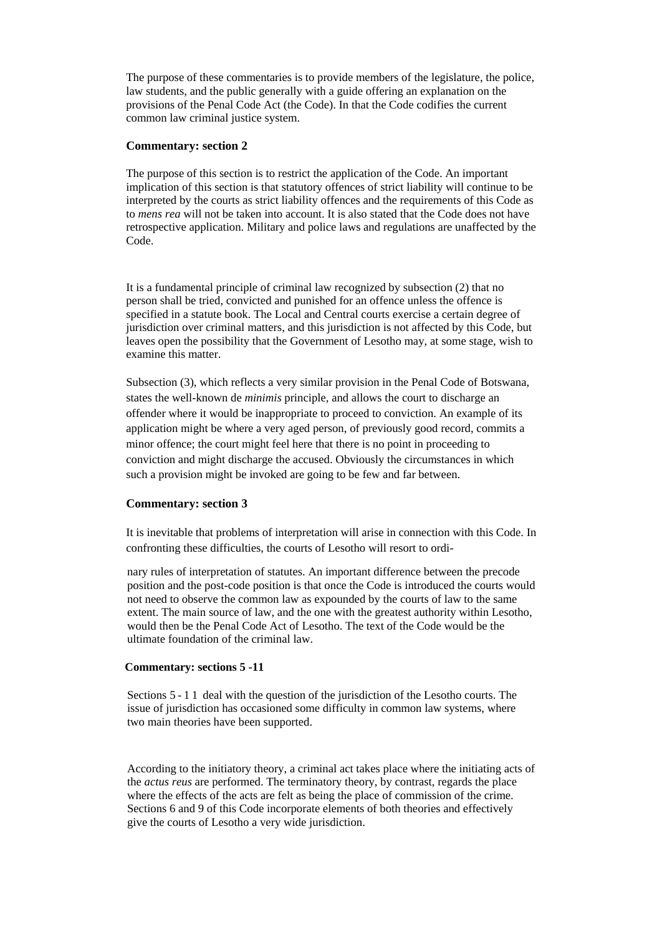The purpose of these commentaries is to provide members of the legislature, the police, law students, and the public generally with a guide offering an explanation on the provisions of the Penal Code Act (the Code). In that the Code codifies the current common law criminal justice system.

#### **Commentary: section 2**

The purpose of this section is to restrict the application of the Code. An important implication of this section is that statutory offences of strict liability will continue to be interpreted by the courts as strict liability offences and the requirements of this Code as to *mens rea* will not be taken into account. It is also stated that the Code does not have retrospective application. Military and police laws and regulations are unaffected by the Code.

It is a fundamental principle of criminal law recognized by subsection (2) that no person shall be tried, convicted and punished for an offence unless the offence is specified in a statute book. The Local and Central courts exercise a certain degree of jurisdiction over criminal matters, and this jurisdiction is not affected by this Code, but leaves open the possibility that the Government of Lesotho may, at some stage, wish to examine this matter.

Subsection (3), which reflects a very similar provision in the Penal Code of Botswana, states the well-known de *minimis* principle, and allows the court to discharge an offender where it would be inappropriate to proceed to conviction. An example of its application might be where a very aged person, of previously good record, commits a minor offence; the court might feel here that there is no point in proceeding to conviction and might discharge the accused. Obviously the circumstances in which such a provision might be invoked are going to be few and far between.

## **Commentary: section 3**

It is inevitable that problems of interpretation will arise in connection with this Code. In confronting these difficulties, the courts of Lesotho will resort to ordi-

nary rules of interpretation of statutes. An important difference between the precode position and the post-code position is that once the Code is introduced the courts would not need to observe the common law as expounded by the courts of law to the same extent. The main source of law, and the one with the greatest authority within Lesotho, would then be the Penal Code Act of Lesotho. The text of the Code would be the ultimate foundation of the criminal law.

#### **Commentary: sections 5 -11**

Sections 5 - 1 1 deal with the question of the jurisdiction of the Lesotho courts. The issue of jurisdiction has occasioned some difficulty in common law systems, where two main theories have been supported.

According to the initiatory theory, a criminal act takes place where the initiating acts of the *actus reus* are performed. The terminatory theory, by contrast, regards the place where the effects of the acts are felt as being the place of commission of the crime. Sections 6 and 9 of this Code incorporate elements of both theories and effectively give the courts of Lesotho a very wide jurisdiction.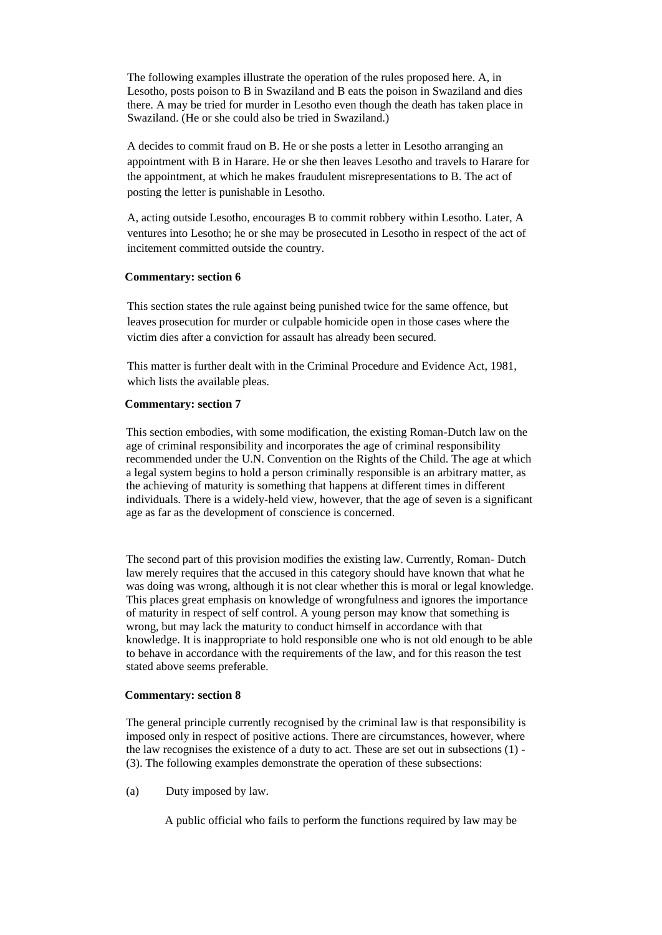The following examples illustrate the operation of the rules proposed here. A, in Lesotho, posts poison to B in Swaziland and B eats the poison in Swaziland and dies there. A may be tried for murder in Lesotho even though the death has taken place in Swaziland. (He or she could also be tried in Swaziland.)

A decides to commit fraud on B. He or she posts a letter in Lesotho arranging an appointment with B in Harare. He or she then leaves Lesotho and travels to Harare for the appointment, at which he makes fraudulent misrepresentations to B. The act of posting the letter is punishable in Lesotho.

A, acting outside Lesotho, encourages B to commit robbery within Lesotho. Later, A ventures into Lesotho; he or she may be prosecuted in Lesotho in respect of the act of incitement committed outside the country.

#### **Commentary: section 6**

This section states the rule against being punished twice for the same offence, but leaves prosecution for murder or culpable homicide open in those cases where the victim dies after a conviction for assault has already been secured.

This matter is further dealt with in the Criminal Procedure and Evidence Act, 1981, which lists the available pleas.

#### **Commentary: section 7**

This section embodies, with some modification, the existing Roman-Dutch law on the age of criminal responsibility and incorporates the age of criminal responsibility recommended under the U.N. Convention on the Rights of the Child. The age at which a legal system begins to hold a person criminally responsible is an arbitrary matter, as the achieving of maturity is something that happens at different times in different individuals. There is a widely-held view, however, that the age of seven is a significant age as far as the development of conscience is concerned.

The second part of this provision modifies the existing law. Currently, Roman- Dutch law merely requires that the accused in this category should have known that what he was doing was wrong, although it is not clear whether this is moral or legal knowledge. This places great emphasis on knowledge of wrongfulness and ignores the importance of maturity in respect of self control. A young person may know that something is wrong, but may lack the maturity to conduct himself in accordance with that knowledge. It is inappropriate to hold responsible one who is not old enough to be able to behave in accordance with the requirements of the law, and for this reason the test stated above seems preferable.

#### **Commentary: section 8**

The general principle currently recognised by the criminal law is that responsibility is imposed only in respect of positive actions. There are circumstances, however, where the law recognises the existence of a duty to act. These are set out in subsections (1) - (3). The following examples demonstrate the operation of these subsections:

(a) Duty imposed by law.

A public official who fails to perform the functions required by law may be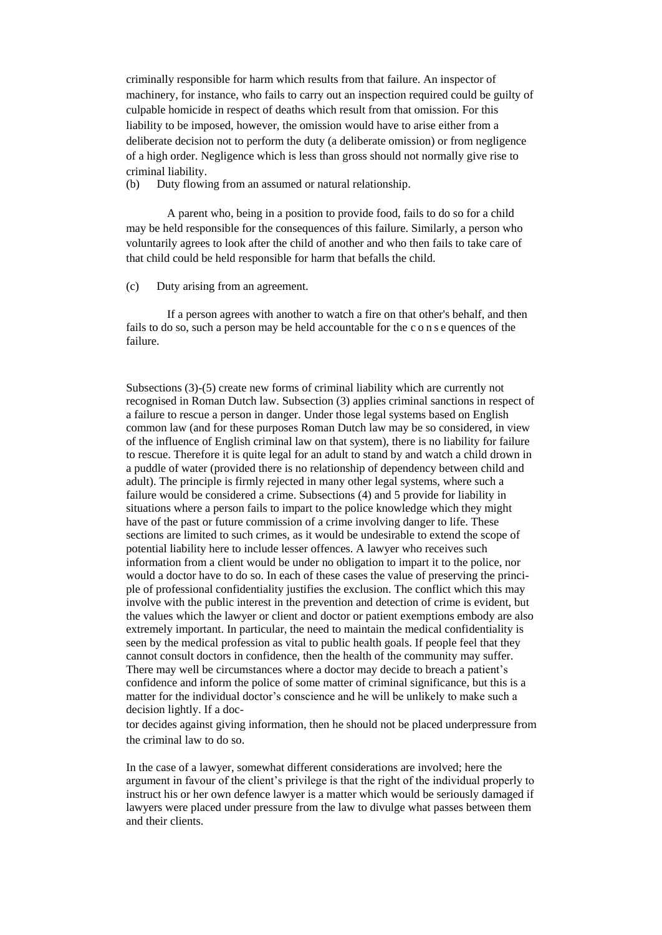criminally responsible for harm which results from that failure. An inspector of machinery, for instance, who fails to carry out an inspection required could be guilty of culpable homicide in respect of deaths which result from that omission. For this liability to be imposed, however, the omission would have to arise either from a deliberate decision not to perform the duty (a deliberate omission) or from negligence of a high order. Negligence which is less than gross should not normally give rise to criminal liability.

(b) Duty flowing from an assumed or natural relationship.

A parent who, being in a position to provide food, fails to do so for a child may be held responsible for the consequences of this failure. Similarly, a person who voluntarily agrees to look after the child of another and who then fails to take care of that child could be held responsible for harm that befalls the child.

(c) Duty arising from an agreement.

If a person agrees with another to watch a fire on that other's behalf, and then fails to do so, such a person may be held accountable for the c o n s e quences of the failure.

Subsections (3)-(5) create new forms of criminal liability which are currently not recognised in Roman Dutch law. Subsection (3) applies criminal sanctions in respect of a failure to rescue a person in danger. Under those legal systems based on English common law (and for these purposes Roman Dutch law may be so considered, in view of the influence of English criminal law on that system), there is no liability for failure to rescue. Therefore it is quite legal for an adult to stand by and watch a child drown in a puddle of water (provided there is no relationship of dependency between child and adult). The principle is firmly rejected in many other legal systems, where such a failure would be considered a crime. Subsections (4) and 5 provide for liability in situations where a person fails to impart to the police knowledge which they might have of the past or future commission of a crime involving danger to life. These sections are limited to such crimes, as it would be undesirable to extend the scope of potential liability here to include lesser offences. A lawyer who receives such information from a client would be under no obligation to impart it to the police, nor would a doctor have to do so. In each of these cases the value of preserving the principle of professional confidentiality justifies the exclusion. The conflict which this may involve with the public interest in the prevention and detection of crime is evident, but the values which the lawyer or client and doctor or patient exemptions embody are also extremely important. In particular, the need to maintain the medical confidentiality is seen by the medical profession as vital to public health goals. If people feel that they cannot consult doctors in confidence, then the health of the community may suffer. There may well be circumstances where a doctor may decide to breach a patient's confidence and inform the police of some matter of criminal significance, but this is a matter for the individual doctor's conscience and he will be unlikely to make such a decision lightly. If a doc-

tor decides against giving information, then he should not be placed underpressure from the criminal law to do so.

In the case of a lawyer, somewhat different considerations are involved; here the argument in favour of the client's privilege is that the right of the individual properly to instruct his or her own defence lawyer is a matter which would be seriously damaged if lawyers were placed under pressure from the law to divulge what passes between them and their clients.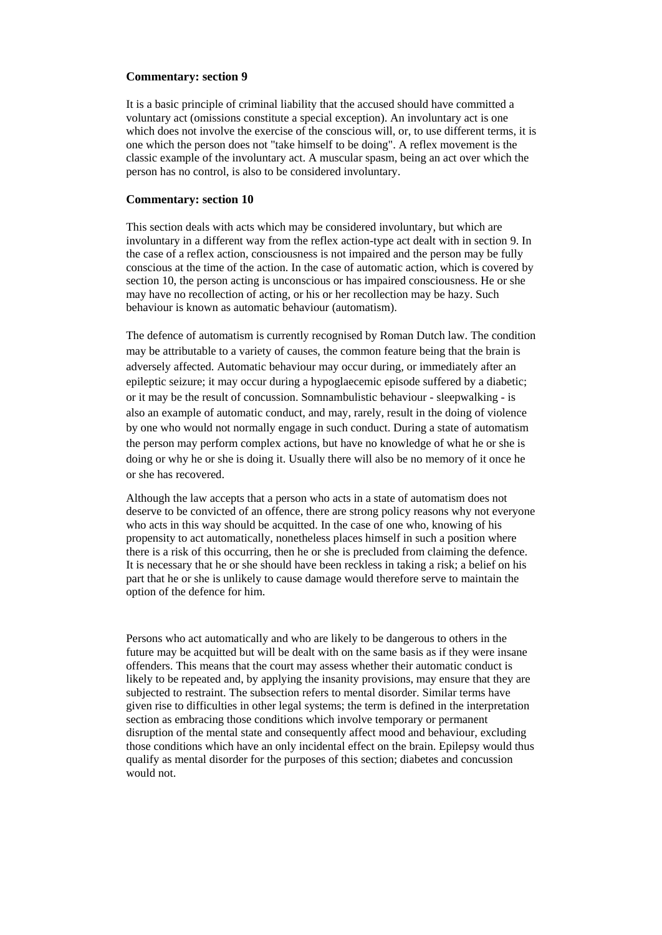#### **Commentary: section 9**

It is a basic principle of criminal liability that the accused should have committed a voluntary act (omissions constitute a special exception). An involuntary act is one which does not involve the exercise of the conscious will, or, to use different terms, it is one which the person does not "take himself to be doing". A reflex movement is the classic example of the involuntary act. A muscular spasm, being an act over which the person has no control, is also to be considered involuntary.

#### **Commentary: section 10**

This section deals with acts which may be considered involuntary, but which are involuntary in a different way from the reflex action-type act dealt with in section 9. In the case of a reflex action, consciousness is not impaired and the person may be fully conscious at the time of the action. In the case of automatic action, which is covered by section 10, the person acting is unconscious or has impaired consciousness. He or she may have no recollection of acting, or his or her recollection may be hazy. Such behaviour is known as automatic behaviour (automatism).

The defence of automatism is currently recognised by Roman Dutch law. The condition may be attributable to a variety of causes, the common feature being that the brain is adversely affected. Automatic behaviour may occur during, or immediately after an epileptic seizure; it may occur during a hypoglaecemic episode suffered by a diabetic; or it may be the result of concussion. Somnambulistic behaviour - sleepwalking - is also an example of automatic conduct, and may, rarely, result in the doing of violence by one who would not normally engage in such conduct. During a state of automatism the person may perform complex actions, but have no knowledge of what he or she is doing or why he or she is doing it. Usually there will also be no memory of it once he or she has recovered.

Although the law accepts that a person who acts in a state of automatism does not deserve to be convicted of an offence, there are strong policy reasons why not everyone who acts in this way should be acquitted. In the case of one who, knowing of his propensity to act automatically, nonetheless places himself in such a position where there is a risk of this occurring, then he or she is precluded from claiming the defence. It is necessary that he or she should have been reckless in taking a risk; a belief on his part that he or she is unlikely to cause damage would therefore serve to maintain the option of the defence for him.

Persons who act automatically and who are likely to be dangerous to others in the future may be acquitted but will be dealt with on the same basis as if they were insane offenders. This means that the court may assess whether their automatic conduct is likely to be repeated and, by applying the insanity provisions, may ensure that they are subjected to restraint. The subsection refers to mental disorder. Similar terms have given rise to difficulties in other legal systems; the term is defined in the interpretation section as embracing those conditions which involve temporary or permanent disruption of the mental state and consequently affect mood and behaviour, excluding those conditions which have an only incidental effect on the brain. Epilepsy would thus qualify as mental disorder for the purposes of this section; diabetes and concussion would not.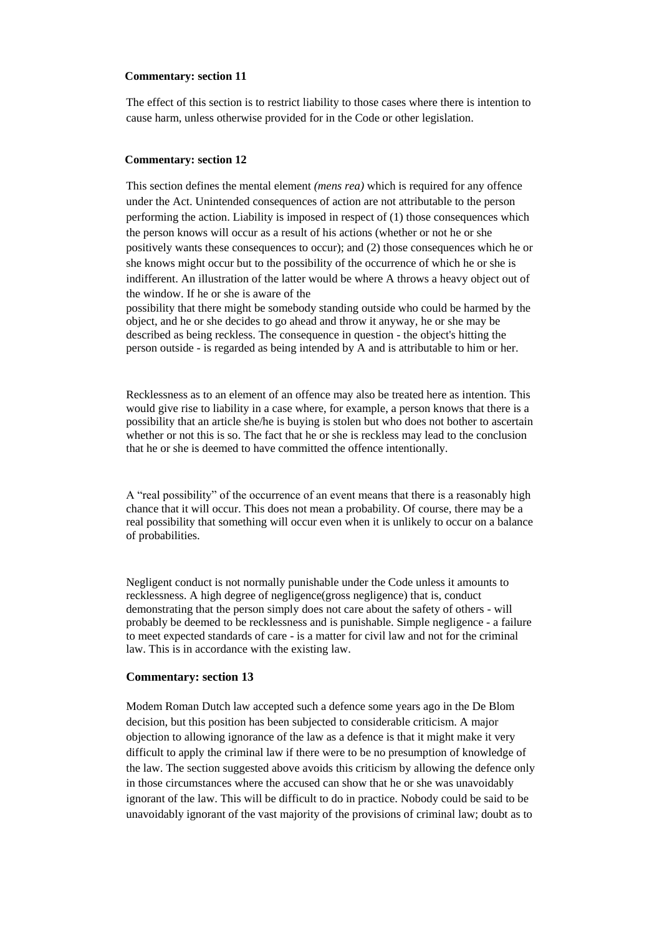#### **Commentary: section 11**

The effect of this section is to restrict liability to those cases where there is intention to cause harm, unless otherwise provided for in the Code or other legislation.

#### **Commentary: section 12**

This section defines the mental element *(mens rea)* which is required for any offence under the Act. Unintended consequences of action are not attributable to the person performing the action. Liability is imposed in respect of (1) those consequences which the person knows will occur as a result of his actions (whether or not he or she positively wants these consequences to occur); and (2) those consequences which he or she knows might occur but to the possibility of the occurrence of which he or she is indifferent. An illustration of the latter would be where A throws a heavy object out of the window. If he or she is aware of the

possibility that there might be somebody standing outside who could be harmed by the object, and he or she decides to go ahead and throw it anyway, he or she may be described as being reckless. The consequence in question - the object's hitting the person outside - is regarded as being intended by A and is attributable to him or her.

Recklessness as to an element of an offence may also be treated here as intention. This would give rise to liability in a case where, for example, a person knows that there is a possibility that an article she/he is buying is stolen but who does not bother to ascertain whether or not this is so. The fact that he or she is reckless may lead to the conclusion that he or she is deemed to have committed the offence intentionally.

A "real possibility" of the occurrence of an event means that there is a reasonably high chance that it will occur. This does not mean a probability. Of course, there may be a real possibility that something will occur even when it is unlikely to occur on a balance of probabilities.

Negligent conduct is not normally punishable under the Code unless it amounts to recklessness. A high degree of negligence(gross negligence) that is, conduct demonstrating that the person simply does not care about the safety of others - will probably be deemed to be recklessness and is punishable. Simple negligence - a failure to meet expected standards of care - is a matter for civil law and not for the criminal law. This is in accordance with the existing law.

## **Commentary: section 13**

Modem Roman Dutch law accepted such a defence some years ago in the De Blom decision, but this position has been subjected to considerable criticism. A major objection to allowing ignorance of the law as a defence is that it might make it very difficult to apply the criminal law if there were to be no presumption of knowledge of the law. The section suggested above avoids this criticism by allowing the defence only in those circumstances where the accused can show that he or she was unavoidably ignorant of the law. This will be difficult to do in practice. Nobody could be said to be unavoidably ignorant of the vast majority of the provisions of criminal law; doubt as to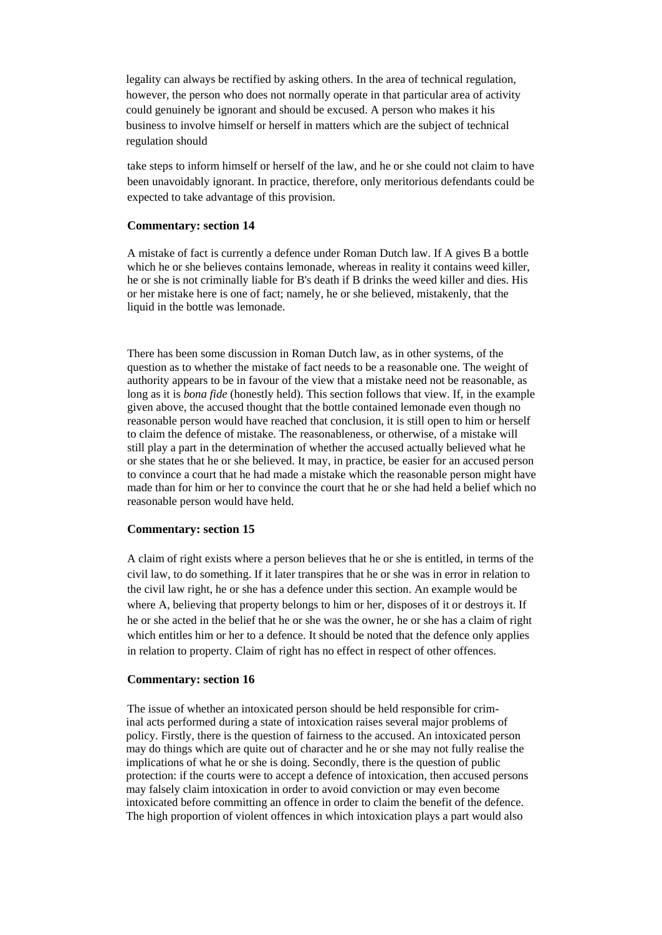legality can always be rectified by asking others. In the area of technical regulation, however, the person who does not normally operate in that particular area of activity could genuinely be ignorant and should be excused. A person who makes it his business to involve himself or herself in matters which are the subject of technical regulation should

take steps to inform himself or herself of the law, and he or she could not claim to have been unavoidably ignorant. In practice, therefore, only meritorious defendants could be expected to take advantage of this provision.

## **Commentary: section 14**

A mistake of fact is currently a defence under Roman Dutch law. If A gives B a bottle which he or she believes contains lemonade, whereas in reality it contains weed killer, he or she is not criminally liable for B's death if B drinks the weed killer and dies. His or her mistake here is one of fact; namely, he or she believed, mistakenly, that the liquid in the bottle was lemonade.

There has been some discussion in Roman Dutch law, as in other systems, of the question as to whether the mistake of fact needs to be a reasonable one. The weight of authority appears to be in favour of the view that a mistake need not be reasonable, as long as it is *bona fide* (honestly held). This section follows that view. If, in the example given above, the accused thought that the bottle contained lemonade even though no reasonable person would have reached that conclusion, it is still open to him or herself to claim the defence of mistake. The reasonableness, or otherwise, of a mistake will still play a part in the determination of whether the accused actually believed what he or she states that he or she believed. It may, in practice, be easier for an accused person to convince a court that he had made a mistake which the reasonable person might have made than for him or her to convince the court that he or she had held a belief which no reasonable person would have held.

#### **Commentary: section 15**

A claim of right exists where a person believes that he or she is entitled, in terms of the civil law, to do something. If it later transpires that he or she was in error in relation to the civil law right, he or she has a defence under this section. An example would be where A, believing that property belongs to him or her, disposes of it or destroys it. If he or she acted in the belief that he or she was the owner, he or she has a claim of right which entitles him or her to a defence. It should be noted that the defence only applies in relation to property. Claim of right has no effect in respect of other offences.

#### **Commentary: section 16**

The issue of whether an intoxicated person should be held responsible for criminal acts performed during a state of intoxication raises several major problems of policy. Firstly, there is the question of fairness to the accused. An intoxicated person may do things which are quite out of character and he or she may not fully realise the implications of what he or she is doing. Secondly, there is the question of public protection: if the courts were to accept a defence of intoxication, then accused persons may falsely claim intoxication in order to avoid conviction or may even become intoxicated before committing an offence in order to claim the benefit of the defence. The high proportion of violent offences in which intoxication plays a part would also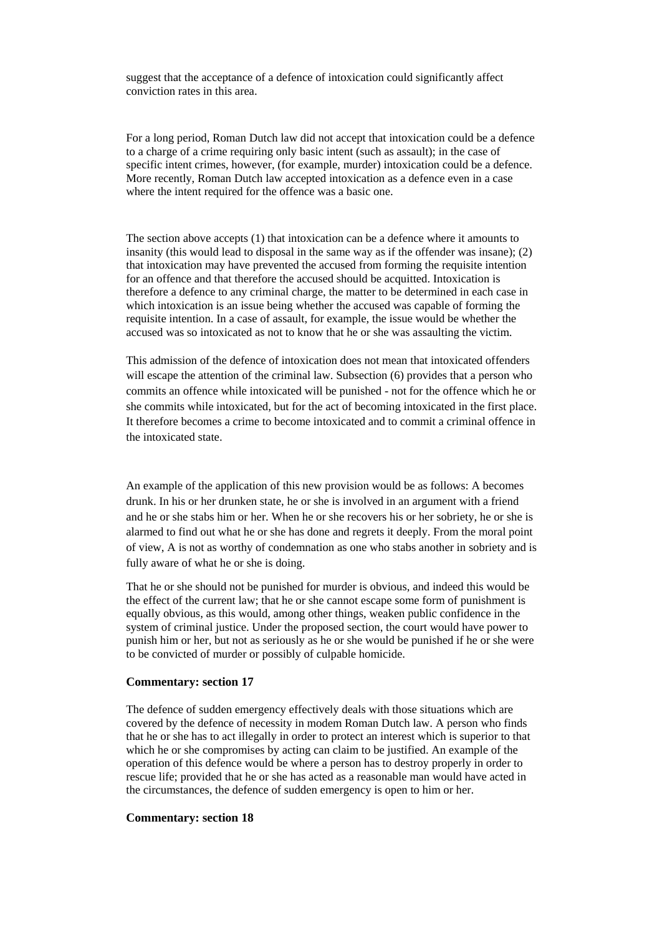suggest that the acceptance of a defence of intoxication could significantly affect conviction rates in this area.

For a long period, Roman Dutch law did not accept that intoxication could be a defence to a charge of a crime requiring only basic intent (such as assault); in the case of specific intent crimes, however, (for example, murder) intoxication could be a defence. More recently, Roman Dutch law accepted intoxication as a defence even in a case where the intent required for the offence was a basic one.

The section above accepts (1) that intoxication can be a defence where it amounts to insanity (this would lead to disposal in the same way as if the offender was insane); (2) that intoxication may have prevented the accused from forming the requisite intention for an offence and that therefore the accused should be acquitted. Intoxication is therefore a defence to any criminal charge, the matter to be determined in each case in which intoxication is an issue being whether the accused was capable of forming the requisite intention. In a case of assault, for example, the issue would be whether the accused was so intoxicated as not to know that he or she was assaulting the victim.

This admission of the defence of intoxication does not mean that intoxicated offenders will escape the attention of the criminal law. Subsection (6) provides that a person who commits an offence while intoxicated will be punished - not for the offence which he or she commits while intoxicated, but for the act of becoming intoxicated in the first place. It therefore becomes a crime to become intoxicated and to commit a criminal offence in the intoxicated state.

An example of the application of this new provision would be as follows: A becomes drunk. In his or her drunken state, he or she is involved in an argument with a friend and he or she stabs him or her. When he or she recovers his or her sobriety, he or she is alarmed to find out what he or she has done and regrets it deeply. From the moral point of view, A is not as worthy of condemnation as one who stabs another in sobriety and is fully aware of what he or she is doing.

That he or she should not be punished for murder is obvious, and indeed this would be the effect of the current law; that he or she cannot escape some form of punishment is equally obvious, as this would, among other things, weaken public confidence in the system of criminal justice. Under the proposed section, the court would have power to punish him or her, but not as seriously as he or she would be punished if he or she were to be convicted of murder or possibly of culpable homicide.

#### **Commentary: section 17**

The defence of sudden emergency effectively deals with those situations which are covered by the defence of necessity in modem Roman Dutch law. A person who finds that he or she has to act illegally in order to protect an interest which is superior to that which he or she compromises by acting can claim to be justified. An example of the operation of this defence would be where a person has to destroy properly in order to rescue life; provided that he or she has acted as a reasonable man would have acted in the circumstances, the defence of sudden emergency is open to him or her.

#### **Commentary: section 18**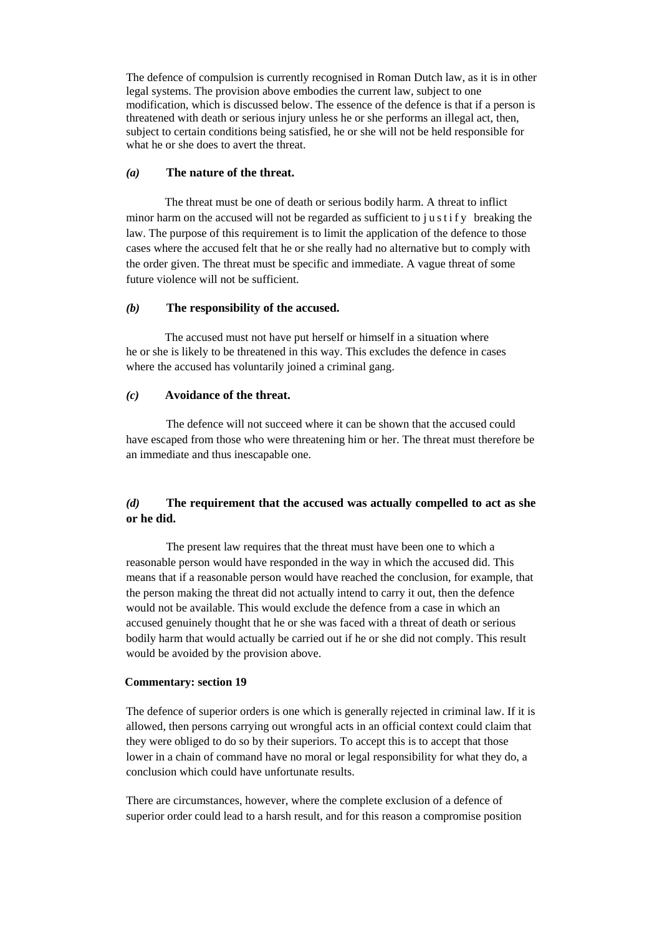The defence of compulsion is currently recognised in Roman Dutch law, as it is in other legal systems. The provision above embodies the current law, subject to one modification, which is discussed below. The essence of the defence is that if a person is threatened with death or serious injury unless he or she performs an illegal act, then, subject to certain conditions being satisfied, he or she will not be held responsible for what he or she does to avert the threat.

#### *(a)* **The nature of the threat.**

The threat must be one of death or serious bodily harm. A threat to inflict minor harm on the accused will not be regarded as sufficient to justify breaking the law. The purpose of this requirement is to limit the application of the defence to those cases where the accused felt that he or she really had no alternative but to comply with the order given. The threat must be specific and immediate. A vague threat of some future violence will not be sufficient.

## *(b)* **The responsibility of the accused.**

The accused must not have put herself or himself in a situation where he or she is likely to be threatened in this way. This excludes the defence in cases where the accused has voluntarily joined a criminal gang.

## *(c)* **Avoidance of the threat.**

The defence will not succeed where it can be shown that the accused could have escaped from those who were threatening him or her. The threat must therefore be an immediate and thus inescapable one.

## *(d)* **The requirement that the accused was actually compelled to act as she or he did.**

The present law requires that the threat must have been one to which a reasonable person would have responded in the way in which the accused did. This means that if a reasonable person would have reached the conclusion, for example, that the person making the threat did not actually intend to carry it out, then the defence would not be available. This would exclude the defence from a case in which an accused genuinely thought that he or she was faced with a threat of death or serious bodily harm that would actually be carried out if he or she did not comply. This result would be avoided by the provision above.

#### **Commentary: section 19**

The defence of superior orders is one which is generally rejected in criminal law. If it is allowed, then persons carrying out wrongful acts in an official context could claim that they were obliged to do so by their superiors. To accept this is to accept that those lower in a chain of command have no moral or legal responsibility for what they do, a conclusion which could have unfortunate results.

There are circumstances, however, where the complete exclusion of a defence of superior order could lead to a harsh result, and for this reason a compromise position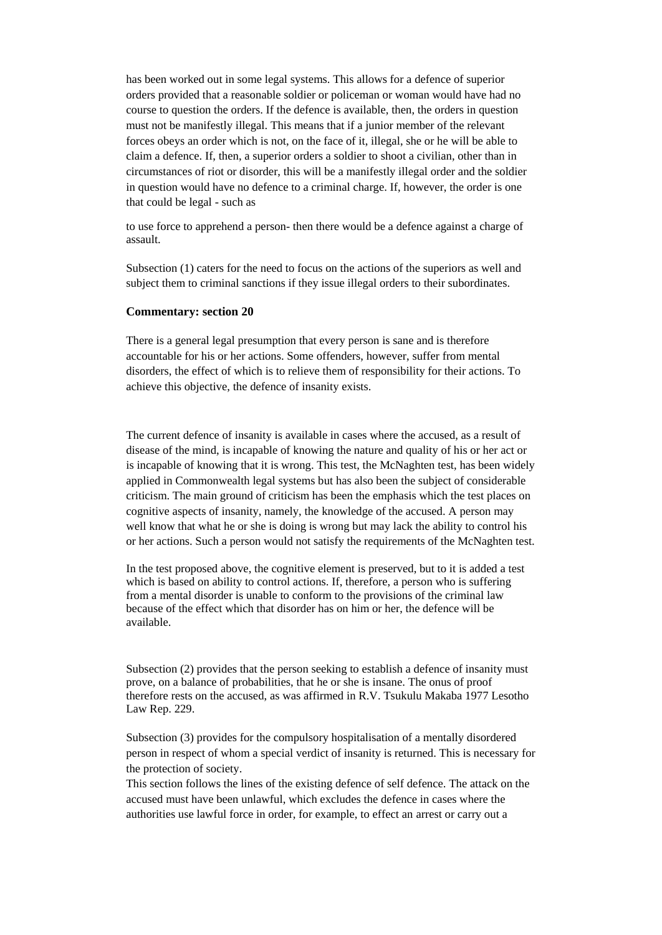has been worked out in some legal systems. This allows for a defence of superior orders provided that a reasonable soldier or policeman or woman would have had no course to question the orders. If the defence is available, then, the orders in question must not be manifestly illegal. This means that if a junior member of the relevant forces obeys an order which is not, on the face of it, illegal, she or he will be able to claim a defence. If, then, a superior orders a soldier to shoot a civilian, other than in circumstances of riot or disorder, this will be a manifestly illegal order and the soldier in question would have no defence to a criminal charge. If, however, the order is one that could be legal - such as

to use force to apprehend a person- then there would be a defence against a charge of assault.

Subsection (1) caters for the need to focus on the actions of the superiors as well and subject them to criminal sanctions if they issue illegal orders to their subordinates.

#### **Commentary: section 20**

There is a general legal presumption that every person is sane and is therefore accountable for his or her actions. Some offenders, however, suffer from mental disorders, the effect of which is to relieve them of responsibility for their actions. To achieve this objective, the defence of insanity exists.

The current defence of insanity is available in cases where the accused, as a result of disease of the mind, is incapable of knowing the nature and quality of his or her act or is incapable of knowing that it is wrong. This test, the McNaghten test, has been widely applied in Commonwealth legal systems but has also been the subject of considerable criticism. The main ground of criticism has been the emphasis which the test places on cognitive aspects of insanity, namely, the knowledge of the accused. A person may well know that what he or she is doing is wrong but may lack the ability to control his or her actions. Such a person would not satisfy the requirements of the McNaghten test.

In the test proposed above, the cognitive element is preserved, but to it is added a test which is based on ability to control actions. If, therefore, a person who is suffering from a mental disorder is unable to conform to the provisions of the criminal law because of the effect which that disorder has on him or her, the defence will be available.

Subsection (2) provides that the person seeking to establish a defence of insanity must prove, on a balance of probabilities, that he or she is insane. The onus of proof therefore rests on the accused, as was affirmed in R.V. Tsukulu Makaba 1977 Lesotho Law Rep. 229.

Subsection (3) provides for the compulsory hospitalisation of a mentally disordered person in respect of whom a special verdict of insanity is returned. This is necessary for the protection of society.

This section follows the lines of the existing defence of self defence. The attack on the accused must have been unlawful, which excludes the defence in cases where the authorities use lawful force in order, for example, to effect an arrest or carry out a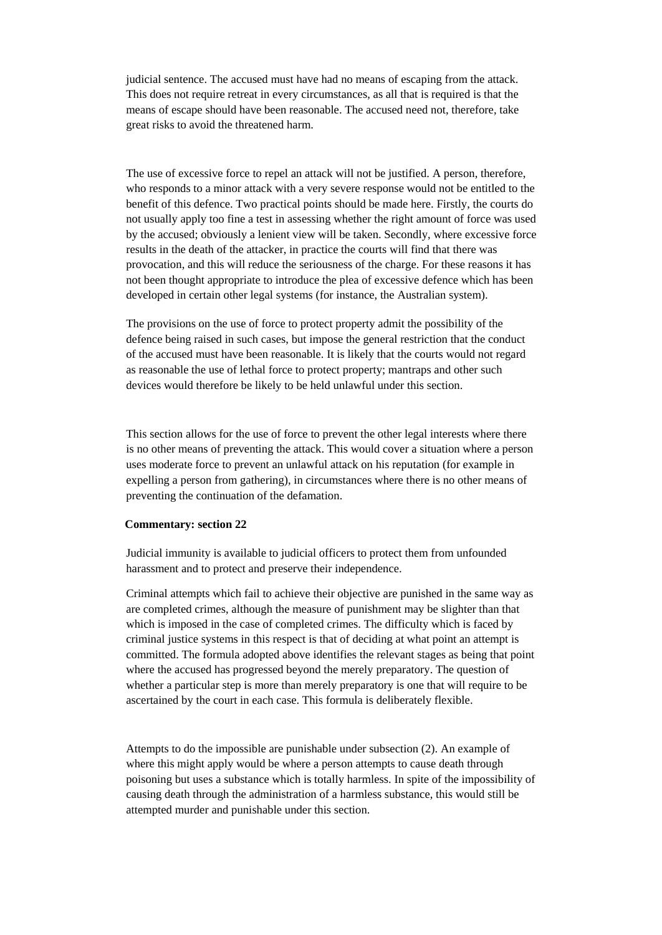judicial sentence. The accused must have had no means of escaping from the attack. This does not require retreat in every circumstances, as all that is required is that the means of escape should have been reasonable. The accused need not, therefore, take great risks to avoid the threatened harm.

The use of excessive force to repel an attack will not be justified. A person, therefore, who responds to a minor attack with a very severe response would not be entitled to the benefit of this defence. Two practical points should be made here. Firstly, the courts do not usually apply too fine a test in assessing whether the right amount of force was used by the accused; obviously a lenient view will be taken. Secondly, where excessive force results in the death of the attacker, in practice the courts will find that there was provocation, and this will reduce the seriousness of the charge. For these reasons it has not been thought appropriate to introduce the plea of excessive defence which has been developed in certain other legal systems (for instance, the Australian system).

The provisions on the use of force to protect property admit the possibility of the defence being raised in such cases, but impose the general restriction that the conduct of the accused must have been reasonable. It is likely that the courts would not regard as reasonable the use of lethal force to protect property; mantraps and other such devices would therefore be likely to be held unlawful under this section.

This section allows for the use of force to prevent the other legal interests where there is no other means of preventing the attack. This would cover a situation where a person uses moderate force to prevent an unlawful attack on his reputation (for example in expelling a person from gathering), in circumstances where there is no other means of preventing the continuation of the defamation.

#### **Commentary: section 22**

Judicial immunity is available to judicial officers to protect them from unfounded harassment and to protect and preserve their independence.

Criminal attempts which fail to achieve their objective are punished in the same way as are completed crimes, although the measure of punishment may be slighter than that which is imposed in the case of completed crimes. The difficulty which is faced by criminal justice systems in this respect is that of deciding at what point an attempt is committed. The formula adopted above identifies the relevant stages as being that point where the accused has progressed beyond the merely preparatory. The question of whether a particular step is more than merely preparatory is one that will require to be ascertained by the court in each case. This formula is deliberately flexible.

Attempts to do the impossible are punishable under subsection (2). An example of where this might apply would be where a person attempts to cause death through poisoning but uses a substance which is totally harmless. In spite of the impossibility of causing death through the administration of a harmless substance, this would still be attempted murder and punishable under this section.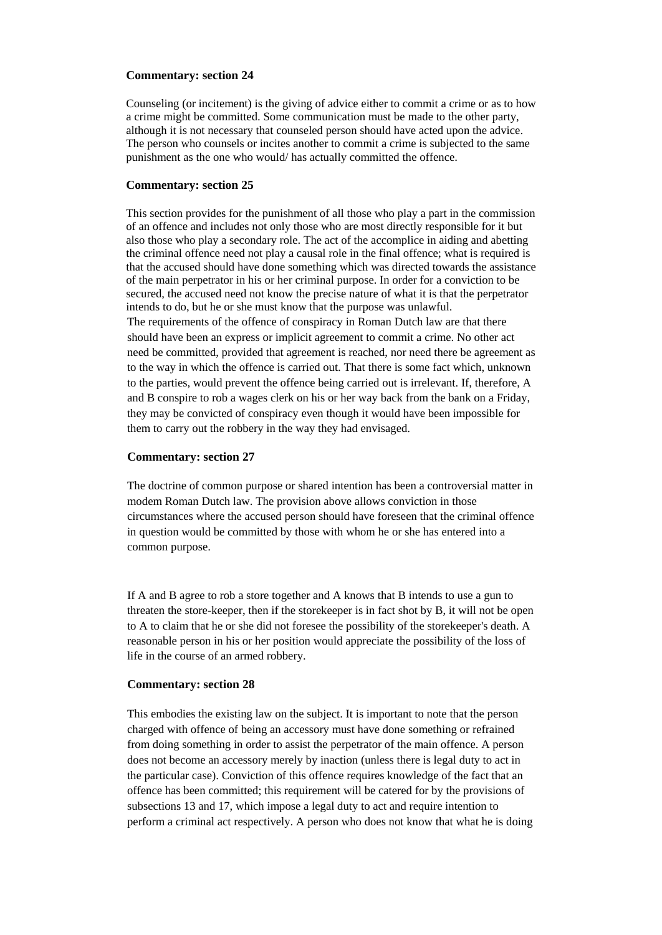#### **Commentary: section 24**

Counseling (or incitement) is the giving of advice either to commit a crime or as to how a crime might be committed. Some communication must be made to the other party, although it is not necessary that counseled person should have acted upon the advice. The person who counsels or incites another to commit a crime is subjected to the same punishment as the one who would/ has actually committed the offence.

## **Commentary: section 25**

This section provides for the punishment of all those who play a part in the commission of an offence and includes not only those who are most directly responsible for it but also those who play a secondary role. The act of the accomplice in aiding and abetting the criminal offence need not play a causal role in the final offence; what is required is that the accused should have done something which was directed towards the assistance of the main perpetrator in his or her criminal purpose. In order for a conviction to be secured, the accused need not know the precise nature of what it is that the perpetrator intends to do, but he or she must know that the purpose was unlawful. The requirements of the offence of conspiracy in Roman Dutch law are that there should have been an express or implicit agreement to commit a crime. No other act need be committed, provided that agreement is reached, nor need there be agreement as to the way in which the offence is carried out. That there is some fact which, unknown to the parties, would prevent the offence being carried out is irrelevant. If, therefore, A and B conspire to rob a wages clerk on his or her way back from the bank on a Friday, they may be convicted of conspiracy even though it would have been impossible for them to carry out the robbery in the way they had envisaged.

## **Commentary: section 27**

The doctrine of common purpose or shared intention has been a controversial matter in modem Roman Dutch law. The provision above allows conviction in those circumstances where the accused person should have foreseen that the criminal offence in question would be committed by those with whom he or she has entered into a common purpose.

If A and B agree to rob a store together and A knows that B intends to use a gun to threaten the store-keeper, then if the storekeeper is in fact shot by B, it will not be open to A to claim that he or she did not foresee the possibility of the storekeeper's death. A reasonable person in his or her position would appreciate the possibility of the loss of life in the course of an armed robbery.

#### **Commentary: section 28**

This embodies the existing law on the subject. It is important to note that the person charged with offence of being an accessory must have done something or refrained from doing something in order to assist the perpetrator of the main offence. A person does not become an accessory merely by inaction (unless there is legal duty to act in the particular case). Conviction of this offence requires knowledge of the fact that an offence has been committed; this requirement will be catered for by the provisions of subsections 13 and 17, which impose a legal duty to act and require intention to perform a criminal act respectively. A person who does not know that what he is doing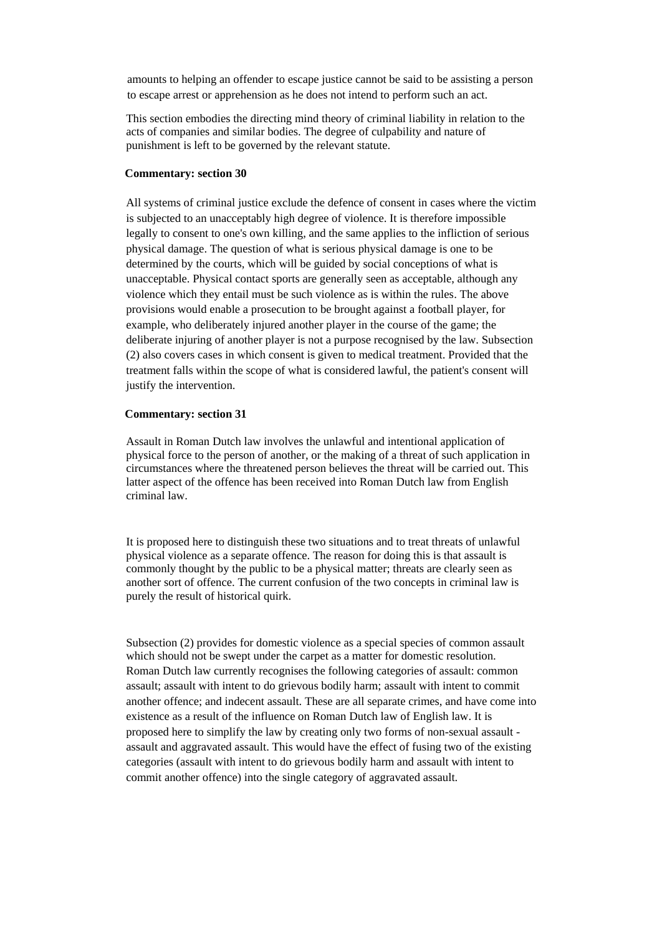amounts to helping an offender to escape justice cannot be said to be assisting a person to escape arrest or apprehension as he does not intend to perform such an act.

This section embodies the directing mind theory of criminal liability in relation to the acts of companies and similar bodies. The degree of culpability and nature of punishment is left to be governed by the relevant statute.

#### **Commentary: section 30**

All systems of criminal justice exclude the defence of consent in cases where the victim is subjected to an unacceptably high degree of violence. It is therefore impossible legally to consent to one's own killing, and the same applies to the infliction of serious physical damage. The question of what is serious physical damage is one to be determined by the courts, which will be guided by social conceptions of what is unacceptable. Physical contact sports are generally seen as acceptable, although any violence which they entail must be such violence as is within the rules. The above provisions would enable a prosecution to be brought against a football player, for example, who deliberately injured another player in the course of the game; the deliberate injuring of another player is not a purpose recognised by the law. Subsection (2) also covers cases in which consent is given to medical treatment. Provided that the treatment falls within the scope of what is considered lawful, the patient's consent will justify the intervention.

#### **Commentary: section 31**

Assault in Roman Dutch law involves the unlawful and intentional application of physical force to the person of another, or the making of a threat of such application in circumstances where the threatened person believes the threat will be carried out. This latter aspect of the offence has been received into Roman Dutch law from English criminal law.

It is proposed here to distinguish these two situations and to treat threats of unlawful physical violence as a separate offence. The reason for doing this is that assault is commonly thought by the public to be a physical matter; threats are clearly seen as another sort of offence. The current confusion of the two concepts in criminal law is purely the result of historical quirk.

Subsection (2) provides for domestic violence as a special species of common assault which should not be swept under the carpet as a matter for domestic resolution. Roman Dutch law currently recognises the following categories of assault: common assault; assault with intent to do grievous bodily harm; assault with intent to commit another offence; and indecent assault. These are all separate crimes, and have come into existence as a result of the influence on Roman Dutch law of English law. It is proposed here to simplify the law by creating only two forms of non-sexual assault assault and aggravated assault. This would have the effect of fusing two of the existing categories (assault with intent to do grievous bodily harm and assault with intent to commit another offence) into the single category of aggravated assault.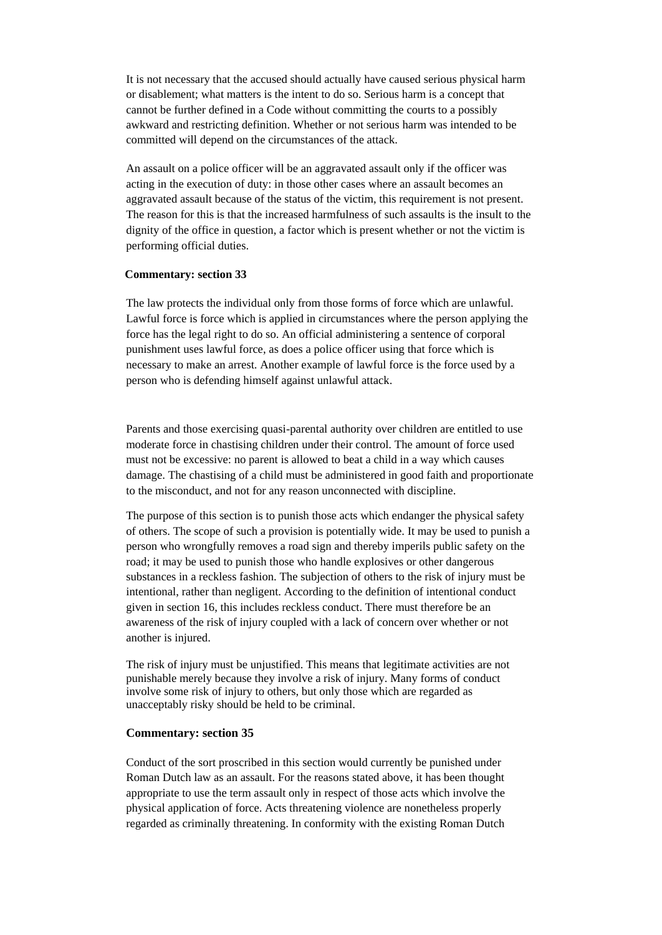It is not necessary that the accused should actually have caused serious physical harm or disablement; what matters is the intent to do so. Serious harm is a concept that cannot be further defined in a Code without committing the courts to a possibly awkward and restricting definition. Whether or not serious harm was intended to be committed will depend on the circumstances of the attack.

An assault on a police officer will be an aggravated assault only if the officer was acting in the execution of duty: in those other cases where an assault becomes an aggravated assault because of the status of the victim, this requirement is not present. The reason for this is that the increased harmfulness of such assaults is the insult to the dignity of the office in question, a factor which is present whether or not the victim is performing official duties.

#### **Commentary: section 33**

The law protects the individual only from those forms of force which are unlawful. Lawful force is force which is applied in circumstances where the person applying the force has the legal right to do so. An official administering a sentence of corporal punishment uses lawful force, as does a police officer using that force which is necessary to make an arrest. Another example of lawful force is the force used by a person who is defending himself against unlawful attack.

Parents and those exercising quasi-parental authority over children are entitled to use moderate force in chastising children under their control. The amount of force used must not be excessive: no parent is allowed to beat a child in a way which causes damage. The chastising of a child must be administered in good faith and proportionate to the misconduct, and not for any reason unconnected with discipline.

The purpose of this section is to punish those acts which endanger the physical safety of others. The scope of such a provision is potentially wide. It may be used to punish a person who wrongfully removes a road sign and thereby imperils public safety on the road; it may be used to punish those who handle explosives or other dangerous substances in a reckless fashion. The subjection of others to the risk of injury must be intentional, rather than negligent. According to the definition of intentional conduct given in section 16, this includes reckless conduct. There must therefore be an awareness of the risk of injury coupled with a lack of concern over whether or not another is injured.

The risk of injury must be unjustified. This means that legitimate activities are not punishable merely because they involve a risk of injury. Many forms of conduct involve some risk of injury to others, but only those which are regarded as unacceptably risky should be held to be criminal.

## **Commentary: section 35**

Conduct of the sort proscribed in this section would currently be punished under Roman Dutch law as an assault. For the reasons stated above, it has been thought appropriate to use the term assault only in respect of those acts which involve the physical application of force. Acts threatening violence are nonetheless properly regarded as criminally threatening. In conformity with the existing Roman Dutch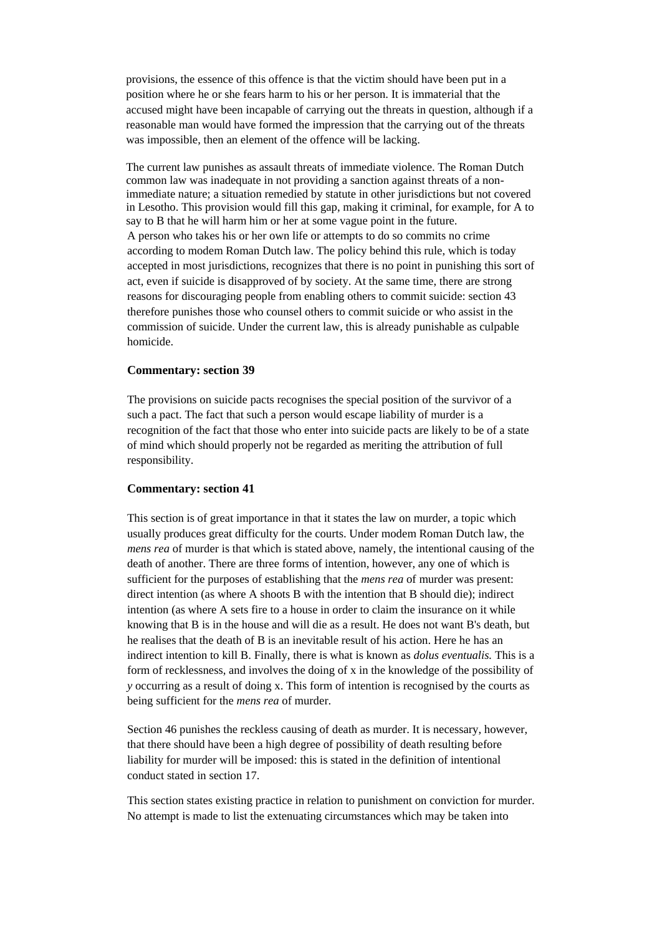provisions, the essence of this offence is that the victim should have been put in a position where he or she fears harm to his or her person. It is immaterial that the accused might have been incapable of carrying out the threats in question, although if a reasonable man would have formed the impression that the carrying out of the threats was impossible, then an element of the offence will be lacking.

The current law punishes as assault threats of immediate violence. The Roman Dutch common law was inadequate in not providing a sanction against threats of a nonimmediate nature; a situation remedied by statute in other jurisdictions but not covered in Lesotho. This provision would fill this gap, making it criminal, for example, for A to say to B that he will harm him or her at some vague point in the future. A person who takes his or her own life or attempts to do so commits no crime according to modem Roman Dutch law. The policy behind this rule, which is today accepted in most jurisdictions, recognizes that there is no point in punishing this sort of act, even if suicide is disapproved of by society. At the same time, there are strong reasons for discouraging people from enabling others to commit suicide: section 43 therefore punishes those who counsel others to commit suicide or who assist in the commission of suicide. Under the current law, this is already punishable as culpable homicide.

#### **Commentary: section 39**

The provisions on suicide pacts recognises the special position of the survivor of a such a pact. The fact that such a person would escape liability of murder is a recognition of the fact that those who enter into suicide pacts are likely to be of a state of mind which should properly not be regarded as meriting the attribution of full responsibility.

#### **Commentary: section 41**

This section is of great importance in that it states the law on murder, a topic which usually produces great difficulty for the courts. Under modem Roman Dutch law, the *mens rea* of murder is that which is stated above, namely, the intentional causing of the death of another. There are three forms of intention, however, any one of which is sufficient for the purposes of establishing that the *mens rea* of murder was present: direct intention (as where A shoots B with the intention that B should die); indirect intention (as where A sets fire to a house in order to claim the insurance on it while knowing that B is in the house and will die as a result. He does not want B's death, but he realises that the death of B is an inevitable result of his action. Here he has an indirect intention to kill B. Finally, there is what is known as *dolus eventualis.* This is a form of recklessness, and involves the doing of x in the knowledge of the possibility of *y* occurring as a result of doing x. This form of intention is recognised by the courts as being sufficient for the *mens rea* of murder.

Section 46 punishes the reckless causing of death as murder. It is necessary, however, that there should have been a high degree of possibility of death resulting before liability for murder will be imposed: this is stated in the definition of intentional conduct stated in section 17.

This section states existing practice in relation to punishment on conviction for murder. No attempt is made to list the extenuating circumstances which may be taken into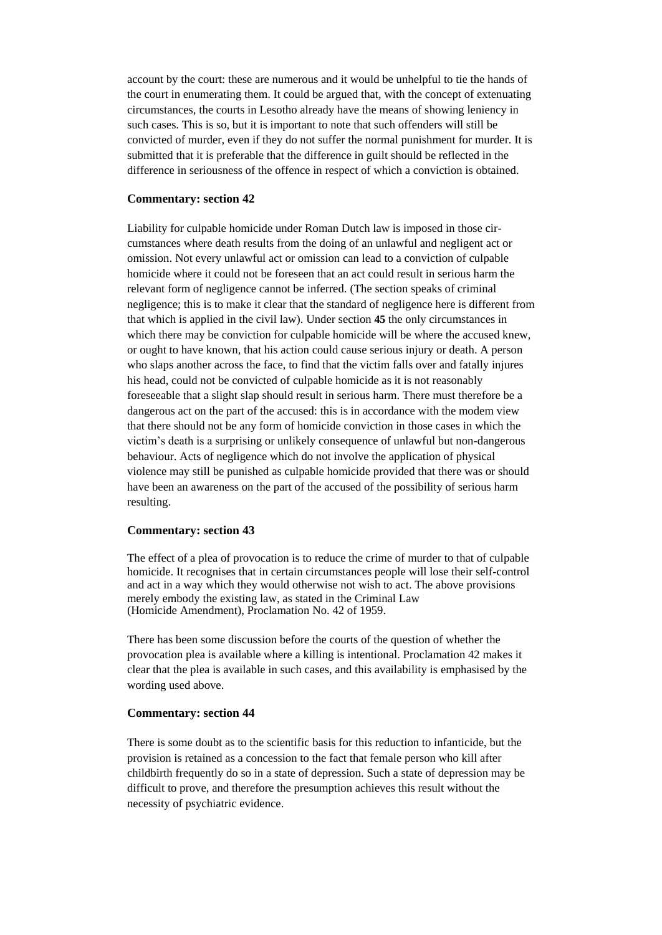account by the court: these are numerous and it would be unhelpful to tie the hands of the court in enumerating them. It could be argued that, with the concept of extenuating circumstances, the courts in Lesotho already have the means of showing leniency in such cases. This is so, but it is important to note that such offenders will still be convicted of murder, even if they do not suffer the normal punishment for murder. It is submitted that it is preferable that the difference in guilt should be reflected in the difference in seriousness of the offence in respect of which a conviction is obtained.

#### **Commentary: section 42**

Liability for culpable homicide under Roman Dutch law is imposed in those circumstances where death results from the doing of an unlawful and negligent act or omission. Not every unlawful act or omission can lead to a conviction of culpable homicide where it could not be foreseen that an act could result in serious harm the relevant form of negligence cannot be inferred. (The section speaks of criminal negligence; this is to make it clear that the standard of negligence here is different from that which is applied in the civil law). Under section **45** the only circumstances in which there may be conviction for culpable homicide will be where the accused knew, or ought to have known, that his action could cause serious injury or death. A person who slaps another across the face, to find that the victim falls over and fatally injures his head, could not be convicted of culpable homicide as it is not reasonably foreseeable that a slight slap should result in serious harm. There must therefore be a dangerous act on the part of the accused: this is in accordance with the modem view that there should not be any form of homicide conviction in those cases in which the victim's death is a surprising or unlikely consequence of unlawful but non-dangerous behaviour. Acts of negligence which do not involve the application of physical violence may still be punished as culpable homicide provided that there was or should have been an awareness on the part of the accused of the possibility of serious harm resulting.

#### **Commentary: section 43**

The effect of a plea of provocation is to reduce the crime of murder to that of culpable homicide. It recognises that in certain circumstances people will lose their self-control and act in a way which they would otherwise not wish to act. The above provisions merely embody the existing law, as stated in the Criminal Law (Homicide Amendment), Proclamation No. 42 of 1959.

There has been some discussion before the courts of the question of whether the provocation plea is available where a killing is intentional. Proclamation 42 makes it clear that the plea is available in such cases, and this availability is emphasised by the wording used above.

#### **Commentary: section 44**

There is some doubt as to the scientific basis for this reduction to infanticide, but the provision is retained as a concession to the fact that female person who kill after childbirth frequently do so in a state of depression. Such a state of depression may be difficult to prove, and therefore the presumption achieves this result without the necessity of psychiatric evidence.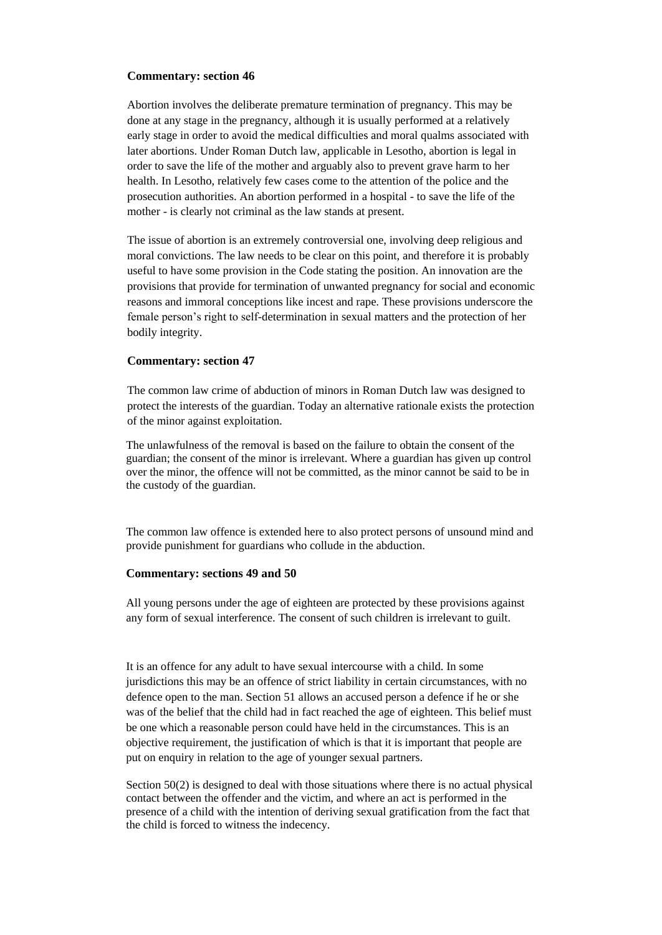## **Commentary: section 46**

Abortion involves the deliberate premature termination of pregnancy. This may be done at any stage in the pregnancy, although it is usually performed at a relatively early stage in order to avoid the medical difficulties and moral qualms associated with later abortions. Under Roman Dutch law, applicable in Lesotho, abortion is legal in order to save the life of the mother and arguably also to prevent grave harm to her health. In Lesotho, relatively few cases come to the attention of the police and the prosecution authorities. An abortion performed in a hospital - to save the life of the mother - is clearly not criminal as the law stands at present.

The issue of abortion is an extremely controversial one, involving deep religious and moral convictions. The law needs to be clear on this point, and therefore it is probably useful to have some provision in the Code stating the position. An innovation are the provisions that provide for termination of unwanted pregnancy for social and economic reasons and immoral conceptions like incest and rape. These provisions underscore the female person's right to self-determination in sexual matters and the protection of her bodily integrity.

#### **Commentary: section 47**

The common law crime of abduction of minors in Roman Dutch law was designed to protect the interests of the guardian. Today an alternative rationale exists the protection of the minor against exploitation.

The unlawfulness of the removal is based on the failure to obtain the consent of the guardian; the consent of the minor is irrelevant. Where a guardian has given up control over the minor, the offence will not be committed, as the minor cannot be said to be in the custody of the guardian.

The common law offence is extended here to also protect persons of unsound mind and provide punishment for guardians who collude in the abduction.

#### **Commentary: sections 49 and 50**

All young persons under the age of eighteen are protected by these provisions against any form of sexual interference. The consent of such children is irrelevant to guilt.

It is an offence for any adult to have sexual intercourse with a child. In some jurisdictions this may be an offence of strict liability in certain circumstances, with no defence open to the man. Section 51 allows an accused person a defence if he or she was of the belief that the child had in fact reached the age of eighteen. This belief must be one which a reasonable person could have held in the circumstances. This is an objective requirement, the justification of which is that it is important that people are put on enquiry in relation to the age of younger sexual partners.

Section  $50(2)$  is designed to deal with those situations where there is no actual physical contact between the offender and the victim, and where an act is performed in the presence of a child with the intention of deriving sexual gratification from the fact that the child is forced to witness the indecency.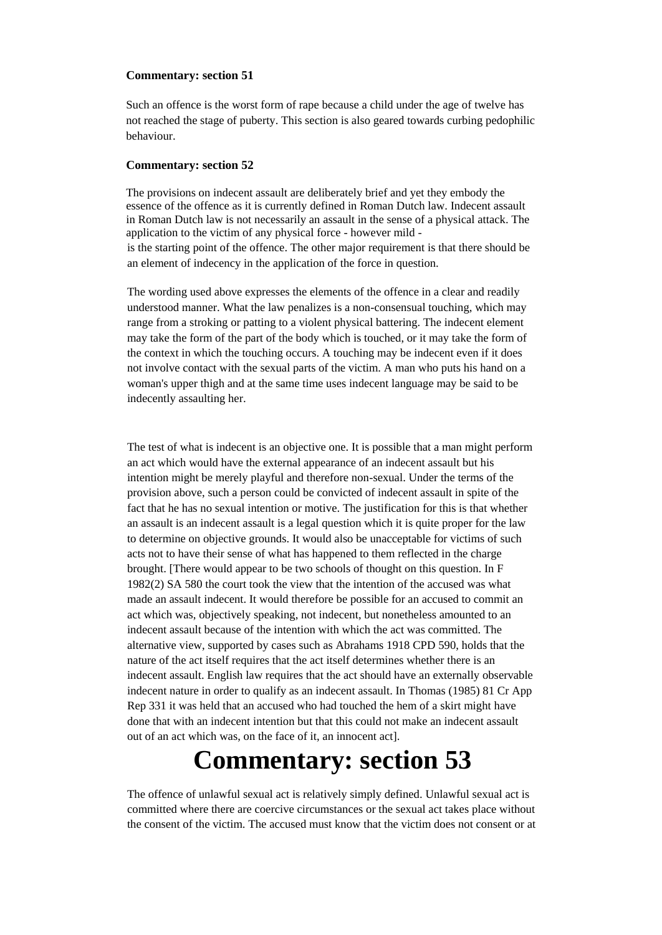## **Commentary: section 51**

Such an offence is the worst form of rape because a child under the age of twelve has not reached the stage of puberty. This section is also geared towards curbing pedophilic behaviour.

#### **Commentary: section 52**

The provisions on indecent assault are deliberately brief and yet they embody the essence of the offence as it is currently defined in Roman Dutch law. Indecent assault in Roman Dutch law is not necessarily an assault in the sense of a physical attack. The application to the victim of any physical force - however mild is the starting point of the offence. The other major requirement is that there should be an element of indecency in the application of the force in question.

The wording used above expresses the elements of the offence in a clear and readily understood manner. What the law penalizes is a non-consensual touching, which may range from a stroking or patting to a violent physical battering. The indecent element may take the form of the part of the body which is touched, or it may take the form of the context in which the touching occurs. A touching may be indecent even if it does not involve contact with the sexual parts of the victim. A man who puts his hand on a woman's upper thigh and at the same time uses indecent language may be said to be indecently assaulting her.

The test of what is indecent is an objective one. It is possible that a man might perform an act which would have the external appearance of an indecent assault but his intention might be merely playful and therefore non-sexual. Under the terms of the provision above, such a person could be convicted of indecent assault in spite of the fact that he has no sexual intention or motive. The justification for this is that whether an assault is an indecent assault is a legal question which it is quite proper for the law to determine on objective grounds. It would also be unacceptable for victims of such acts not to have their sense of what has happened to them reflected in the charge brought. [There would appear to be two schools of thought on this question. In F 1982(2) SA 580 the court took the view that the intention of the accused was what made an assault indecent. It would therefore be possible for an accused to commit an act which was, objectively speaking, not indecent, but nonetheless amounted to an indecent assault because of the intention with which the act was committed. The alternative view, supported by cases such as Abrahams 1918 CPD 590, holds that the nature of the act itself requires that the act itself determines whether there is an indecent assault. English law requires that the act should have an externally observable indecent nature in order to qualify as an indecent assault. In Thomas (1985) 81 Cr App Rep 331 it was held that an accused who had touched the hem of a skirt might have done that with an indecent intention but that this could not make an indecent assault out of an act which was, on the face of it, an innocent act].

# **Commentary: section 53**

The offence of unlawful sexual act is relatively simply defined. Unlawful sexual act is committed where there are coercive circumstances or the sexual act takes place without the consent of the victim. The accused must know that the victim does not consent or at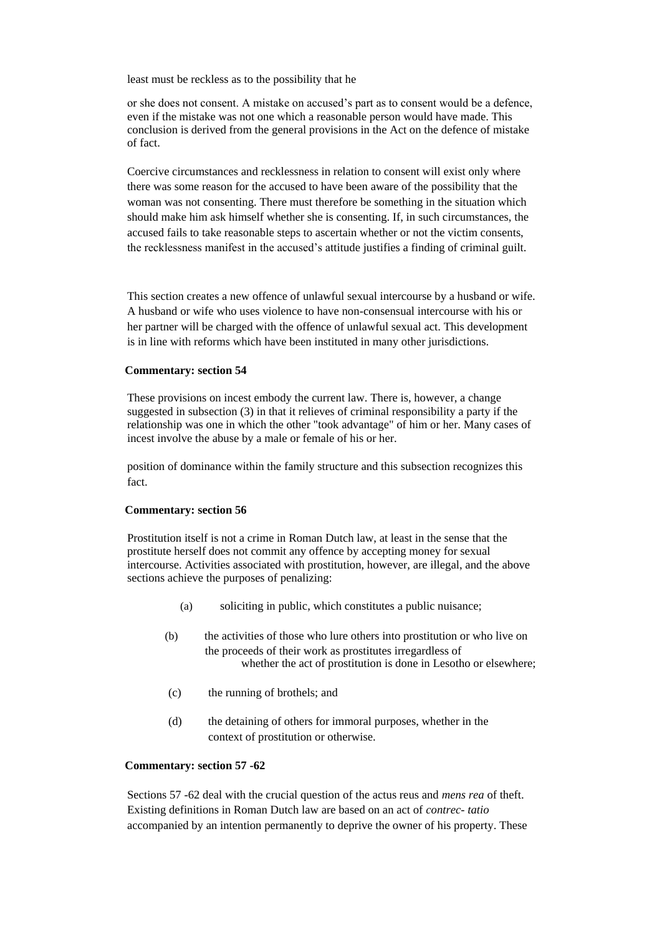least must be reckless as to the possibility that he

or she does not consent. A mistake on accused's part as to consent would be a defence, even if the mistake was not one which a reasonable person would have made. This conclusion is derived from the general provisions in the Act on the defence of mistake of fact.

Coercive circumstances and recklessness in relation to consent will exist only where there was some reason for the accused to have been aware of the possibility that the woman was not consenting. There must therefore be something in the situation which should make him ask himself whether she is consenting. If, in such circumstances, the accused fails to take reasonable steps to ascertain whether or not the victim consents, the recklessness manifest in the accused's attitude justifies a finding of criminal guilt.

This section creates a new offence of unlawful sexual intercourse by a husband or wife. A husband or wife who uses violence to have non-consensual intercourse with his or her partner will be charged with the offence of unlawful sexual act. This development is in line with reforms which have been instituted in many other jurisdictions.

#### **Commentary: section 54**

These provisions on incest embody the current law. There is, however, a change suggested in subsection (3) in that it relieves of criminal responsibility a party if the relationship was one in which the other "took advantage" of him or her. Many cases of incest involve the abuse by a male or female of his or her.

position of dominance within the family structure and this subsection recognizes this fact.

#### **Commentary: section 56**

Prostitution itself is not a crime in Roman Dutch law, at least in the sense that the prostitute herself does not commit any offence by accepting money for sexual intercourse. Activities associated with prostitution, however, are illegal, and the above sections achieve the purposes of penalizing:

- (a) soliciting in public, which constitutes a public nuisance;
- (b) the activities of those who lure others into prostitution or who live on the proceeds of their work as prostitutes irregardless of whether the act of prostitution is done in Lesotho or elsewhere;
- (c) the running of brothels; and
- (d) the detaining of others for immoral purposes, whether in the context of prostitution or otherwise.

#### **Commentary: section 57 -62**

Sections 57 -62 deal with the crucial question of the actus reus and *mens rea* of theft. Existing definitions in Roman Dutch law are based on an act of *contrec- tatio* accompanied by an intention permanently to deprive the owner of his property. These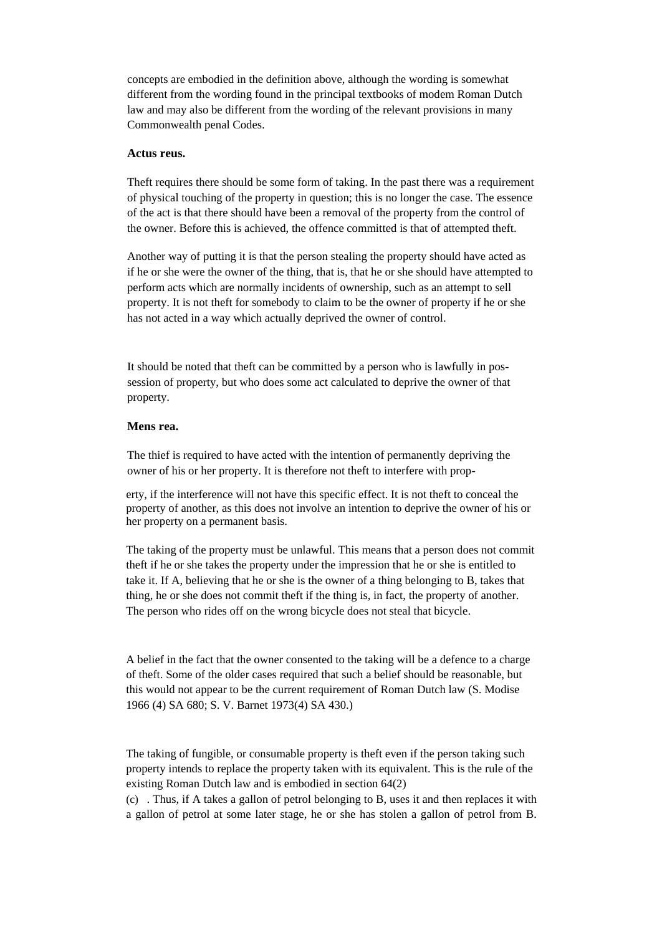concepts are embodied in the definition above, although the wording is somewhat different from the wording found in the principal textbooks of modem Roman Dutch law and may also be different from the wording of the relevant provisions in many Commonwealth penal Codes.

# **Actus reus.**

Theft requires there should be some form of taking. In the past there was a requirement of physical touching of the property in question; this is no longer the case. The essence of the act is that there should have been a removal of the property from the control of the owner. Before this is achieved, the offence committed is that of attempted theft.

Another way of putting it is that the person stealing the property should have acted as if he or she were the owner of the thing, that is, that he or she should have attempted to perform acts which are normally incidents of ownership, such as an attempt to sell property. It is not theft for somebody to claim to be the owner of property if he or she has not acted in a way which actually deprived the owner of control.

It should be noted that theft can be committed by a person who is lawfully in possession of property, but who does some act calculated to deprive the owner of that property.

#### **Mens rea.**

The thief is required to have acted with the intention of permanently depriving the owner of his or her property. It is therefore not theft to interfere with prop-

erty, if the interference will not have this specific effect. It is not theft to conceal the property of another, as this does not involve an intention to deprive the owner of his or her property on a permanent basis.

The taking of the property must be unlawful. This means that a person does not commit theft if he or she takes the property under the impression that he or she is entitled to take it. If A, believing that he or she is the owner of a thing belonging to B, takes that thing, he or she does not commit theft if the thing is, in fact, the property of another. The person who rides off on the wrong bicycle does not steal that bicycle.

A belief in the fact that the owner consented to the taking will be a defence to a charge of theft. Some of the older cases required that such a belief should be reasonable, but this would not appear to be the current requirement of Roman Dutch law (S. Modise 1966 (4) SA 680; S. V. Barnet 1973(4) SA 430.)

The taking of fungible, or consumable property is theft even if the person taking such property intends to replace the property taken with its equivalent. This is the rule of the existing Roman Dutch law and is embodied in section 64(2)

(c) . Thus, if A takes a gallon of petrol belonging to B, uses it and then replaces it with a gallon of petrol at some later stage, he or she has stolen a gallon of petrol from B.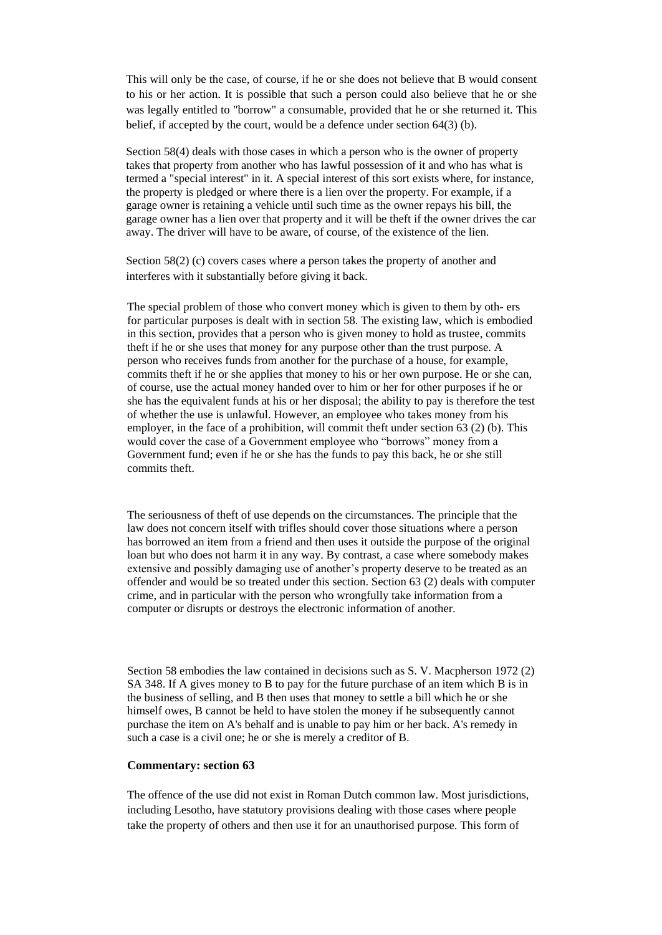This will only be the case, of course, if he or she does not believe that B would consent to his or her action. It is possible that such a person could also believe that he or she was legally entitled to "borrow" a consumable, provided that he or she returned it. This belief, if accepted by the court, would be a defence under section 64(3) (b).

Section 58(4) deals with those cases in which a person who is the owner of property takes that property from another who has lawful possession of it and who has what is termed a "special interest" in it. A special interest of this sort exists where, for instance, the property is pledged or where there is a lien over the property. For example, if a garage owner is retaining a vehicle until such time as the owner repays his bill, the garage owner has a lien over that property and it will be theft if the owner drives the car away. The driver will have to be aware, of course, of the existence of the lien.

Section 58(2) (c) covers cases where a person takes the property of another and interferes with it substantially before giving it back.

The special problem of those who convert money which is given to them by oth- ers for particular purposes is dealt with in section 58. The existing law, which is embodied in this section, provides that a person who is given money to hold as trustee, commits theft if he or she uses that money for any purpose other than the trust purpose. A person who receives funds from another for the purchase of a house, for example, commits theft if he or she applies that money to his or her own purpose. He or she can, of course, use the actual money handed over to him or her for other purposes if he or she has the equivalent funds at his or her disposal; the ability to pay is therefore the test of whether the use is unlawful. However, an employee who takes money from his employer, in the face of a prohibition, will commit theft under section 63 (2) (b). This would cover the case of a Government employee who "borrows" money from a Government fund; even if he or she has the funds to pay this back, he or she still commits theft.

The seriousness of theft of use depends on the circumstances. The principle that the law does not concern itself with trifles should cover those situations where a person has borrowed an item from a friend and then uses it outside the purpose of the original loan but who does not harm it in any way. By contrast, a case where somebody makes extensive and possibly damaging use of another's property deserve to be treated as an offender and would be so treated under this section. Section 63 (2) deals with computer crime, and in particular with the person who wrongfully take information from a computer or disrupts or destroys the electronic information of another.

Section 58 embodies the law contained in decisions such as S. V. Macpherson 1972 (2) SA 348. If A gives money to B to pay for the future purchase of an item which B is in the business of selling, and B then uses that money to settle a bill which he or she himself owes, B cannot be held to have stolen the money if he subsequently cannot purchase the item on A's behalf and is unable to pay him or her back. A's remedy in such a case is a civil one; he or she is merely a creditor of B.

## **Commentary: section 63**

The offence of the use did not exist in Roman Dutch common law. Most jurisdictions, including Lesotho, have statutory provisions dealing with those cases where people take the property of others and then use it for an unauthorised purpose. This form of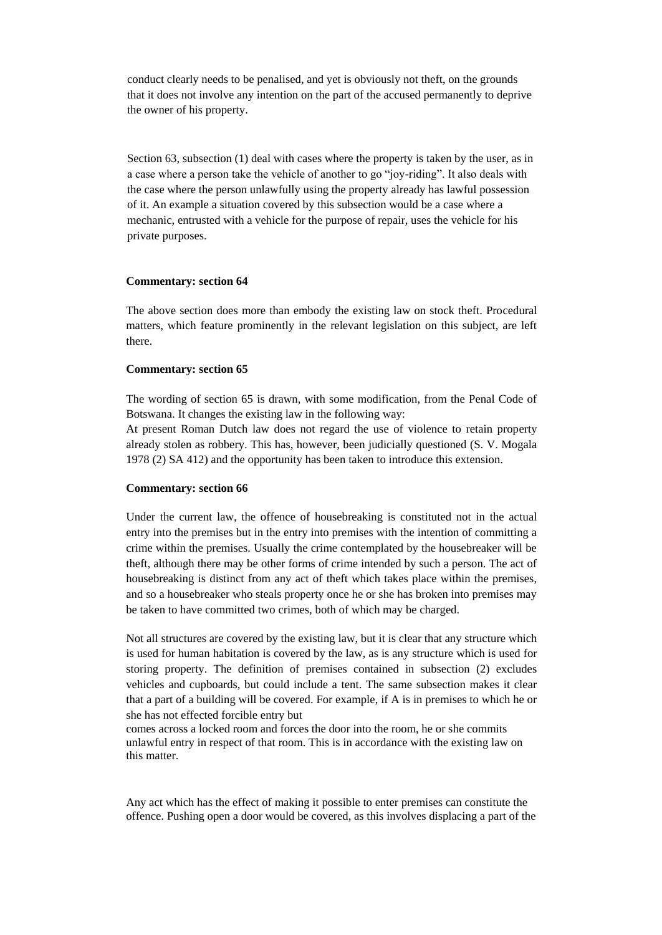conduct clearly needs to be penalised, and yet is obviously not theft, on the grounds that it does not involve any intention on the part of the accused permanently to deprive the owner of his property.

Section 63, subsection (1) deal with cases where the property is taken by the user, as in a case where a person take the vehicle of another to go "joy-riding". It also deals with the case where the person unlawfully using the property already has lawful possession of it. An example a situation covered by this subsection would be a case where a mechanic, entrusted with a vehicle for the purpose of repair, uses the vehicle for his private purposes.

## **Commentary: section 64**

The above section does more than embody the existing law on stock theft. Procedural matters, which feature prominently in the relevant legislation on this subject, are left there.

## **Commentary: section 65**

The wording of section 65 is drawn, with some modification, from the Penal Code of Botswana. It changes the existing law in the following way:

At present Roman Dutch law does not regard the use of violence to retain property already stolen as robbery. This has, however, been judicially questioned (S. V. Mogala 1978 (2) SA 412) and the opportunity has been taken to introduce this extension.

#### **Commentary: section 66**

Under the current law, the offence of housebreaking is constituted not in the actual entry into the premises but in the entry into premises with the intention of committing a crime within the premises. Usually the crime contemplated by the housebreaker will be theft, although there may be other forms of crime intended by such a person. The act of housebreaking is distinct from any act of theft which takes place within the premises, and so a housebreaker who steals property once he or she has broken into premises may be taken to have committed two crimes, both of which may be charged.

Not all structures are covered by the existing law, but it is clear that any structure which is used for human habitation is covered by the law, as is any structure which is used for storing property. The definition of premises contained in subsection (2) excludes vehicles and cupboards, but could include a tent. The same subsection makes it clear that a part of a building will be covered. For example, if A is in premises to which he or she has not effected forcible entry but

comes across a locked room and forces the door into the room, he or she commits unlawful entry in respect of that room. This is in accordance with the existing law on this matter.

Any act which has the effect of making it possible to enter premises can constitute the offence. Pushing open a door would be covered, as this involves displacing a part of the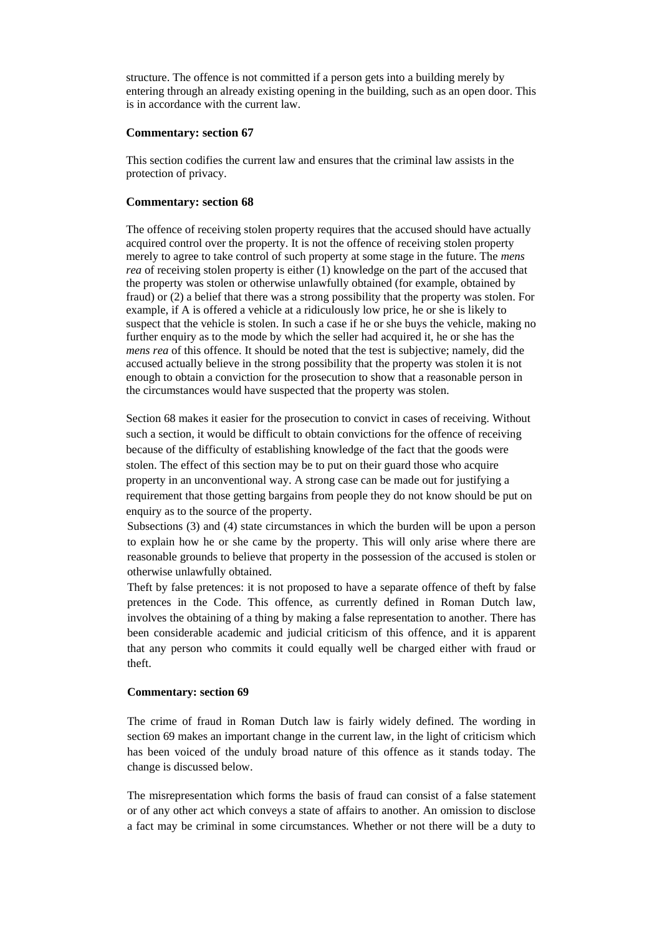structure. The offence is not committed if a person gets into a building merely by entering through an already existing opening in the building, such as an open door. This is in accordance with the current law.

### **Commentary: section 67**

This section codifies the current law and ensures that the criminal law assists in the protection of privacy.

## **Commentary: section 68**

The offence of receiving stolen property requires that the accused should have actually acquired control over the property. It is not the offence of receiving stolen property merely to agree to take control of such property at some stage in the future. The *mens rea* of receiving stolen property is either (1) knowledge on the part of the accused that the property was stolen or otherwise unlawfully obtained (for example, obtained by fraud) or (2) a belief that there was a strong possibility that the property was stolen. For example, if A is offered a vehicle at a ridiculously low price, he or she is likely to suspect that the vehicle is stolen. In such a case if he or she buys the vehicle, making no further enquiry as to the mode by which the seller had acquired it, he or she has the *mens rea* of this offence. It should be noted that the test is subjective; namely, did the accused actually believe in the strong possibility that the property was stolen it is not enough to obtain a conviction for the prosecution to show that a reasonable person in the circumstances would have suspected that the property was stolen.

Section 68 makes it easier for the prosecution to convict in cases of receiving. Without such a section, it would be difficult to obtain convictions for the offence of receiving because of the difficulty of establishing knowledge of the fact that the goods were stolen. The effect of this section may be to put on their guard those who acquire property in an unconventional way. A strong case can be made out for justifying a requirement that those getting bargains from people they do not know should be put on enquiry as to the source of the property.

Subsections (3) and (4) state circumstances in which the burden will be upon a person to explain how he or she came by the property. This will only arise where there are reasonable grounds to believe that property in the possession of the accused is stolen or otherwise unlawfully obtained.

Theft by false pretences: it is not proposed to have a separate offence of theft by false pretences in the Code. This offence, as currently defined in Roman Dutch law, involves the obtaining of a thing by making a false representation to another. There has been considerable academic and judicial criticism of this offence, and it is apparent that any person who commits it could equally well be charged either with fraud or theft.

### **Commentary: section 69**

The crime of fraud in Roman Dutch law is fairly widely defined. The wording in section 69 makes an important change in the current law, in the light of criticism which has been voiced of the unduly broad nature of this offence as it stands today. The change is discussed below.

The misrepresentation which forms the basis of fraud can consist of a false statement or of any other act which conveys a state of affairs to another. An omission to disclose a fact may be criminal in some circumstances. Whether or not there will be a duty to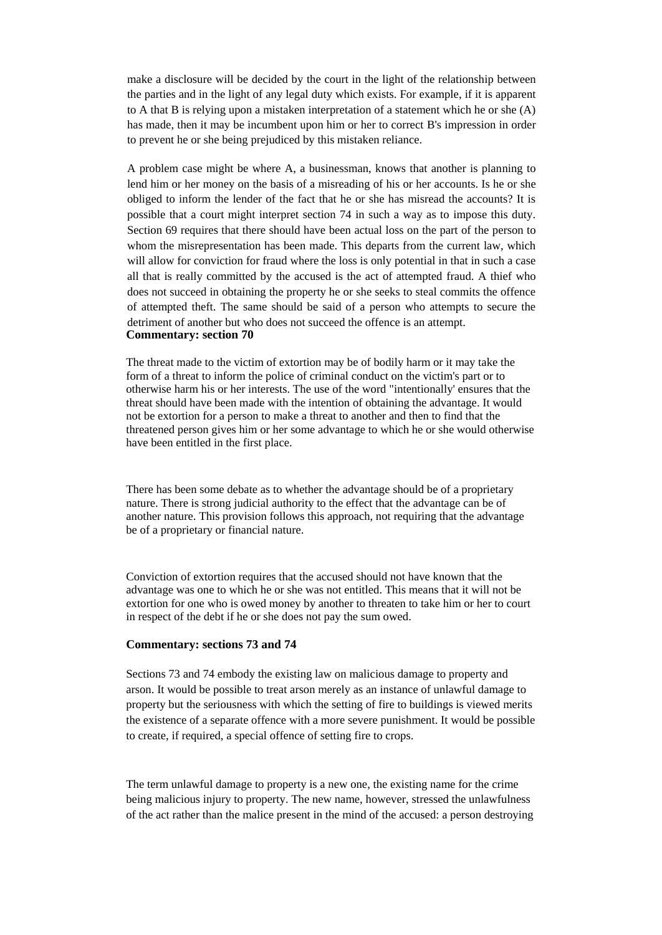make a disclosure will be decided by the court in the light of the relationship between the parties and in the light of any legal duty which exists. For example, if it is apparent to A that B is relying upon a mistaken interpretation of a statement which he or she (A) has made, then it may be incumbent upon him or her to correct B's impression in order to prevent he or she being prejudiced by this mistaken reliance.

A problem case might be where A, a businessman, knows that another is planning to lend him or her money on the basis of a misreading of his or her accounts. Is he or she obliged to inform the lender of the fact that he or she has misread the accounts? It is possible that a court might interpret section 74 in such a way as to impose this duty. Section 69 requires that there should have been actual loss on the part of the person to whom the misrepresentation has been made. This departs from the current law, which will allow for conviction for fraud where the loss is only potential in that in such a case all that is really committed by the accused is the act of attempted fraud. A thief who does not succeed in obtaining the property he or she seeks to steal commits the offence of attempted theft. The same should be said of a person who attempts to secure the detriment of another but who does not succeed the offence is an attempt. **Commentary: section 70**

The threat made to the victim of extortion may be of bodily harm or it may take the form of a threat to inform the police of criminal conduct on the victim's part or to otherwise harm his or her interests. The use of the word "intentionally' ensures that the threat should have been made with the intention of obtaining the advantage. It would not be extortion for a person to make a threat to another and then to find that the threatened person gives him or her some advantage to which he or she would otherwise have been entitled in the first place.

There has been some debate as to whether the advantage should be of a proprietary nature. There is strong judicial authority to the effect that the advantage can be of another nature. This provision follows this approach, not requiring that the advantage be of a proprietary or financial nature.

Conviction of extortion requires that the accused should not have known that the advantage was one to which he or she was not entitled. This means that it will not be extortion for one who is owed money by another to threaten to take him or her to court in respect of the debt if he or she does not pay the sum owed.

### **Commentary: sections 73 and 74**

Sections 73 and 74 embody the existing law on malicious damage to property and arson. It would be possible to treat arson merely as an instance of unlawful damage to property but the seriousness with which the setting of fire to buildings is viewed merits the existence of a separate offence with a more severe punishment. It would be possible to create, if required, a special offence of setting fire to crops.

The term unlawful damage to property is a new one, the existing name for the crime being malicious injury to property. The new name, however, stressed the unlawfulness of the act rather than the malice present in the mind of the accused: a person destroying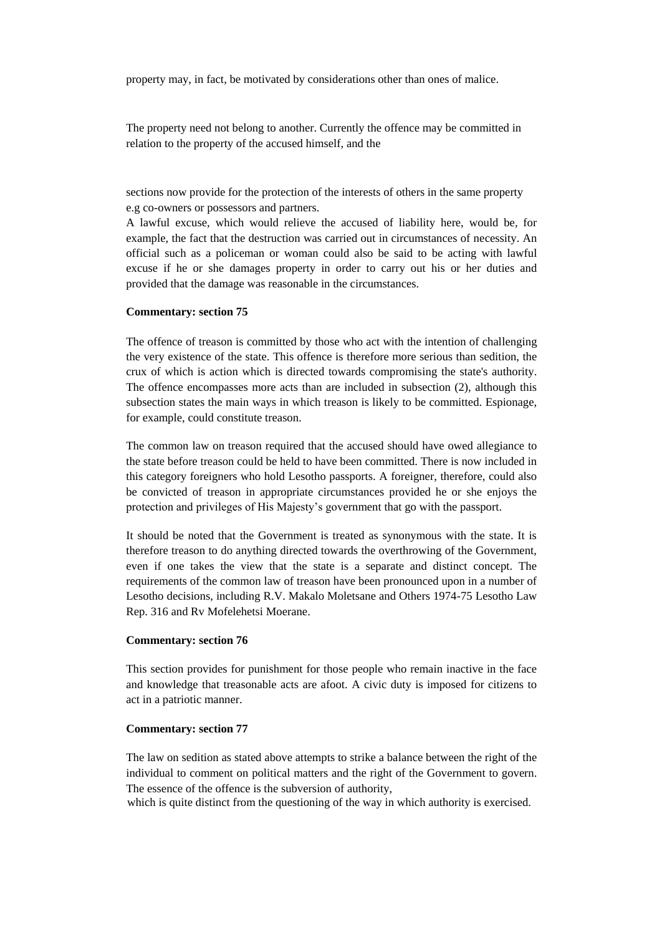property may, in fact, be motivated by considerations other than ones of malice.

The property need not belong to another. Currently the offence may be committed in relation to the property of the accused himself, and the

sections now provide for the protection of the interests of others in the same property e.g co-owners or possessors and partners.

A lawful excuse, which would relieve the accused of liability here, would be, for example, the fact that the destruction was carried out in circumstances of necessity. An official such as a policeman or woman could also be said to be acting with lawful excuse if he or she damages property in order to carry out his or her duties and provided that the damage was reasonable in the circumstances.

#### **Commentary: section 75**

The offence of treason is committed by those who act with the intention of challenging the very existence of the state. This offence is therefore more serious than sedition, the crux of which is action which is directed towards compromising the state's authority. The offence encompasses more acts than are included in subsection (2), although this subsection states the main ways in which treason is likely to be committed. Espionage, for example, could constitute treason.

The common law on treason required that the accused should have owed allegiance to the state before treason could be held to have been committed. There is now included in this category foreigners who hold Lesotho passports. A foreigner, therefore, could also be convicted of treason in appropriate circumstances provided he or she enjoys the protection and privileges of His Majesty's government that go with the passport.

It should be noted that the Government is treated as synonymous with the state. It is therefore treason to do anything directed towards the overthrowing of the Government, even if one takes the view that the state is a separate and distinct concept. The requirements of the common law of treason have been pronounced upon in a number of Lesotho decisions, including R.V. Makalo Moletsane and Others 1974-75 Lesotho Law Rep. 316 and Rv Mofelehetsi Moerane.

## **Commentary: section 76**

This section provides for punishment for those people who remain inactive in the face and knowledge that treasonable acts are afoot. A civic duty is imposed for citizens to act in a patriotic manner.

#### **Commentary: section 77**

The law on sedition as stated above attempts to strike a balance between the right of the individual to comment on political matters and the right of the Government to govern. The essence of the offence is the subversion of authority,

which is quite distinct from the questioning of the way in which authority is exercised.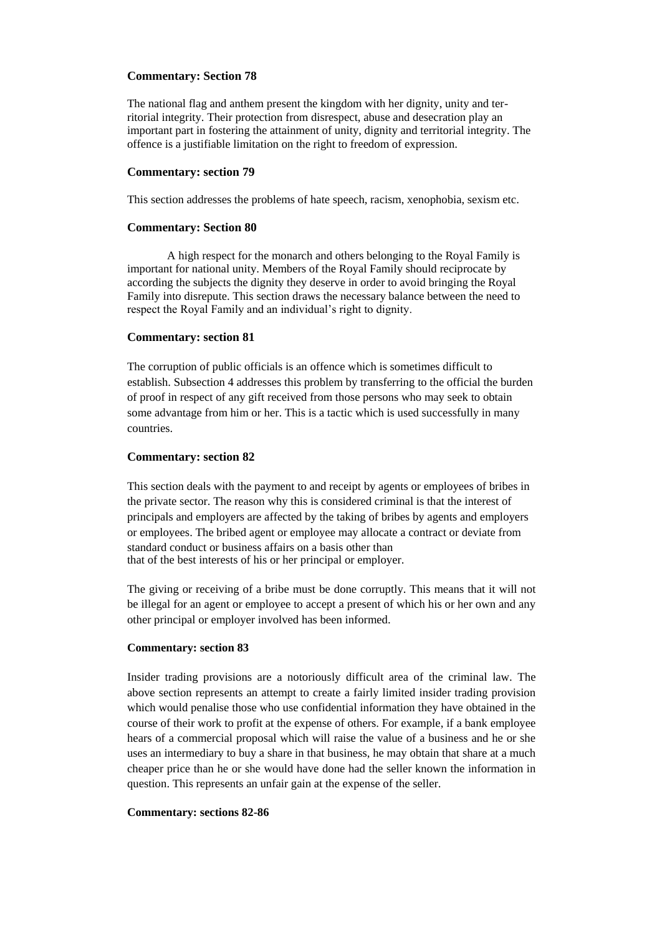# **Commentary: Section 78**

The national flag and anthem present the kingdom with her dignity, unity and territorial integrity. Their protection from disrespect, abuse and desecration play an important part in fostering the attainment of unity, dignity and territorial integrity. The offence is a justifiable limitation on the right to freedom of expression.

## **Commentary: section 79**

This section addresses the problems of hate speech, racism, xenophobia, sexism etc.

## **Commentary: Section 80**

A high respect for the monarch and others belonging to the Royal Family is important for national unity. Members of the Royal Family should reciprocate by according the subjects the dignity they deserve in order to avoid bringing the Royal Family into disrepute. This section draws the necessary balance between the need to respect the Royal Family and an individual's right to dignity.

# **Commentary: section 81**

The corruption of public officials is an offence which is sometimes difficult to establish. Subsection 4 addresses this problem by transferring to the official the burden of proof in respect of any gift received from those persons who may seek to obtain some advantage from him or her. This is a tactic which is used successfully in many countries.

## **Commentary: section 82**

This section deals with the payment to and receipt by agents or employees of bribes in the private sector. The reason why this is considered criminal is that the interest of principals and employers are affected by the taking of bribes by agents and employers or employees. The bribed agent or employee may allocate a contract or deviate from standard conduct or business affairs on a basis other than that of the best interests of his or her principal or employer.

The giving or receiving of a bribe must be done corruptly. This means that it will not be illegal for an agent or employee to accept a present of which his or her own and any other principal or employer involved has been informed.

## **Commentary: section 83**

Insider trading provisions are a notoriously difficult area of the criminal law. The above section represents an attempt to create a fairly limited insider trading provision which would penalise those who use confidential information they have obtained in the course of their work to profit at the expense of others. For example, if a bank employee hears of a commercial proposal which will raise the value of a business and he or she uses an intermediary to buy a share in that business, he may obtain that share at a much cheaper price than he or she would have done had the seller known the information in question. This represents an unfair gain at the expense of the seller.

## **Commentary: sections 82-86**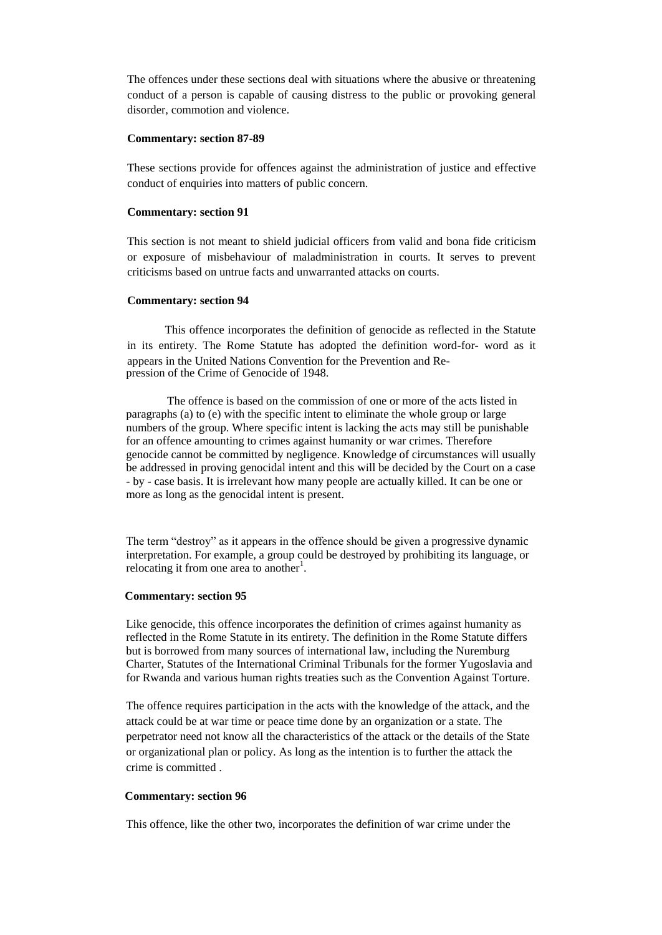The offences under these sections deal with situations where the abusive or threatening conduct of a person is capable of causing distress to the public or provoking general disorder, commotion and violence.

## **Commentary: section 87-89**

These sections provide for offences against the administration of justice and effective conduct of enquiries into matters of public concern.

# **Commentary: section 91**

This section is not meant to shield judicial officers from valid and bona fide criticism or exposure of misbehaviour of maladministration in courts. It serves to prevent criticisms based on untrue facts and unwarranted attacks on courts.

## **Commentary: section 94**

This offence incorporates the definition of genocide as reflected in the Statute in its entirety. The Rome Statute has adopted the definition word-for- word as it appears in the United Nations Convention for the Prevention and Repression of the Crime of Genocide of 1948.

The offence is based on the commission of one or more of the acts listed in paragraphs (a) to (e) with the specific intent to eliminate the whole group or large numbers of the group. Where specific intent is lacking the acts may still be punishable for an offence amounting to crimes against humanity or war crimes. Therefore genocide cannot be committed by negligence. Knowledge of circumstances will usually be addressed in proving genocidal intent and this will be decided by the Court on a case - by - case basis. It is irrelevant how many people are actually killed. It can be one or more as long as the genocidal intent is present.

The term "destroy" as it appears in the offence should be given a progressive dynamic interpretation. For example, a group could be destroyed by prohibiting its language, or relocating it from one area to another<sup>1</sup>.

## **Commentary: section 95**

Like genocide, this offence incorporates the definition of crimes against humanity as reflected in the Rome Statute in its entirety. The definition in the Rome Statute differs but is borrowed from many sources of international law, including the Nuremburg Charter, Statutes of the International Criminal Tribunals for the former Yugoslavia and for Rwanda and various human rights treaties such as the Convention Against Torture.

The offence requires participation in the acts with the knowledge of the attack, and the attack could be at war time or peace time done by an organization or a state. The perpetrator need not know all the characteristics of the attack or the details of the State or organizational plan or policy. As long as the intention is to further the attack the crime is committed .

## **Commentary: section 96**

This offence, like the other two, incorporates the definition of war crime under the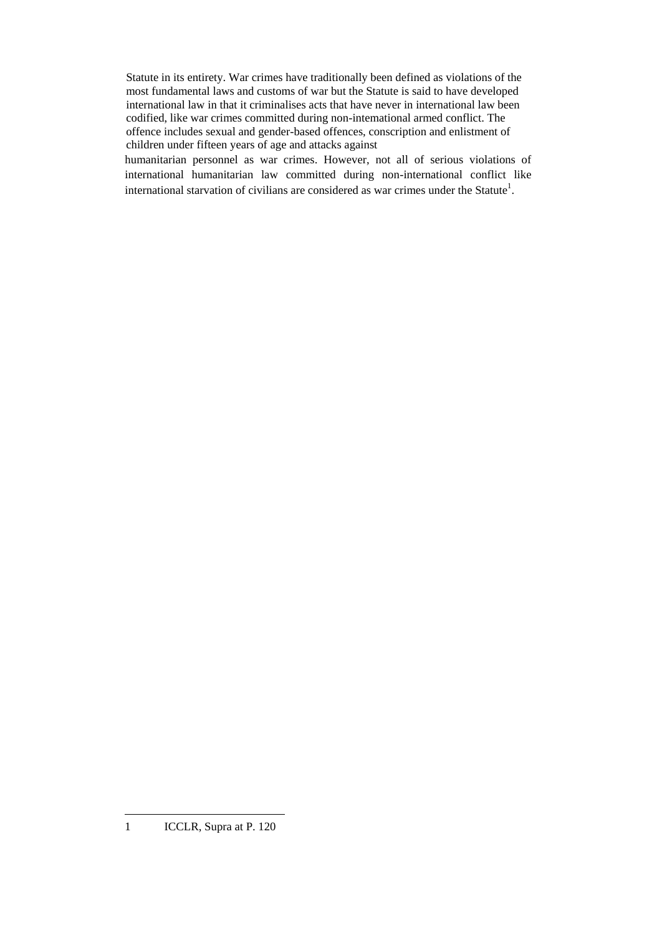Statute in its entirety. War crimes have traditionally been defined as violations of the most fundamental laws and customs of war but the Statute is said to have developed international law in that it criminalises acts that have never in international law been codified, like war crimes committed during non-intemational armed conflict. The offence includes sexual and gender-based offences, conscription and enlistment of children under fifteen years of age and attacks against

humanitarian personnel as war crimes. However, not all of serious violations of international humanitarian law committed during non-international conflict like international starvation of civilians are considered as war crimes under the Statute<sup>1</sup>.

<u>—</u>